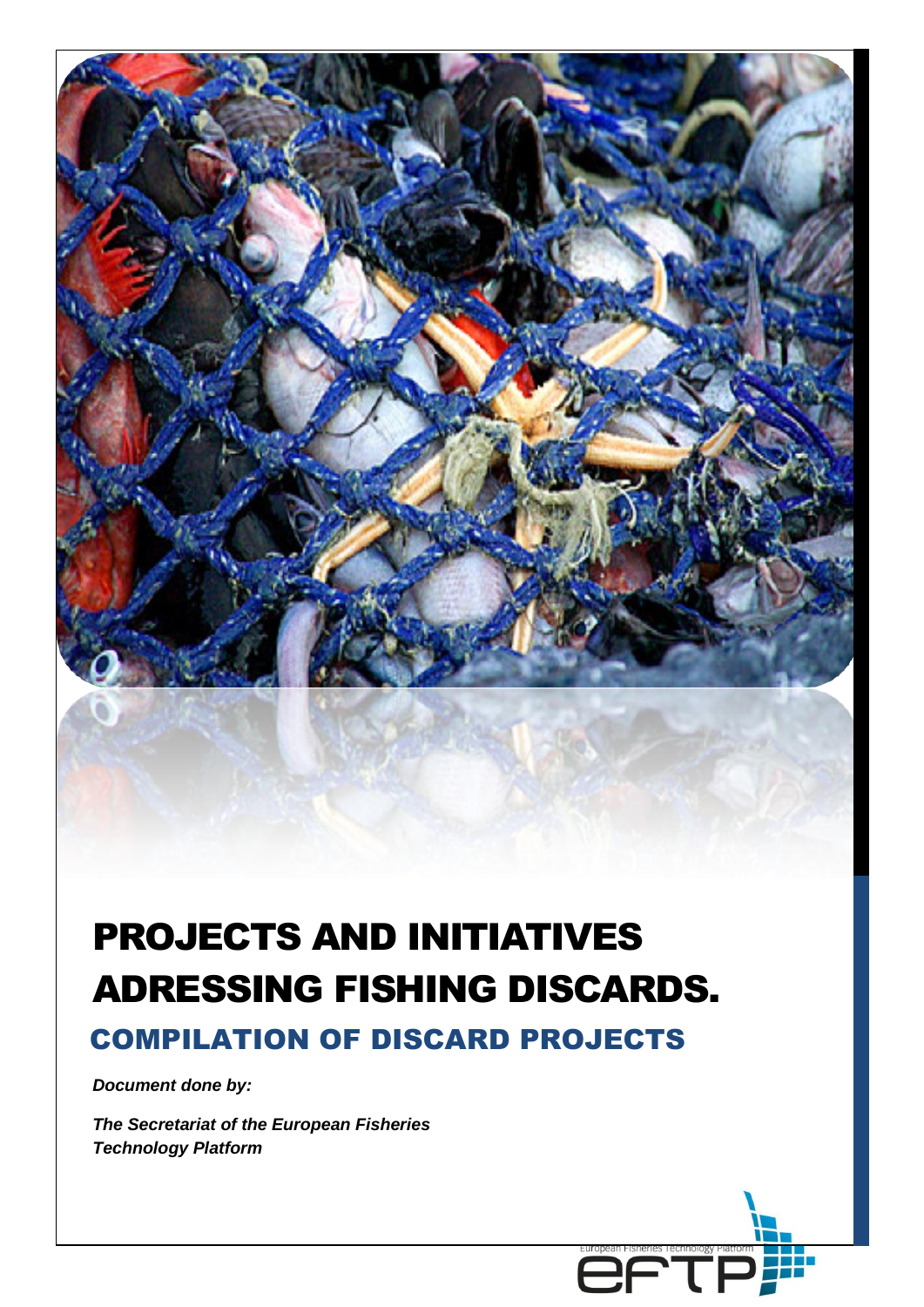

# PROJECTS AND INITIATIVES ADRESSING FISHING DISCARDS. COMPILATION OF DISCARD PROJECTS

EŁ.

*Document done by:*

*The Secretariat of the European Fisheries Technology Platform*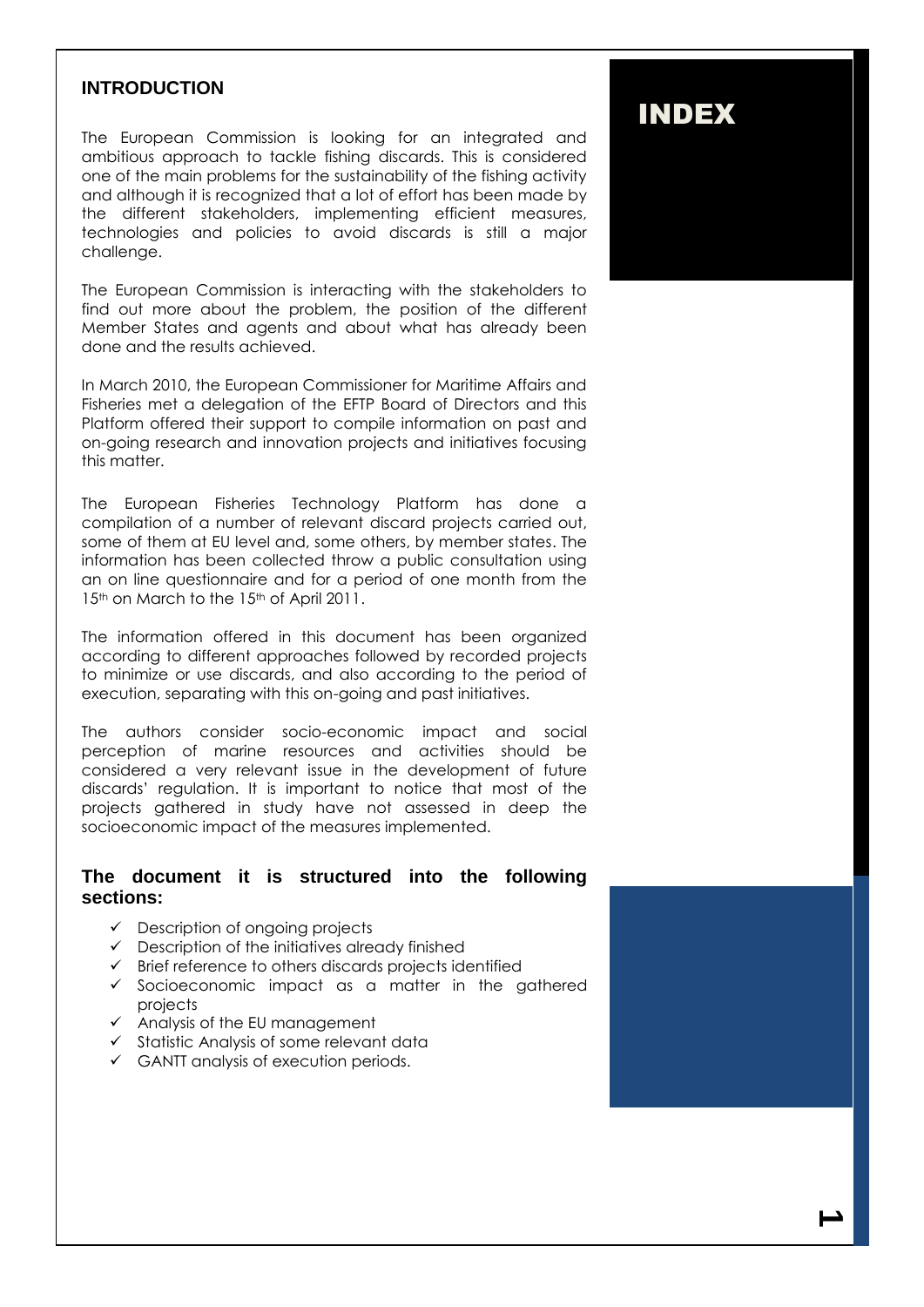### **INTRODUCTION**

The European Commission is looking for an integrated and ambitious approach to tackle fishing discards. This is considered one of the main problems for the sustainability of the fishing activity and although it is recognized that a lot of effort has been made by the different stakeholders, implementing efficient measures, technologies and policies to avoid discards is still a major challenge.

The European Commission is interacting with the stakeholders to find out more about the problem, the position of the different Member States and agents and about what has already been done and the results achieved.

In March 2010, the European Commissioner for Maritime Affairs and Fisheries met a delegation of the EFTP Board of Directors and this Platform offered their support to compile information on past and on-going research and innovation projects and initiatives focusing this matter.

The European Fisheries Technology Platform has done a compilation of a number of relevant discard projects carried out, some of them at EU level and, some others, by member states. The information has been collected throw a public consultation using an on line questionnaire and for a period of one month from the 15<sup>th</sup> on March to the 15<sup>th</sup> of April 2011.

The information offered in this document has been organized according to different approaches followed by recorded projects to minimize or use discards, and also according to the period of execution, separating with this on-going and past initiatives.

The authors consider socio-economic impact and social perception of marine resources and activities should be considered a very relevant issue in the development of future discards' regulation. It is important to notice that most of the projects gathered in study have not assessed in deep the socioeconomic impact of the measures implemented.

### **The document it is structured into the following sections:**

- $\checkmark$  Description of ongoing projects
- $\checkmark$  Description of the initiatives already finished
- $\checkmark$  Brief reference to others discards projects identified
- Socioeconomic impact as a matter in the gathered projects
- $\checkmark$  Analysis of the EU management
- $\checkmark$  Statistic Analysis of some relevant data
- $\checkmark$  GANTT analysis of execution periods.

## INDEX

**1**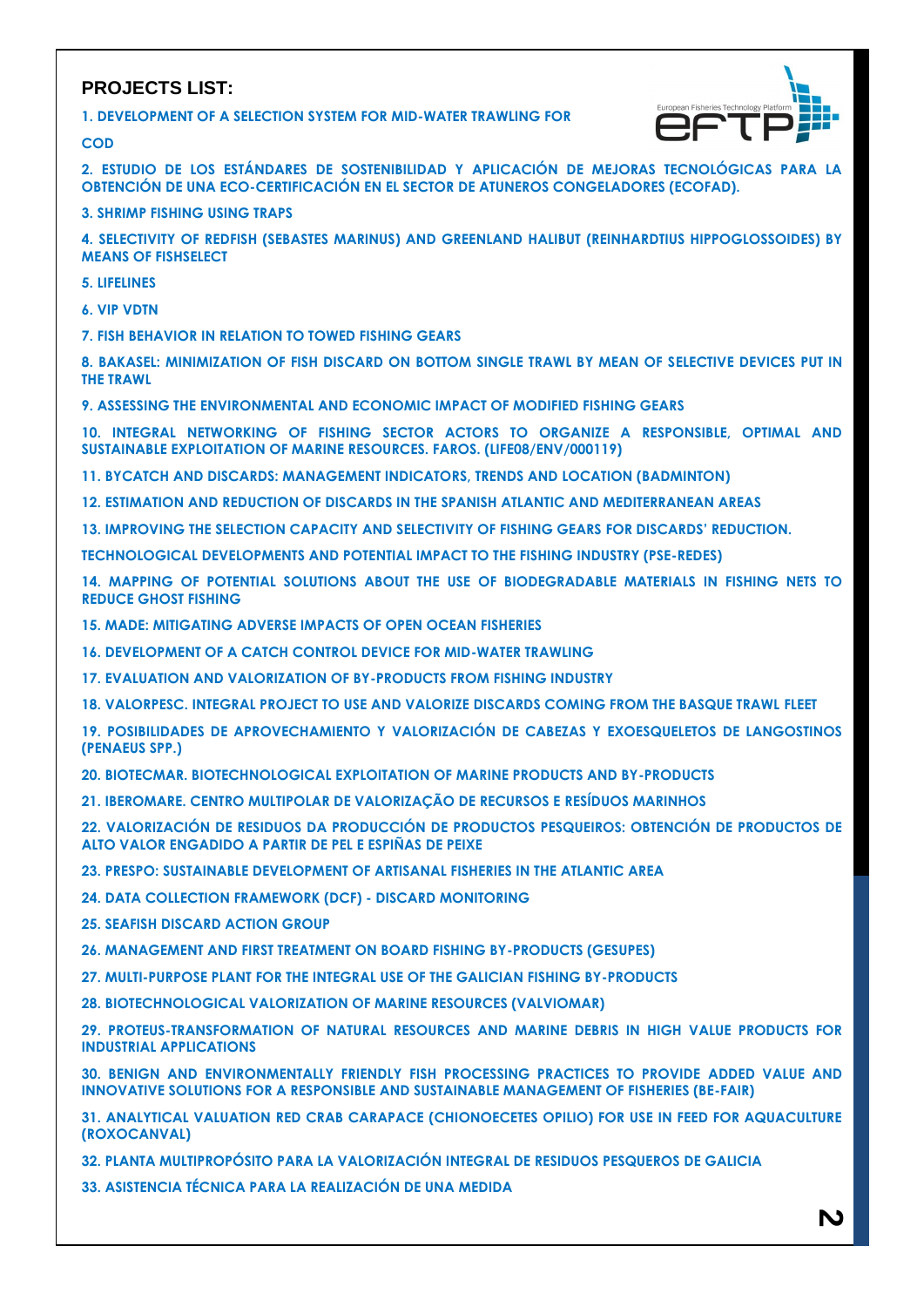### **PROJECTS LIST:**

**1. DEVELOPMENT OF A SELECTION SYSTEM FOR MID-WATER TRAWLING FOR**



**2. ESTUDIO DE LOS ESTÁNDARES DE SOSTENIBILIDAD Y APLICACIÓN DE MEJORAS TECNOLÓGICAS PARA LA OBTENCIÓN DE UNA ECO-CERTIFICACIÓN EN EL SECTOR DE ATUNEROS CONGELADORES (ECOFAD).**

**3. SHRIMP FISHING USING TRAPS**

**4. SELECTIVITY OF REDFISH (SEBASTES MARINUS) AND GREENLAND HALIBUT (REINHARDTIUS HIPPOGLOSSOIDES) BY MEANS OF FISHSELECT**

**5. LIFELINES**

**COD**

**6. VIP VDTN**

**7. FISH BEHAVIOR IN RELATION TO TOWED FISHING GEARS**

**8. BAKASEL: MINIMIZATION OF FISH DISCARD ON BOTTOM SINGLE TRAWL BY MEAN OF SELECTIVE DEVICES PUT IN THE TRAWL**

**9. ASSESSING THE ENVIRONMENTAL AND ECONOMIC IMPACT OF MODIFIED FISHING GEARS**

**10. INTEGRAL NETWORKING OF FISHING SECTOR ACTORS TO ORGANIZE A RESPONSIBLE, OPTIMAL AND SUSTAINABLE EXPLOITATION OF MARINE RESOURCES. FAROS. (LIFE08/ENV/000119)**

**11. BYCATCH AND DISCARDS: MANAGEMENT INDICATORS, TRENDS AND LOCATION (BADMINTON)**

**12. ESTIMATION AND REDUCTION OF DISCARDS IN THE SPANISH ATLANTIC AND MEDITERRANEAN AREAS**

**13. IMPROVING THE SELECTION CAPACITY AND SELECTIVITY OF FISHING GEARS FOR DISCARDS' REDUCTION.**

**TECHNOLOGICAL DEVELOPMENTS AND POTENTIAL IMPACT TO THE FISHING INDUSTRY (PSE-REDES)**

**14. MAPPING OF POTENTIAL SOLUTIONS ABOUT THE USE OF BIODEGRADABLE MATERIALS IN FISHING NETS TO REDUCE GHOST FISHING**

**15. MADE: MITIGATING ADVERSE IMPACTS OF OPEN OCEAN FISHERIES**

**16. DEVELOPMENT OF A CATCH CONTROL DEVICE FOR MID-WATER TRAWLING**

**17. EVALUATION AND VALORIZATION OF BY-PRODUCTS FROM FISHING INDUSTRY**

**18. VALORPESC. INTEGRAL PROJECT TO USE AND VALORIZE DISCARDS COMING FROM THE BASQUE TRAWL FLEET**

**19. POSIBILIDADES DE APROVECHAMIENTO Y VALORIZACIÓN DE CABEZAS Y EXOESQUELETOS DE LANGOSTINOS (PENAEUS SPP.)**

**20. BIOTECMAR. BIOTECHNOLOGICAL EXPLOITATION OF MARINE PRODUCTS AND BY-PRODUCTS**

**21. IBEROMARE. CENTRO MULTIPOLAR DE VALORIZAÇÃO DE RECURSOS E RESÍDUOS MARINHOS**

**22. VALORIZACIÓN DE RESIDUOS DA PRODUCCIÓN DE PRODUCTOS PESQUEIROS: OBTENCIÓN DE PRODUCTOS DE ALTO VALOR ENGADIDO A PARTIR DE PEL E ESPIÑAS DE PEIXE**

**23. PRESPO: SUSTAINABLE DEVELOPMENT OF ARTISANAL FISHERIES IN THE ATLANTIC AREA**

**24. DATA COLLECTION FRAMEWORK (DCF) - DISCARD MONITORING**

**25. SEAFISH DISCARD ACTION GROUP**

**26. MANAGEMENT AND FIRST TREATMENT ON BOARD FISHING BY-PRODUCTS (GESUPES)**

**27. MULTI-PURPOSE PLANT FOR THE INTEGRAL USE OF THE GALICIAN FISHING BY-PRODUCTS**

**28. BIOTECHNOLOGICAL VALORIZATION OF MARINE RESOURCES (VALVIOMAR)**

**29. PROTEUS-TRANSFORMATION OF NATURAL RESOURCES AND MARINE DEBRIS IN HIGH VALUE PRODUCTS FOR INDUSTRIAL APPLICATIONS** 

**30. BENIGN AND ENVIRONMENTALLY FRIENDLY FISH PROCESSING PRACTICES TO PROVIDE ADDED VALUE AND INNOVATIVE SOLUTIONS FOR A RESPONSIBLE AND SUSTAINABLE MANAGEMENT OF FISHERIES (BE-FAIR)**

**31. ANALYTICAL VALUATION RED CRAB CARAPACE (CHIONOECETES OPILIO) FOR USE IN FEED FOR AQUACULTURE (ROXOCANVAL)**

**32. PLANTA MULTIPROPÓSITO PARA LA VALORIZACIÓN INTEGRAL DE RESIDUOS PESQUEROS DE GALICIA**

**33. ASISTENCIA TÉCNICA PARA LA REALIZACIÓN DE UNA MEDIDA**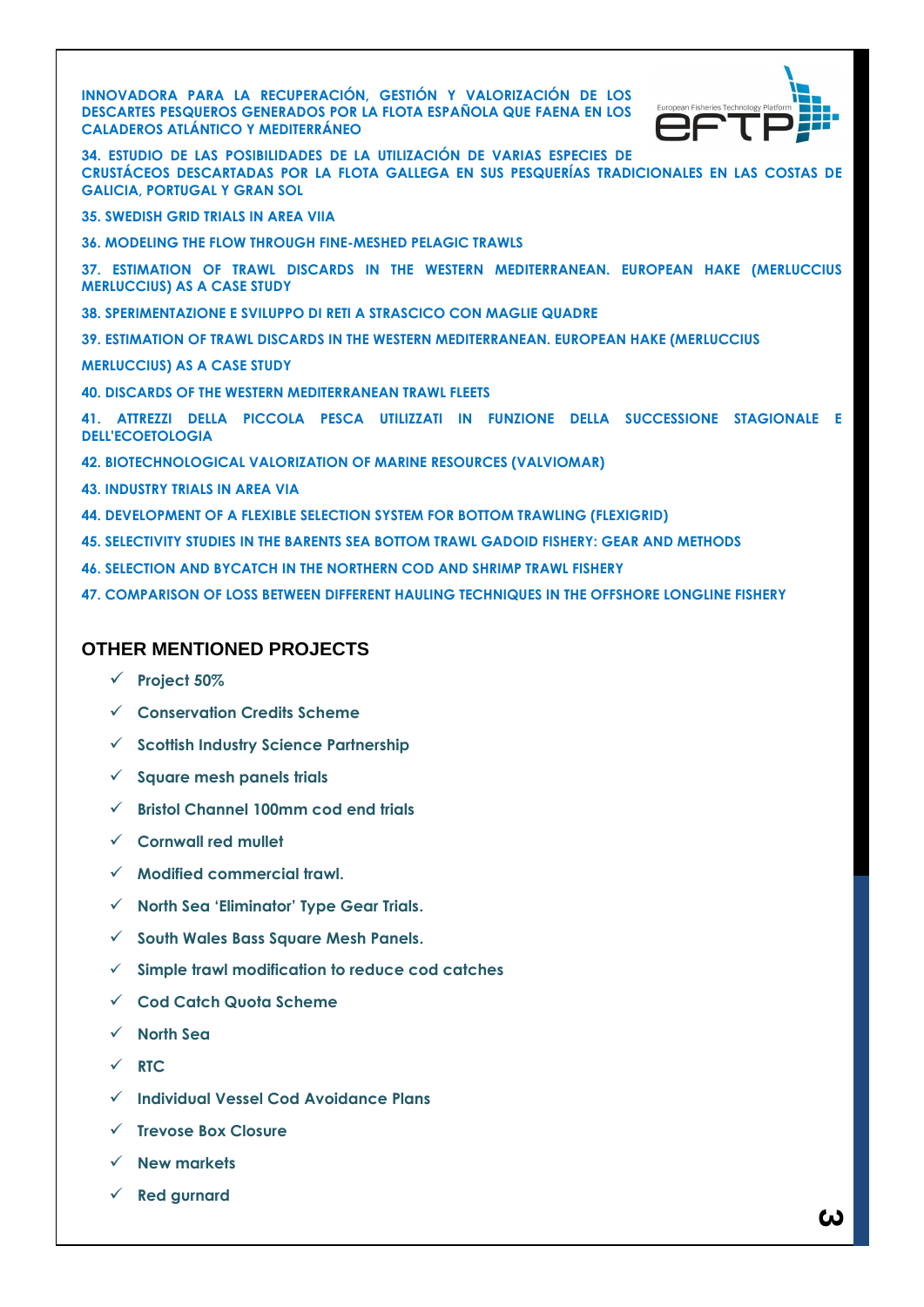**INNOVADORA PARA LA RECUPERACIÓN, GESTIÓN Y VALORIZACIÓN DE LOS DESCARTES PESQUEROS GENERADOS POR LA FLOTA ESPAÑOLA QUE FAENA EN LOS CALADEROS ATLÁNTICO Y MEDITERRÁNEO**



**34. ESTUDIO DE LAS POSIBILIDADES DE LA UTILIZACIÓN DE VARIAS ESPECIES DE CRUSTÁCEOS DESCARTADAS POR LA FLOTA GALLEGA EN SUS PESQUERÍAS TRADICIONALES EN LAS COSTAS DE GALICIA, PORTUGAL Y GRAN SOL**

- **35. SWEDISH GRID TRIALS IN AREA VIIA**
- **36. MODELING THE FLOW THROUGH FINE-MESHED PELAGIC TRAWLS**
- **37. ESTIMATION OF TRAWL DISCARDS IN THE WESTERN MEDITERRANEAN. EUROPEAN HAKE (MERLUCCIUS MERLUCCIUS) AS A CASE STUDY**
- **38. SPERIMENTAZIONE E SVILUPPO DI RETI A STRASCICO CON MAGLIE QUADRE**
- **39. ESTIMATION OF TRAWL DISCARDS IN THE WESTERN MEDITERRANEAN. EUROPEAN HAKE (MERLUCCIUS**
- **MERLUCCIUS) AS A CASE STUDY**
- **40. DISCARDS OF THE WESTERN MEDITERRANEAN TRAWL FLEETS**

**41. ATTREZZI DELLA PICCOLA PESCA UTILIZZATI IN FUNZIONE DELLA SUCCESSIONE STAGIONALE E DELL'ECOETOLOGIA**

- **42. BIOTECHNOLOGICAL VALORIZATION OF MARINE RESOURCES (VALVIOMAR)**
- **43. INDUSTRY TRIALS IN AREA VIA**
- **44. DEVELOPMENT OF A FLEXIBLE SELECTION SYSTEM FOR BOTTOM TRAWLING (FLEXIGRID)**
- **45. SELECTIVITY STUDIES IN THE BARENTS SEA BOTTOM TRAWL GADOID FISHERY: GEAR AND METHODS**
- **46. SELECTION AND BYCATCH IN THE NORTHERN COD AND SHRIMP TRAWL FISHERY**
- **47. COMPARISON OF LOSS BETWEEN DIFFERENT HAULING TECHNIQUES IN THE OFFSHORE LONGLINE FISHERY**

### **OTHER MENTIONED PROJECTS**

- **[Project 50%](http://www.cefas.co.uk/our-science/fisheries-information/marine-fisheries/fishing-gear-technology/project-50.aspx)**
- **[Conservation Credits Scheme](http://assets.wwf.org.uk/downloads/scottish_conservation_credits_scheme.pdf)**
- **[Scottish Industry Science Partnership](http://www.scotland.gov.uk/News/Releases/2010/05/20101527)**
- **[Square mesh panels trials](http://www.cefas.co.uk/media/138454/smp-on-twin-or-multi-rig-itt.pdf)**
- **[Bristol Channel 100mm cod end trials](http://www.cefas.co.uk/media/138514/bristol-channel-100m-cod-end-trials-itt.pdf)**
- **[Cornwall red mullet](http://www.cefas.co.uk/media/138544/red-mullet-gill-net-fishery-discard-reduction-itt.pdf)**
- **[Modified commercial trawl.](http://www.cefas.co.uk/media/138574/modified-commercial-trawl-survey-itt.pdf)**
- **[North Sea 'Eliminator' Type Gear Trials](http://www.cefas.co.uk/media/135592/mf032finalreportversionforwebsite.pdf).**
- **[South Wales Bass Square Mesh Panels.](http://www.cefas.co.uk/media/137283/fsp_bass_09_report.final.pdf)**
- **[Simple trawl modification to reduce cod catches](http://www.cefas.co.uk/media/135592/mf032finalreportversionforwebsite.pdf)**
- **[Cod Catch Quota Scheme](http://www.scotland.gov.uk/Topics/marine/Sea-Fisheries/17681/catchquota)**
- **[North Sea](http://www.defra.gov.uk/foodfarm/fisheries/documents/fisheries/ukrespcodrec.pdf)**
- $\checkmark$  [RTC](http://www.scotland.gov.uk/Topics/marine/Sea-Fisheries/Regulation)
- **Individual Vessel Cod Avoidance Plans**
- **Trevose Box Closure**
- **New markets**
- **[Red gurnard](http://www.seafoodtraining.org/celebrating_sustainable_seafood_at_billingsgate_school.htm)**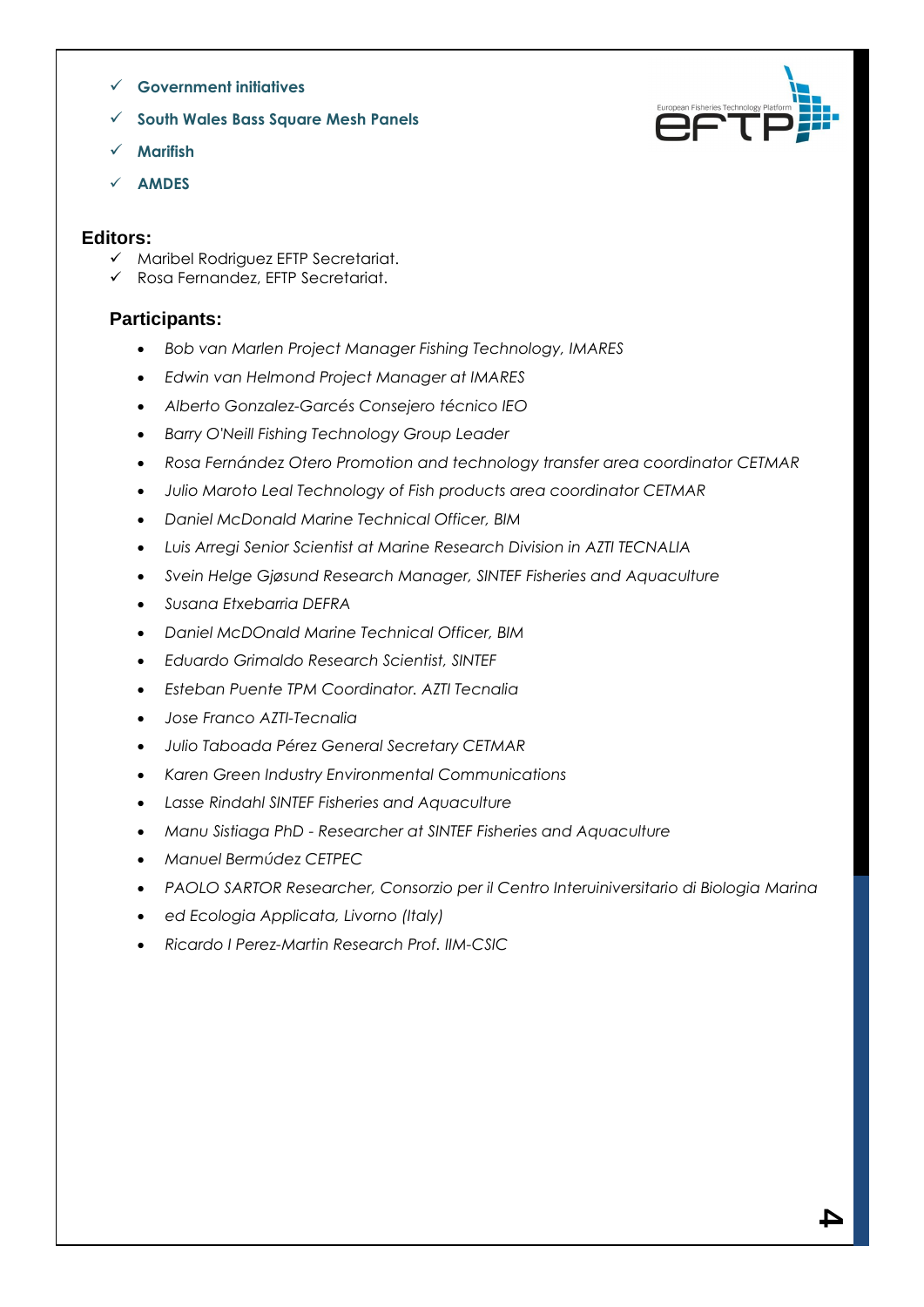- **[Government initiatives](http://www.seafish.org/media/393246/defra_fishingforthemarket_201010.pdf)**
- **[South Wales Bass Square Mesh Panels](http://www.cefas.co.uk/media/137283/fsp_bass_09_report.final.pdf)**
- **Marifish**
- **[AMDES](http://www.ba.ieo.es/es/investigacion/grupos-de-investigacion/ibdes/proyectos/441-amdes)**

### **Editors:**

- $\checkmark$  Maribel Rodriguez EFTP Secretariat.
- Rosa Fernandez, EFTP Secretariat.

### **Participants:**

- *Bob van Marlen Project Manager Fishing Technology, IMARES*
- *Edwin van Helmond Project Manager at IMARES*
- *Alberto Gonzalez-Garcés Consejero técnico IEO*
- *Barry O'Neill Fishing Technology Group Leader*
- *Rosa Fernández Otero Promotion and technology transfer area coordinator CETMAR*
- *Julio Maroto Leal Technology of Fish products area coordinator CETMAR*
- *Daniel McDonald Marine Technical Officer, BIM*
- *Luis Arregi Senior Scientist at Marine Research Division in AZTI TECNALIA*
- *Svein Helge Gjøsund Research Manager, SINTEF Fisheries and Aquaculture*
- *Susana Etxebarria DEFRA*
- *Daniel McDOnald Marine Technical Officer, BIM*
- *Eduardo Grimaldo Research Scientist, SINTEF*
- *Esteban Puente TPM Coordinator. AZTI Tecnalia*
- *Jose Franco AZTI-Tecnalia*
- *Julio Taboada Pérez General Secretary CETMAR*
- *Karen Green Industry Environmental Communications*
- *Lasse Rindahl SINTEF Fisheries and Aquaculture*
- *Manu Sistiaga PhD - Researcher at SINTEF Fisheries and Aquaculture*
- *Manuel Bermúdez CETPEC*
- *PAOLO SARTOR Researcher, Consorzio per il Centro Interuiniversitario di Biologia Marina*
- *ed Ecologia Applicata, Livorno (Italy)*
- *Ricardo I Perez-Martin Research Prof. IIM-CSIC*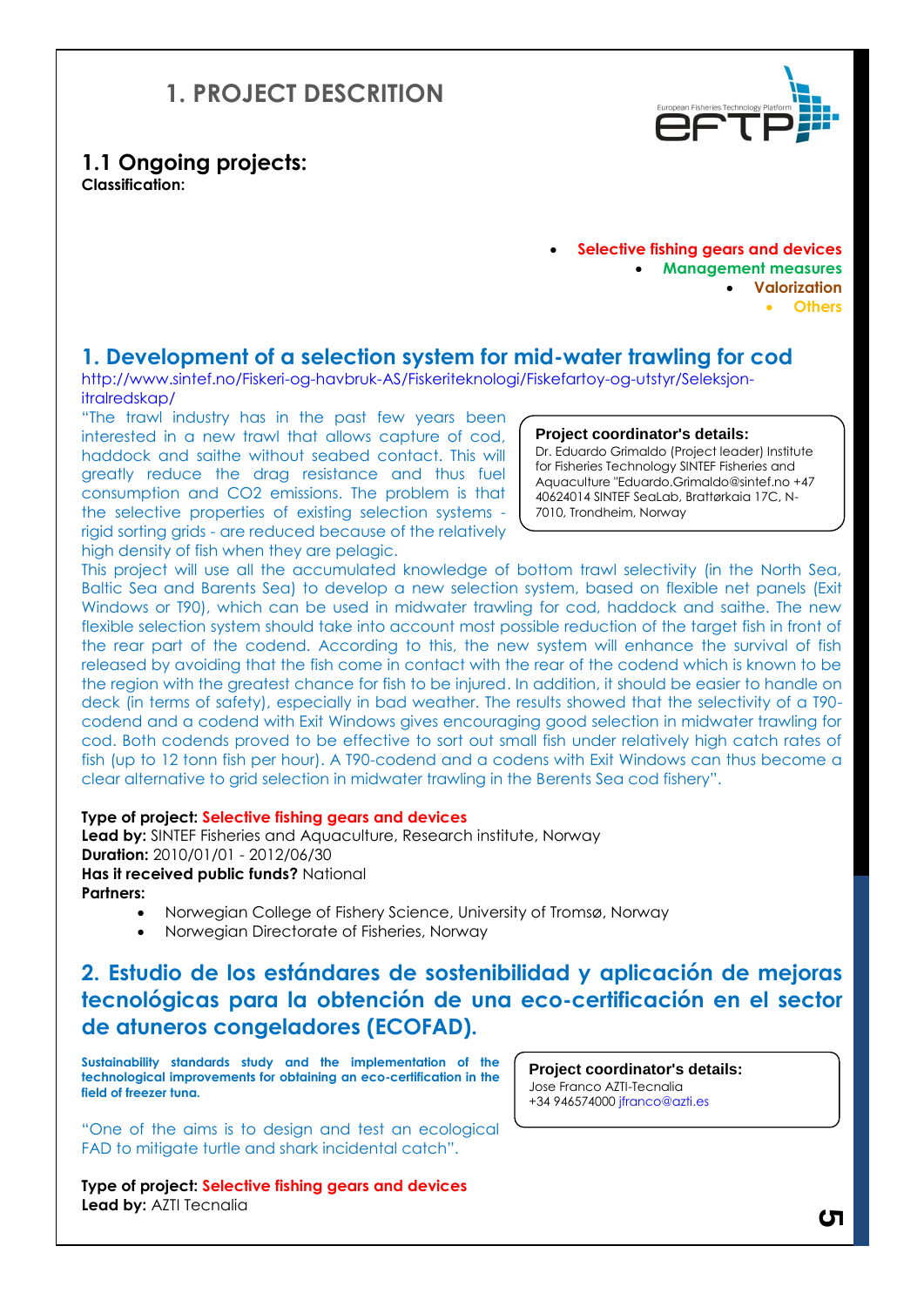## **1. PROJECT DESCRITION**



**1.1 Ongoing projects: Classification:** 

> **Selective fishing gears and devices Management measures Valorization Others**

### **1. Development of a selection system for mid-water trawling for cod**

http://www.sintef.no/Fiskeri-og-havbruk-AS/Fiskeriteknologi/Fiskefartoy-og-utstyr/Seleksjonitralredskap/

"The trawl industry has in the past few years been interested in a new trawl that allows capture of cod, haddock and saithe without seabed contact. This will greatly reduce the drag resistance and thus fuel consumption and CO2 emissions. The problem is that the selective properties of existing selection systems rigid sorting grids - are reduced because of the relatively high density of fish when they are pelagic.

#### **Project coordinator's details:**

Dr. Eduardo Grimaldo (Project leader) Institute for Fisheries Technology SINTEF Fisheries and Aquaculture "Eduardo.Grimaldo@sintef.no +47 40624014 SINTEF SeaLab, Brattørkaia 17C, N-7010, Trondheim, Norway

This project will use all the accumulated knowledge of bottom trawl selectivity (in the North Sea, Baltic Sea and Barents Sea) to develop a new selection system, based on flexible net panels (Exit Windows or T90), which can be used in midwater trawling for cod, haddock and saithe. The new flexible selection system should take into account most possible reduction of the target fish in front of the rear part of the codend. According to this, the new system will enhance the survival of fish released by avoiding that the fish come in contact with the rear of the codend which is known to be the region with the greatest chance for fish to be injured. In addition, it should be easier to handle on deck (in terms of safety), especially in bad weather. The results showed that the selectivity of a T90 codend and a codend with Exit Windows gives encouraging good selection in midwater trawling for cod. Both codends proved to be effective to sort out small fish under relatively high catch rates of fish (up to 12 tonn fish per hour). A T90-codend and a codens with Exit Windows can thus become a clear alternative to grid selection in midwater trawling in the Berents Sea cod fishery".

#### **Type of project: Selective fishing gears and devices**

**Lead by:** SINTEF Fisheries and Aquaculture, Research institute, Norway **Duration:** 2010/01/01 - 2012/06/30 **Has it received public funds?** National **Partners:**

- Norwegian College of Fishery Science, University of Tromsø, Norway
- Norwegian Directorate of Fisheries, Norway

### **2. Estudio de los estándares de sostenibilidad y aplicación de mejoras tecnológicas para la obtención de una eco-certificación en el sector de atuneros congeladores (ECOFAD).**

**Sustainability standards study and the implementation of the technological improvements for obtaining an eco-certification in the field of freezer tuna.**

"One of the aims is to design and test an ecological FAD to mitigate turtle and shark incidental catch".

**Type of project: Selective fishing gears and devices Lead by:** AZTI Tecnalia

**Project coordinator's details:** Jose Franco AZTI-Tecnalia +34 946574000 jfranco@azti.es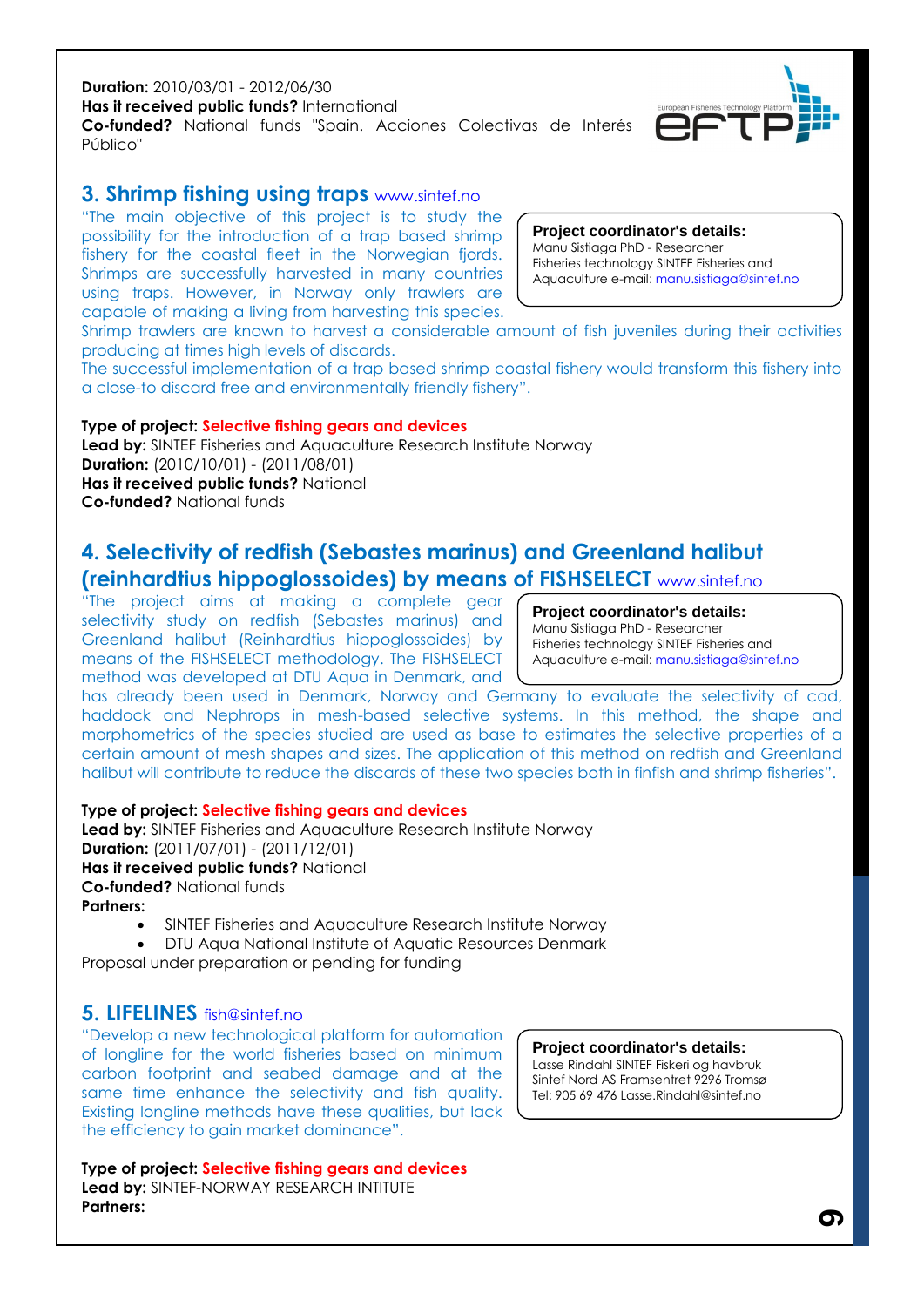#### **Duration:** 2010/03/01 - 2012/06/30 **Has it received public funds?** International **Co-funded?** National funds "Spain. Acciones Colectivas de Interés Público"

### **3. Shrimp fishing using traps** www.sintef.no

"The main objective of this project is to study the possibility for the introduction of a trap based shrimp fishery for the coastal fleet in the Norwegian fjords. Shrimps are successfully harvested in many countries using traps. However, in Norway only trawlers are capable of making a living from harvesting this species.

Shrimp trawlers are known to harvest a considerable amount of fish juveniles during their activities producing at times high levels of discards.

The successful implementation of a trap based shrimp coastal fishery would transform this fishery into a close-to discard free and environmentally friendly fishery".

**Type of project: Selective fishing gears and devices Lead by:** SINTEF Fisheries and Aquaculture Research Institute Norway **Duration:** (2010/10/01) - (2011/08/01) **Has it received public funds?** National **Co-funded?** National funds

### **4. Selectivity of redfish (Sebastes marinus) and Greenland halibut (reinhardtius hippoglossoides) by means of FISHSELECT** www.sintef.no

"The project aims at making a complete gear selectivity study on redfish (Sebastes marinus) and Greenland halibut (Reinhardtius hippoglossoides) by means of the FISHSELECT methodology. The FISHSELECT method was developed at DTU Aqua in Denmark, and

has already been used in Denmark, Norway and Germany to evaluate the selectivity of cod, haddock and Nephrops in mesh-based selective systems. In this method, the shape and morphometrics of the species studied are used as base to estimates the selective properties of a certain amount of mesh shapes and sizes. The application of this method on redfish and Greenland halibut will contribute to reduce the discards of these two species both in finfish and shrimp fisheries".

### **Type of project: Selective fishing gears and devices**

**Lead by:** SINTEF Fisheries and Aquaculture Research Institute Norway **Duration:** (2011/07/01) - (2011/12/01) **Has it received public funds?** National **Co-funded?** National funds **Partners:**

- SINTEF Fisheries and Aquaculture Research Institute Norway
- DTU Aqua National Institute of Aquatic Resources Denmark

Proposal under preparation or pending for funding

### **5. LIFELINES** fish@sintef.no

"Develop a new technological platform for automation of longline for the world fisheries based on minimum carbon footprint and seabed damage and at the same time enhance the selectivity and fish quality. Existing longline methods have these qualities, but lack the efficiency to gain market dominance".

**Type of project: Selective fishing gears and devices Lead by:** SINTEF-NORWAY RESEARCH INTITUTE **Partners:**

#### **Project coordinator's details:**

Lasse Rindahl SINTEF Fiskeri og havbruk Sintef Nord AS Framsentret 9296 Tromsø Tel: 905 69 476 Lasse.Rindahl@sintef.no

**Project coordinator's details:** Manu Sistiaga PhD - Researcher Fisheries technology SINTEF Fisheries and Aquaculture e-mail: manu.sistiaga@sintef.no



Aquaculture e-mail: manu.sistiaga@sintef.no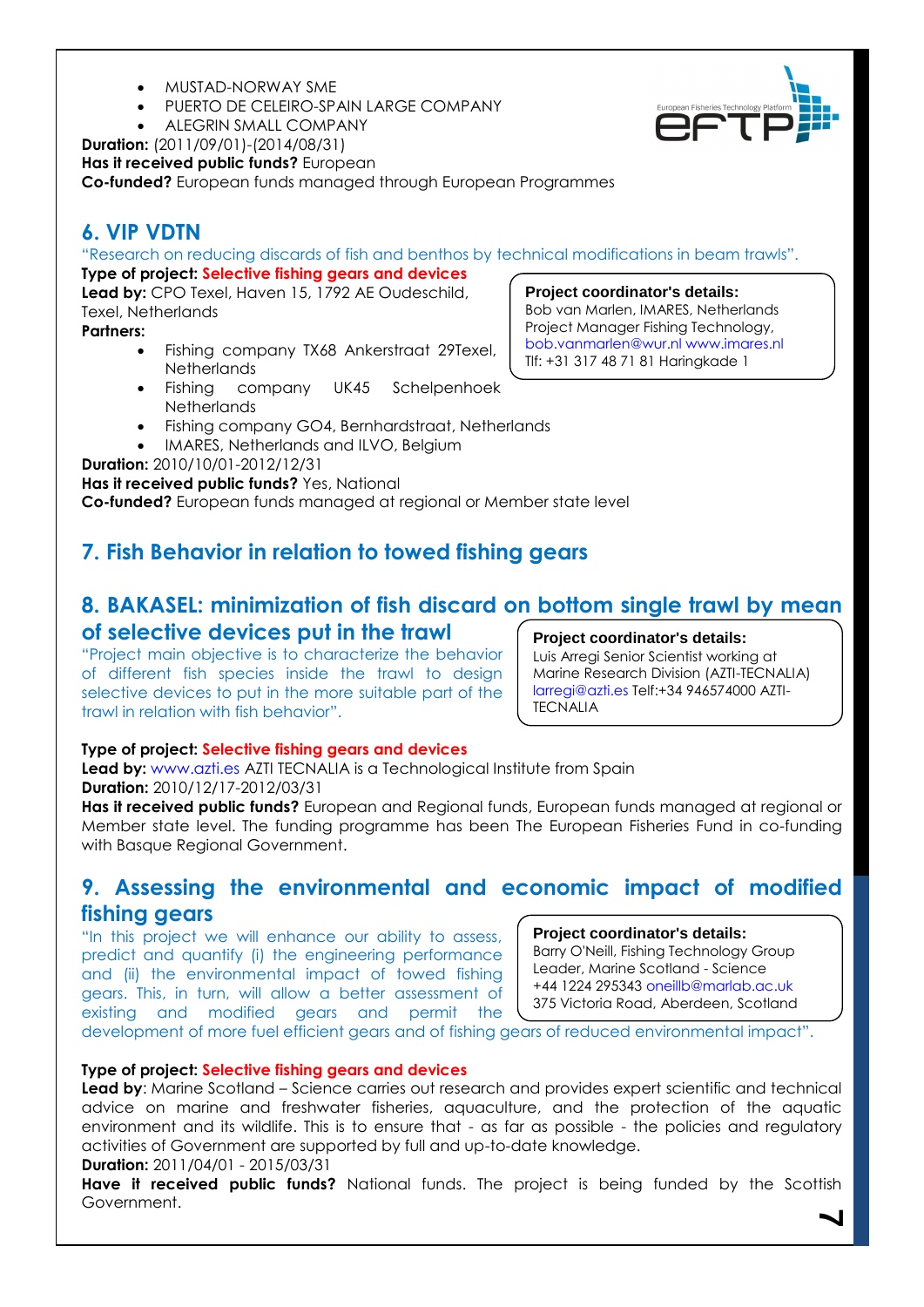- MUSTAD-NORWAY SME
- PUERTO DE CELEIRO-SPAIN LARGE COMPANY
- ALEGRIN SMALL COMPANY

**Duration:** (2011/09/01)-(2014/08/31)

**Has it received public funds?** European

**Co-funded?** European funds managed through European Programmes

### **6. VIP VDTN**

"Research on reducing discards of fish and benthos by technical modifications in beam trawls".

**Type of project: Selective fishing gears and devices Lead by:** CPO Texel, Haven 15, 1792 AE Oudeschild, Texel, Netherlands

**Partners:**

- Fishing company TX68 Ankerstraat 29Texel, **Netherlands**
- Fishing company UK45 Schelpenhoek **Netherlands**
- Fishing company GO4, Bernhardstraat, Netherlands
- IMARES, Netherlands and ILVO, Belgium

**Duration:** 2010/10/01-2012/12/31

**Has it received public funds?** Yes, National

**Co-funded?** European funds managed at regional or Member state level

### **7. Fish Behavior in relation to towed fishing gears**

### **8. BAKASEL: minimization of fish discard on bottom single trawl by mean of selective devices put in the trawl**

"Project main objective is to characterize the behavior of different fish species inside the trawl to design selective devices to put in the more suitable part of the trawl in relation with fish behavior".

### **Project coordinator's details:**

**Project coordinator's details:** Bob van Marlen, IMARES, Netherlands Project Manager Fishing Technology, bob.vanmarlen@wur.nl www.imares.nl Tlf: +31 317 48 71 81 Haringkade 1

Txatxarramendi Ugartea z/g 48395

Luis Arregi Senior Scientist working at Marine Research Division (AZTI-TECNALIA) larregi@azti.es Telf:+34 946574000 AZTI-**TECNALIA** 

### **Type of project: Selective fishing gears and devices**

**Lead by:** www.azti.es AZTI TECNALIA is a Technological Institute from Spain **Duration:** 2010/12/17-2012/03/31

**Has it received public funds?** European and Regional funds, European funds managed at regional or Member state level. The funding programme has been The European Fisheries Fund in co-funding with Basque Regional Government.

### **9. Assessing the environmental and economic impact of modified fishing gears**

"In this project we will enhance our ability to assess, predict and quantify (i) the engineering performance and (ii) the environmental impact of towed fishing gears. This, in turn, will allow a better assessment of existing and modified gears and permit the

#### **Project coordinator's details:**

Barry O'Neill, Fishing Technology Group Leader, Marine Scotland - Science +44 1224 295343 oneillb@marlab.ac.uk 375 Victoria Road, Aberdeen, Scotland

development of more fuel efficient gears and of fishing gears of reduced environmental impact".

#### **Type of project: Selective fishing gears and devices**

**Lead by**: Marine Scotland – Science carries out research and provides expert scientific and technical advice on marine and freshwater fisheries, aquaculture, and the protection of the aquatic environment and its wildlife. This is to ensure that - as far as possible - the policies and regulatory activities of Government are supported by full and up-to-date knowledge.

### **Duration:** 2011/04/01 - 2015/03/31

**7 Have it received public funds?** National funds. The project is being funded by the Scottish Government.

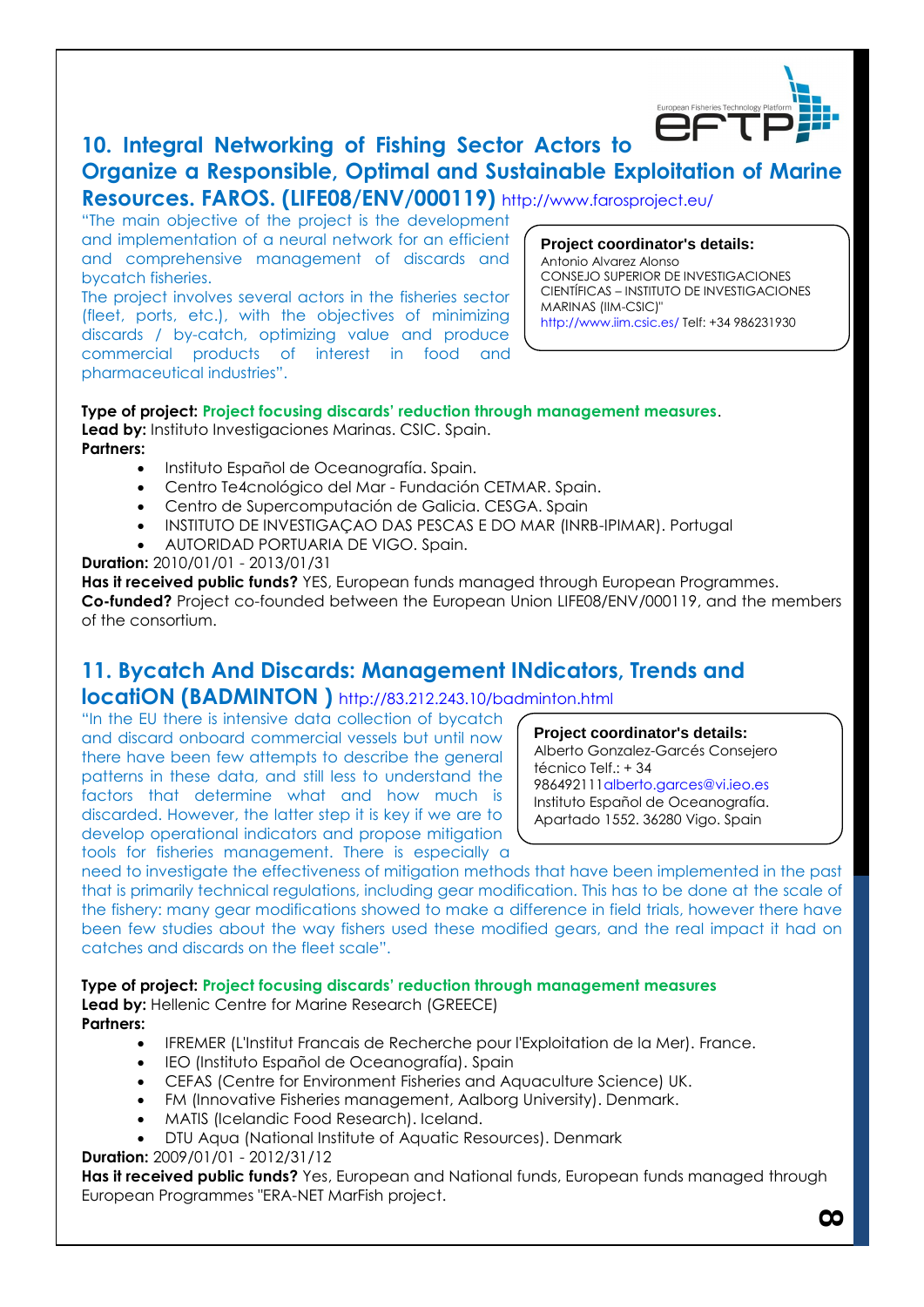

## **10. Integral Networking of Fishing Sector Actors to Organize a Responsible, Optimal and Sustainable Exploitation of Marine**

**Resources. FAROS. (LIFE08/ENV/000119)** http://www.farosproject.eu/

"The main objective of the project is the development and implementation of a neural network for an efficient and comprehensive management of discards and bycatch fisheries.

The project involves several actors in the fisheries sector (fleet, ports, etc.), with the objectives of minimizing discards / by-catch, optimizing value and produce commercial products of interest in food and pharmaceutical industries".

**Project coordinator's details:** Antonio Alvarez Alonso CONSEJO SUPERIOR DE INVESTIGACIONES CIENTÍFICAS – INSTITUTO DE INVESTIGACIONES MARINAS (IIM-CSIC)" http://www.iim.csic.es/ Telf: +34 986231930

#### **Type of project: Project focusing discards' reduction through management measures**. **Lead by:** Instituto Investigaciones Marinas. CSIC. Spain.

**Partners:**

- Instituto Español de Oceanografía. Spain.
- Centro Te4cnológico del Mar Fundación CETMAR. Spain.
- Centro de Supercomputación de Galicia. CESGA. Spain
- INSTITUTO DE INVESTIGAÇAO DAS PESCAS E DO MAR (INRB-IPIMAR). Portugal
- AUTORIDAD PORTUARIA DE VIGO. Spain.

**Duration:** 2010/01/01 - 2013/01/31

**Has it received public funds?** YES, European funds managed through European Programmes. **Co-funded?** Project co-founded between the European Union LIFE08/ENV/000119, and the members of the consortium.

## **11. Bycatch And Discards: Management INdicators, Trends and**

**locatiON (BADMINTON )** http://83.212.243.10/badminton.html

"In the EU there is intensive data collection of bycatch and discard onboard commercial vessels but until now there have been few attempts to describe the general patterns in these data, and still less to understand the factors that determine what and how much is discarded. However, the latter step it is key if we are to develop operational indicators and propose mitigation tools for fisheries management. There is especially a

**Project coordinator's details:** Alberto Gonzalez-Garcés Consejero técnico Telf.: + 34 986492111alberto.garces@vi.ieo.es Instituto Español de Oceanografía. Apartado 1552. 36280 Vigo. Spain

need to investigate the effectiveness of mitigation methods that have been implemented in the past that is primarily technical regulations, including gear modification. This has to be done at the scale of the fishery: many gear modifications showed to make a difference in field trials, however there have been few studies about the way fishers used these modified gears, and the real impact it had on catches and discards on the fleet scale".

**Type of project: Project focusing discards' reduction through management measures**

Lead by: Hellenic Centre for Marine Research (GREECE) **Partners:**

- IFREMER (L'Institut Francais de Recherche pour l'Exploitation de la Mer). France.
- IEO (Instituto Español de Oceanografía). Spain
- CEFAS (Centre for Environment Fisheries and Aquaculture Science) UK.
- FM (Innovative Fisheries management, Aalborg University). Denmark.
- MATIS (Icelandic Food Research). Iceland.
- DTU Aqua (National Institute of Aquatic Resources). Denmark

**Duration:** 2009/01/01 - 2012/31/12

**Has it received public funds?** Yes, European and National funds, European funds managed through European Programmes "ERA-NET MarFish project.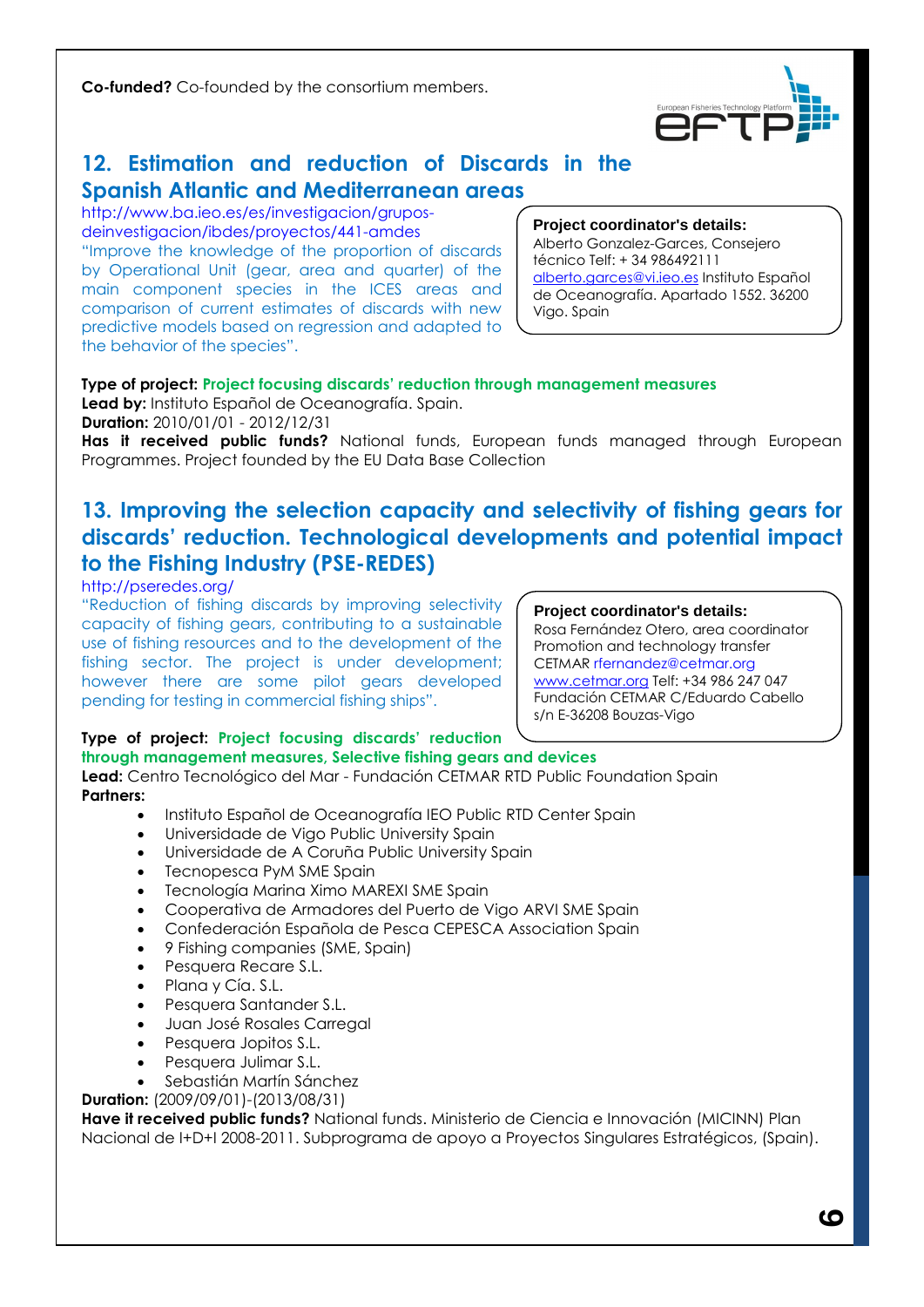**Co-funded?** Co-founded by the consortium members.



### **12. Estimation and reduction of Discards in the Spanish Atlantic and Mediterranean areas**

http://www.ba.ieo.es/es/investigacion/gruposdeinvestigacion/ibdes/proyectos/441-amdes "Improve the knowledge of the proportion of discards by Operational Unit (gear, area and quarter) of the main component species in the ICES areas and comparison of current estimates of discards with new predictive models based on regression and adapted to the behavior of the species".

#### **Project coordinator's details:**

Alberto Gonzalez-Garces, Consejero técnico Telf: + 34 986492111 [alberto.garces@vi.ieo.es](mailto:alberto.garces@vi.ieo.es) Instituto Español de Oceanografía. Apartado 1552. 36200 Vigo. Spain

### **Type of project: Project focusing discards' reduction through management measures**

**Lead by:** Instituto Español de Oceanografía. Spain. **Duration:** 2010/01/01 - 2012/12/31

Has it received public funds? National funds, European funds managed through European Programmes. Project founded by the EU Data Base Collection

## **13. Improving the selection capacity and selectivity of fishing gears for discards' reduction. Technological developments and potential impact to the Fishing Industry (PSE-REDES)**

http://pseredes.org/

"Reduction of fishing discards by improving selectivity capacity of fishing gears, contributing to a sustainable use of fishing resources and to the development of the fishing sector. The project is under development; however there are some pilot gears developed pending for testing in commercial fishing ships".

#### **Project coordinator's details:**

Rosa Fernández Otero, area coordinator Promotion and technology transfer CETMAR rfernandez@cetmar.org [www.cetmar.org](http://www.cetmar.org/) Telf: +34 986 247 047 Fundación CETMAR C/Eduardo Cabello s/n E-36208 Bouzas-Vigo

### **Type of project: Project focusing discards' reduction**

### **through management measures, Selective fishing gears and devices**

**Lead:** Centro Tecnológico del Mar - Fundación CETMAR RTD Public Foundation Spain **Partners:**

- Instituto Español de Oceanografía IEO Public RTD Center Spain
- Universidade de Vigo Public University Spain
- Universidade de A Coruña Public University Spain
- Tecnopesca PyM SME Spain
- Tecnología Marina Ximo MAREXI SME Spain
- Cooperativa de Armadores del Puerto de Vigo ARVI SME Spain
- Confederación Española de Pesca CEPESCA Association Spain
- 9 Fishing companies (SME, Spain)
- Pesquera Recare S.L.
- Plana y Cía. S.L.
- Pesquera Santander S.L.
- Juan José Rosales Carregal
- Pesquera Jopitos S.L.
- Pesquera Julimar S.L.
- Sebastián Martín Sánchez

**Duration:** (2009/09/01)-(2013/08/31)

**Have it received public funds?** National funds. Ministerio de Ciencia e Innovación (MICINN) Plan Nacional de I+D+I 2008-2011. Subprograma de apoyo a Proyectos Singulares Estratégicos, (Spain).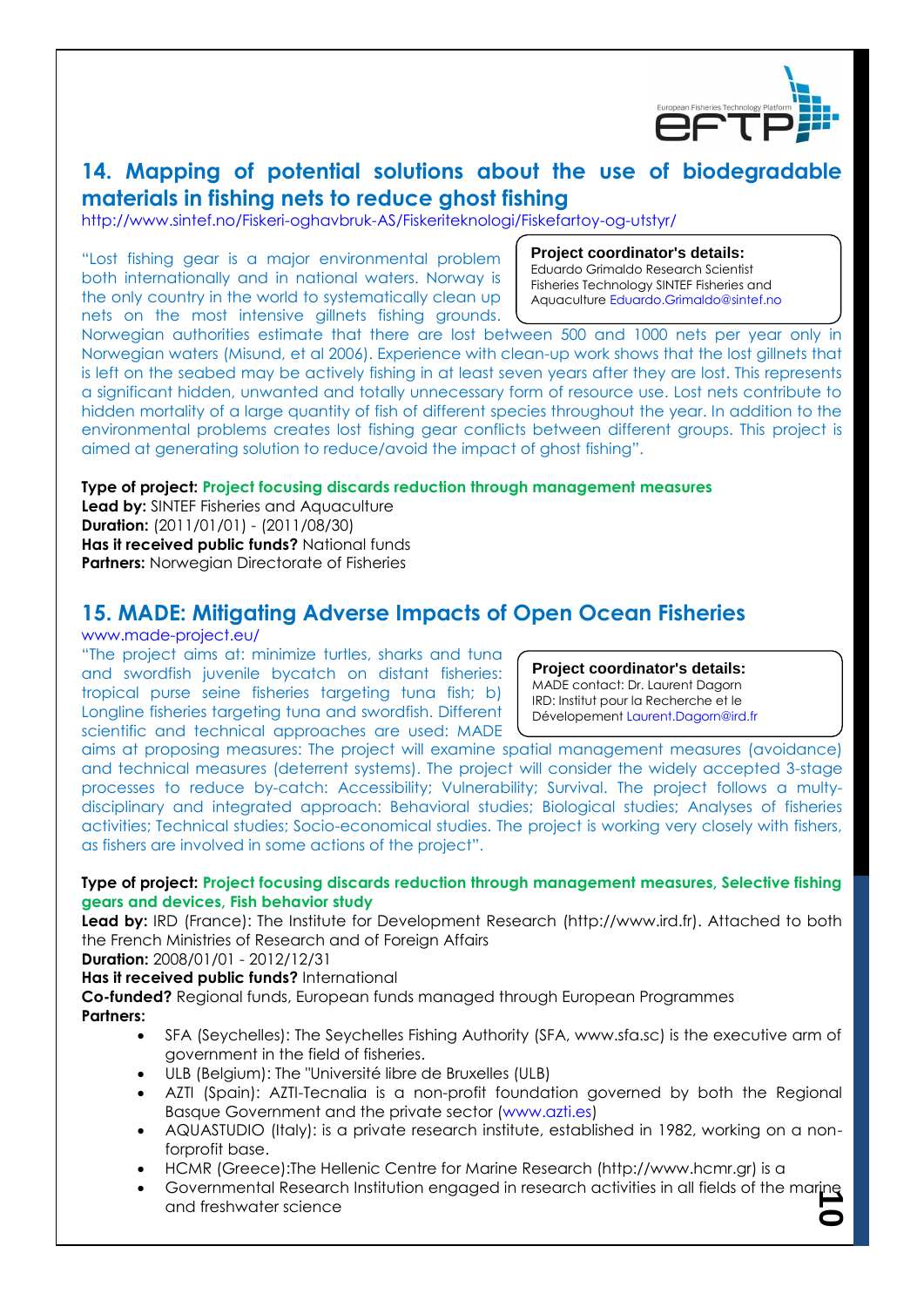

### **14. Mapping of potential solutions about the use of biodegradable materials in fishing nets to reduce ghost fishing**

http://www.sintef.no/Fiskeri-oghavbruk-AS/Fiskeriteknologi/Fiskefartoy-og-utstyr/

"Lost fishing gear is a major environmental problem both internationally and in national waters. Norway is the only country in the world to systematically clean up nets on the most intensive gillnets fishing grounds.

**Project coordinator's details:**

Eduardo Grimaldo Research Scientist Fisheries Technology SINTEF Fisheries and Aquaculture Eduardo.Grimaldo@sintef.no

Norwegian authorities estimate that there are lost between 500 and 1000 nets per year only in Norwegian waters (Misund, et al 2006). Experience with clean-up work shows that the lost gillnets that is left on the seabed may be actively fishing in at least seven years after they are lost. This represents a significant hidden, unwanted and totally unnecessary form of resource use. Lost nets contribute to hidden mortality of a large quantity of fish of different species throughout the year. In addition to the environmental problems creates lost fishing gear conflicts between different groups. This project is aimed at generating solution to reduce/avoid the impact of ghost fishing".

### **Type of project: Project focusing discards reduction through management measures**

**Lead by:** SINTEF Fisheries and Aquaculture **Duration:** (2011/01/01) - (2011/08/30) **Has it received public funds?** National funds **Partners:** Norwegian Directorate of Fisheries

### **15. MADE: Mitigating Adverse Impacts of Open Ocean Fisheries**

#### www.made-project.eu/

"The project aims at: minimize turtles, sharks and tuna and swordfish juvenile bycatch on distant fisheries: tropical purse seine fisheries targeting tuna fish; b) Longline fisheries targeting tuna and swordfish. Different scientific and technical approaches are used: MADE

**Project coordinator's details:** MADE contact: Dr. Laurent Dagorn IRD: Institut pour la Recherche et le Dévelopement Laurent.Dagorn@ird.fr

aims at proposing measures: The project will examine spatial management measures (avoidance) and technical measures (deterrent systems). The project will consider the widely accepted 3-stage processes to reduce by-catch: Accessibility; Vulnerability; Survival. The project follows a multydisciplinary and integrated approach: Behavioral studies; Biological studies; Analyses of fisheries activities; Technical studies; Socio-economical studies. The project is working very closely with fishers, as fishers are involved in some actions of the project".

### **Type of project: Project focusing discards reduction through management measures, Selective fishing gears and devices, Fish behavior study**

Lead by: IRD (France): The Institute for Development Research (http://www.ird.fr). Attached to both the French Ministries of Research and of Foreign Affairs

**Duration:** 2008/01/01 - 2012/12/31

**Has it received public funds?** International

**Co-funded?** Regional funds, European funds managed through European Programmes **Partners:**

- SFA (Seychelles): The Seychelles Fishing Authority (SFA, www.sfa.sc) is the executive arm of government in the field of fisheries.
- ULB (Belgium): The "Université libre de Bruxelles (ULB)
- AZTI (Spain): AZTI-Tecnalia is a non-profit foundation governed by both the Regional Basque Government and the private sector (www.azti.es)
- AQUASTUDIO (Italy): is a private research institute, established in 1982, working on a nonforprofit base.
- HCMR (Greece):The Hellenic Centre for Marine Research (http://www.hcmr.gr) is a
- Governmental Research Institution engaged in research activities in all fields of the marine<br>and freshwater science and freshwater science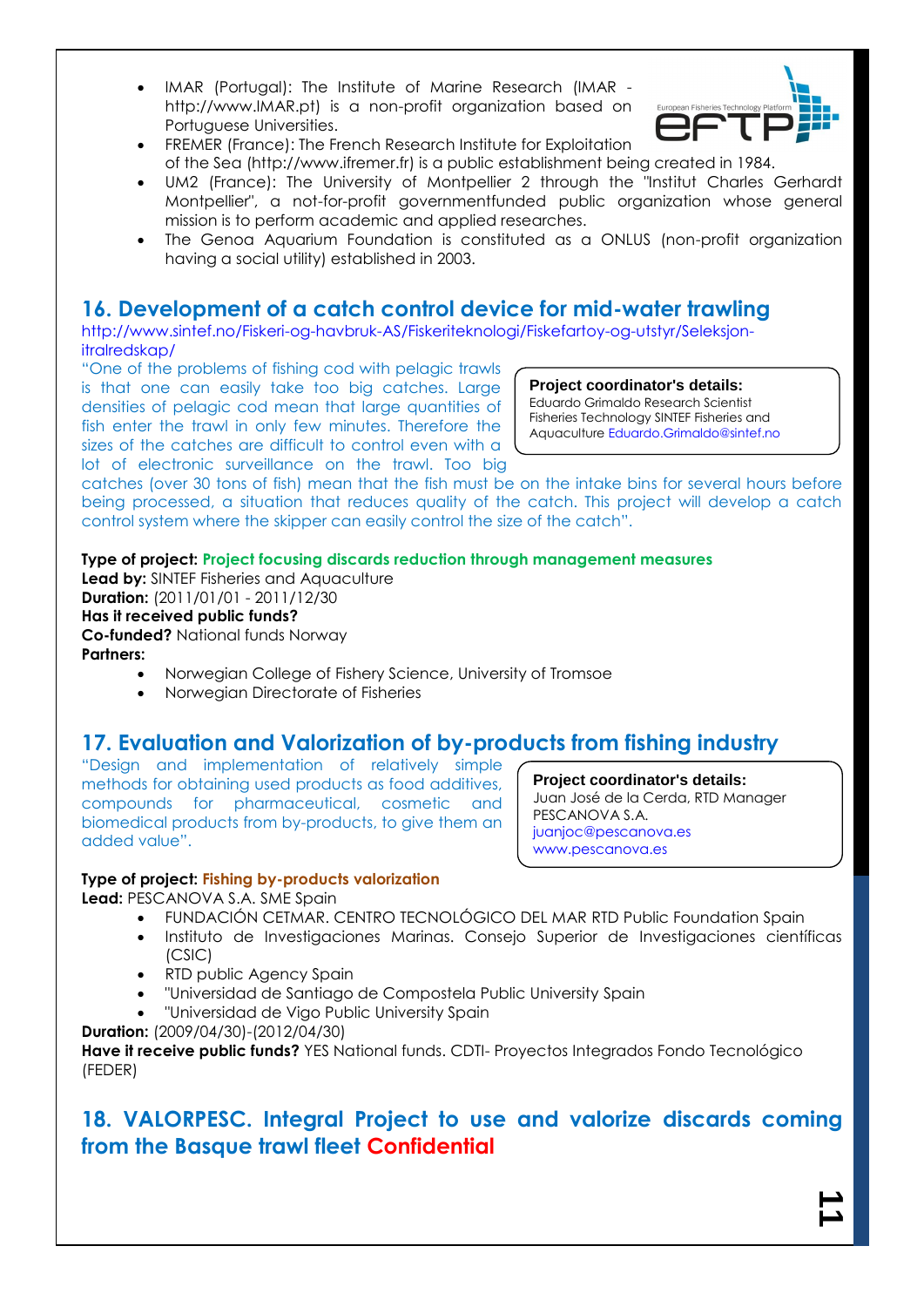IMAR (Portugal): The Institute of Marine Research (IMAR http://www.IMAR.pt) is a non-profit organization based on Portuguese Universities.



- FREMER (France): The French Research Institute for Exploitation of the Sea (http://www.ifremer.fr) is a public establishment being created in 1984.
- UM2 (France): The University of Montpellier 2 through the "Institut Charles Gerhardt Montpellier", a not-for-profit governmentfunded public organization whose general mission is to perform academic and applied researches.
- The Genoa Aquarium Foundation is constituted as a ONLUS (non-profit organization having a social utility) established in 2003.

### **16. Development of a catch control device for mid-water trawling**

http://www.sintef.no/Fiskeri-og-havbruk-AS/Fiskeriteknologi/Fiskefartoy-og-utstyr/Seleksjonitralredskap/

"One of the problems of fishing cod with pelagic trawls is that one can easily take too big catches. Large densities of pelagic cod mean that large quantities of fish enter the trawl in only few minutes. Therefore the sizes of the catches are difficult to control even with a lot of electronic surveillance on the trawl. Too big

#### **Project coordinator's details:** Eduardo Grimaldo Research Scientist Fisheries Technology SINTEF Fisheries and Aquaculture Eduardo.Grimaldo@sintef.no

catches (over 30 tons of fish) mean that the fish must be on the intake bins for several hours before being processed, a situation that reduces quality of the catch. This project will develop a catch control system where the skipper can easily control the size of the catch".

### **Type of project: Project focusing discards reduction through management measures**

**Lead by:** SINTEF Fisheries and Aquaculture **Duration:** (2011/01/01 - 2011/12/30 **Has it received public funds? Co-funded?** National funds Norway **Partners:**

- Norwegian College of Fishery Science, University of Tromsoe
- Norwegian Directorate of Fisheries

### **17. Evaluation and Valorization of by-products from fishing industry**

"Design and implementation of relatively simple methods for obtaining used products as food additives, compounds for pharmaceutical, cosmetic and biomedical products from by-products, to give them an added value".

**Project coordinator's details:** Juan José de la Cerda, RTD Manager PESCANOVA S.A. juanjoc@pescanova.es www.pescanova.es

### **Type of project: Fishing by-products valorization**

**Lead:** PESCANOVA S.A. SME Spain

- FUNDACIÓN CETMAR. CENTRO TECNOLÓGICO DEL MAR RTD Public Foundation Spain
- Instituto de Investigaciones Marinas. Consejo Superior de Investigaciones científicas (CSIC)
- RTD public Agency Spain
- "Universidad de Santiago de Compostela Public University Spain
- "Universidad de Vigo Public University Spain

#### **Duration:** (2009/04/30)-(2012/04/30)

**Have it receive public funds?** YES National funds. CDTI- Proyectos Integrados Fondo Tecnológico (FEDER)

### **18. VALORPESC. Integral Project to use and valorize discards coming from the Basque trawl fleet Confidential**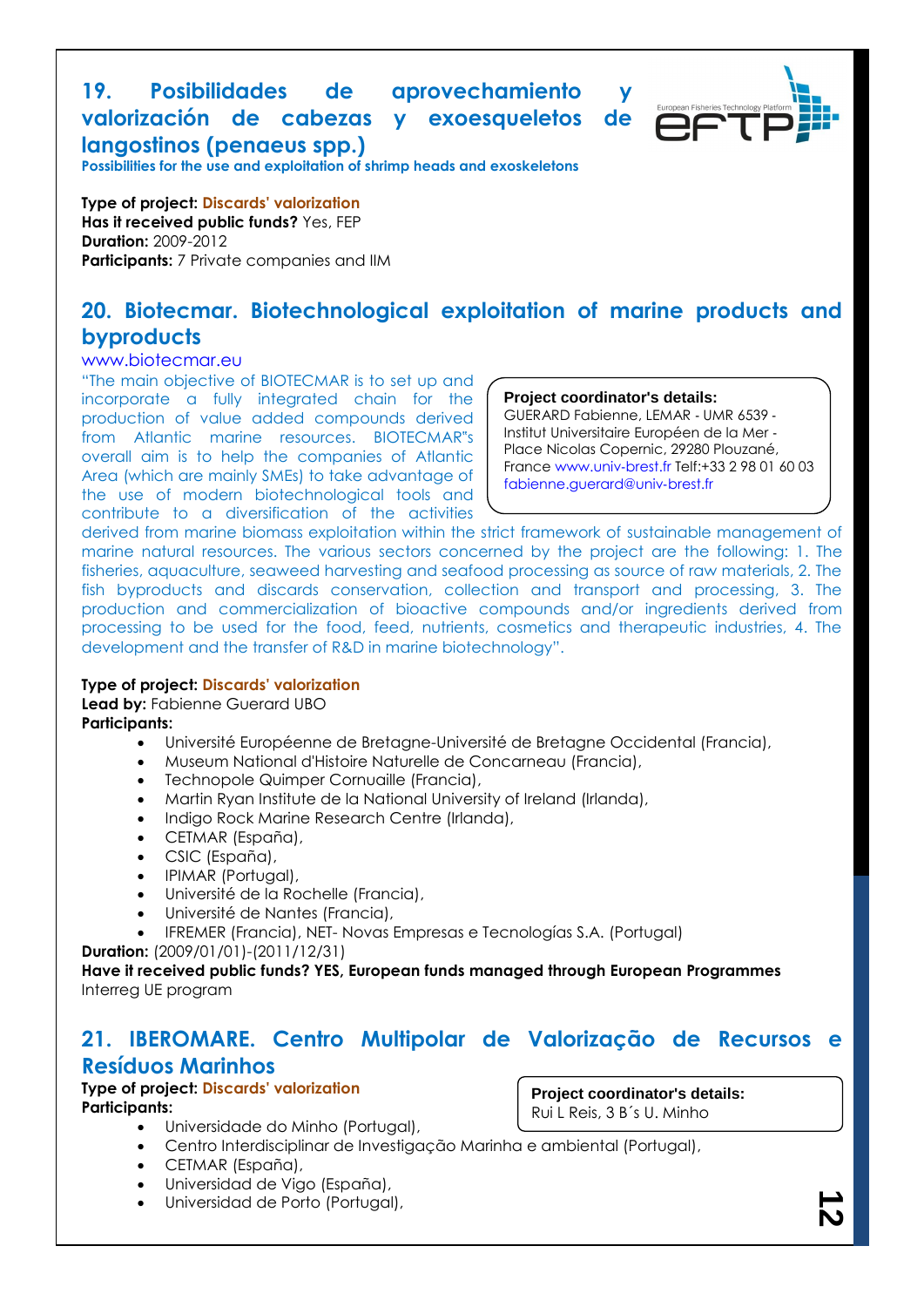### **19. Posibilidades de aprovechamiento y valorización de cabezas y exoesqueletos de langostinos (penaeus spp.)**



**Possibilities for the use and exploitation of shrimp heads and exoskeletons**

**Type of project: Discards' valorization Has it received public funds?** Yes, FEP **Duration:** 2009-2012 **Participants:** 7 Private companies and IIM

### **20. Biotecmar. Biotechnological exploitation of marine products and byproducts**

#### www.biotecmar.eu

"The main objective of BIOTECMAR is to set up and incorporate a fully integrated chain for the production of value added compounds derived from Atlantic marine resources. BIOTECMAR"s overall aim is to help the companies of Atlantic Area (which are mainly SMEs) to take advantage of the use of modern biotechnological tools and contribute to a diversification of the activities

#### **Project coordinator's details:**

GUERARD Fabienne, LEMAR ‐ UMR 6539 ‐ Institut Universitaire Européen de la Mer ‐ Place Nicolas Copernic, 29280 Plouzané, France www.univ‐brest.fr Telf:+33 2 98 01 60 03 fabienne.guerard@univ‐brest.fr

derived from marine biomass exploitation within the strict framework of sustainable management of marine natural resources. The various sectors concerned by the project are the following: 1. The fisheries, aquaculture, seaweed harvesting and seafood processing as source of raw materials, 2. The fish byproducts and discards conservation, collection and transport and processing, 3. The production and commercialization of bioactive compounds and/or ingredients derived from processing to be used for the food, feed, nutrients, cosmetics and therapeutic industries, 4. The development and the transfer of R&D in marine biotechnology".

#### **Type of project: Discards' valorization**

#### **Lead by: Fabienne Guerard UBO**

**Participants:**

- Université Européenne de Bretagne-Université de Bretagne Occidental (Francia),
- Museum National d'Histoire Naturelle de Concarneau (Francia),
- Technopole Quimper Cornuaille (Francia),
- Martin Ryan Institute de la National University of Ireland (Irlanda),
- Indigo Rock Marine Research Centre (Irlanda),
- CETMAR (España),
- CSIC (España),
- IPIMAR (Portugal),
- Université de la Rochelle (Francia),
- Université de Nantes (Francia),
- IFREMER (Francia), NET- Novas Empresas e Tecnologías S.A. (Portugal)

**Duration:** (2009/01/01)-(2011/12/31)

**Have it received public funds? YES, European funds managed through European Programmes** Interreg UE program

### **21. IBEROMARE. Centro Multipolar de Valorização de Recursos e Resíduos Marinhos**

## **Type of project: Discards' valorization**

**Participants:**

**Project coordinator's details:** Rui L Reis, 3 B´s U. Minho

- Universidade do Minho (Portugal),
- Centro Interdisciplinar de Investigação Marinha e ambiental (Portugal),
- CETMAR (España),
- Universidad de Vigo (España),
- Universidad de Porto (Portugal),

<u>لہ</u>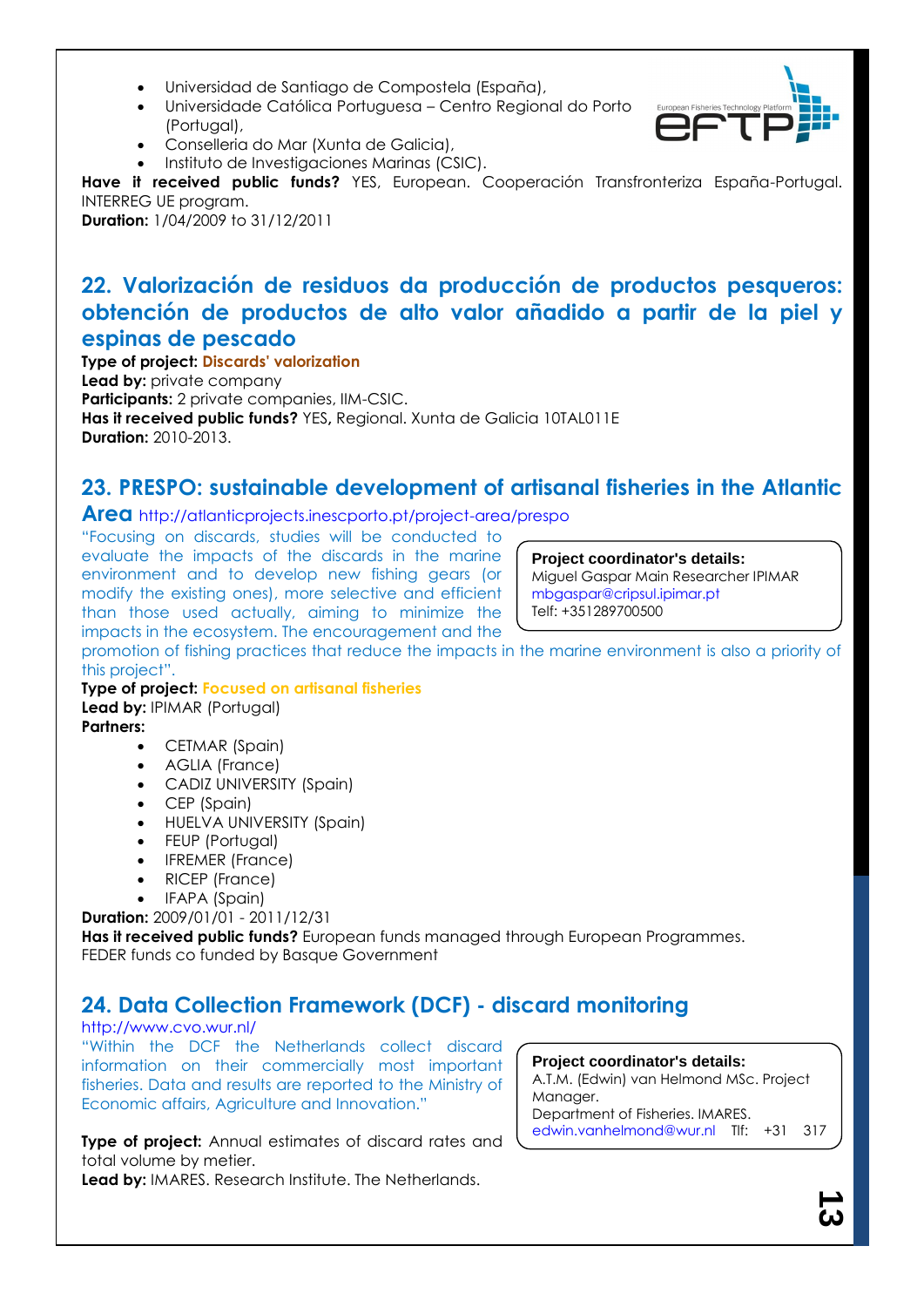- Universidad de Santiago de Compostela (España),
- Universidade Católica Portuguesa Centro Regional do Porto (Portugal),
- Conselleria do Mar (Xunta de Galicia),
- $\bullet$  Instituto de Investigaciones Marinas (CSIC).

**Have it received public funds?** YES, European. Cooperación Transfronteriza España-Portugal. INTERREG UE program.

**Duration:** 1/04/2009 to 31/12/2011

### **22. Valorización de residuos da producción de productos pesqueros: obtención de productos de alto valor añadido a partir de la piel y espinas de pescado**

**Type of project: Discards' valorization Lead by:** private company **Participants:** 2 private companies, IIM-CSIC. **Has it received public funds?** YES**,** Regional. Xunta de Galicia 10TAL011E **Duration:** 2010-2013.

### **23. PRESPO: sustainable development of artisanal fisheries in the Atlantic**

**Area** http://atlanticprojects.inescporto.pt/project-area/prespo

"Focusing on discards, studies will be conducted to evaluate the impacts of the discards in the marine environment and to develop new fishing gears (or modify the existing ones), more selective and efficient than those used actually, aiming to minimize the impacts in the ecosystem. The encouragement and the

**Project coordinator's details:**

Miguel Gaspar Main Researcher IPIMAR mbgaspar@cripsul.ipimar.pt Telf: +351289700500

promotion of fishing practices that reduce the impacts in the marine environment is also a priority of this project".

#### **Type of project: Focused on artisanal fisheries Lead by:** IPIMAR (Portugal) **Partners:**

- CETMAR (Spain)
- AGLIA (France)
- CADIZ UNIVERSITY (Spain)
- CEP (Spain)
- HUELVA UNIVERSITY (Spain)
- FEUP (Portugal)
- IFREMER (France)
- RICEP (France)
- IFAPA (Spain)

**Duration:** 2009/01/01 - 2011/12/31

**Has it received public funds?** European funds managed through European Programmes. FEDER funds co funded by Basque Government

## **24. Data Collection Framework (DCF) - discard monitoring**

#### http://www.cvo.wur.nl/

"Within the DCF the Netherlands collect discard information on their commercially most important fisheries. Data and results are reported to the Ministry of Economic affairs, Agriculture and Innovation."

**Type of project:** Annual estimates of discard rates and total volume by metier.

**Lead by:** IMARES. Research Institute. The Netherlands.

**Project coordinator's details:** A.T.M. (Edwin) van Helmond MSc. Project Manager. Department of Fisheries. IMARES. edwin.vanhelmond@wur.nl Tlf: +31 317

487171

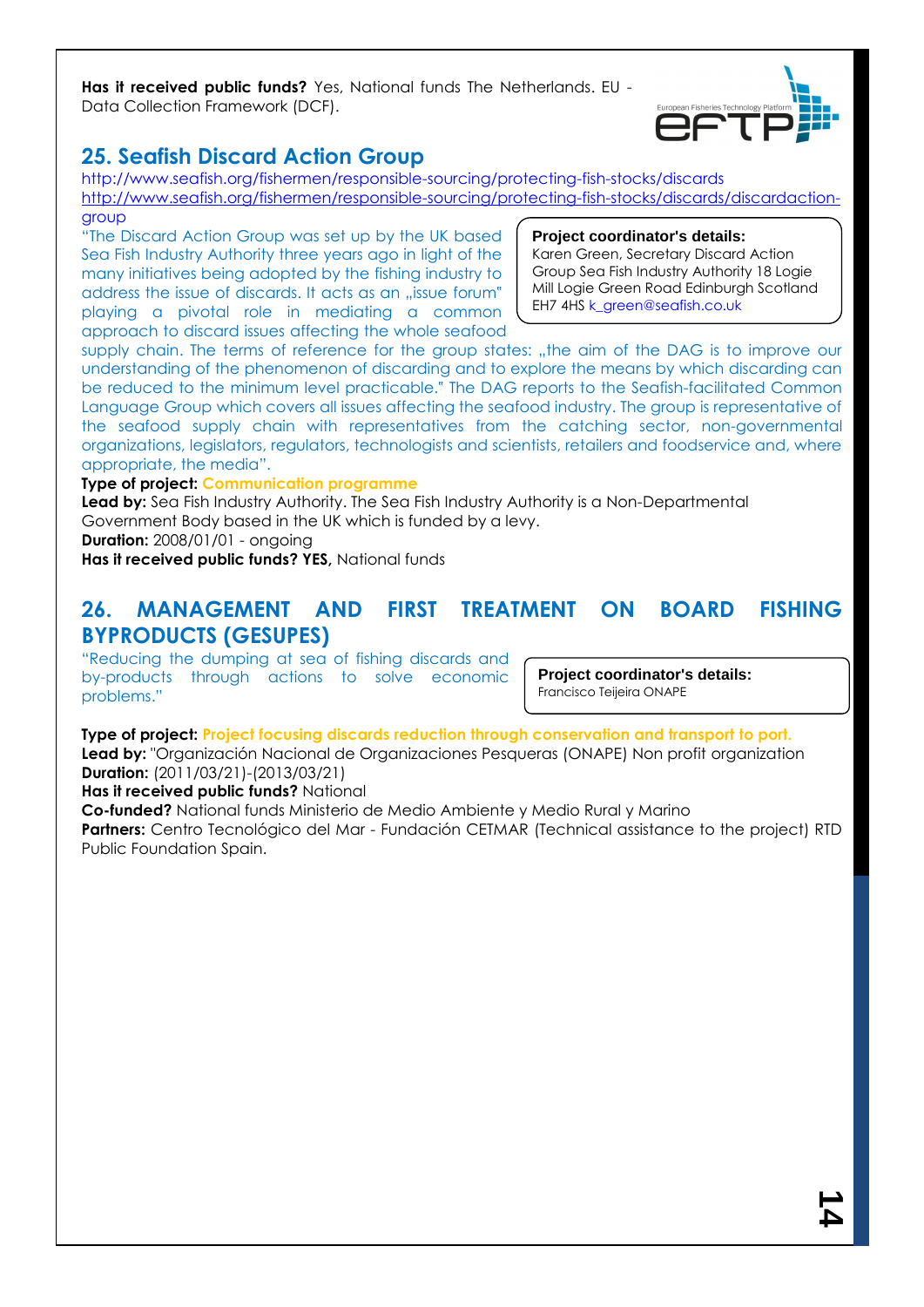**Has it received public funds?** Yes, National funds The Netherlands. EU - Data Collection Framework (DCF).



### **25. Seafish Discard Action Group**

http://www.seafish.org/fishermen/responsible-sourcing/protecting-fish-stocks/discards [http://www.seafish.org/fishermen/responsible-sourcing/protecting-fish-stocks/discards/discardaction](http://www.seafish.org/fishermen/responsible-sourcing/protecting-fish-stocks/discards/discardaction-)group

"The Discard Action Group was set up by the UK based Sea Fish Industry Authority three years ago in light of the many initiatives being adopted by the fishing industry to address the issue of discards. It acts as an "issue forum" playing a pivotal role in mediating a common approach to discard issues affecting the whole seafood

#### **Project coordinator's details:**

Karen Green, Secretary Discard Action Group Sea Fish Industry Authority 18 Logie Mill Logie Green Road Edinburgh Scotland EH7 4HS k\_green@seafish.co.uk

supply chain. The terms of reference for the group states: "the aim of the DAG is to improve our understanding of the phenomenon of discarding and to explore the means by which discarding can be reduced to the minimum level practicable." The DAG reports to the Seafish-facilitated Common Language Group which covers all issues affecting the seafood industry. The group is representative of the seafood supply chain with representatives from the catching sector, non-governmental organizations, legislators, regulators, technologists and scientists, retailers and foodservice and, where appropriate, the media".

### **Type of project: Communication programme**

**Lead by:** Sea Fish Industry Authority. The Sea Fish Industry Authority is a Non-Departmental Government Body based in the UK which is funded by a levy.

**Duration:** 2008/01/01 - ongoing

**Has it received public funds? YES,** National funds

### **26. MANAGEMENT AND FIRST TREATMENT ON BOARD FISHING BYPRODUCTS (GESUPES)**

"Reducing the dumping at sea of fishing discards and by-products through actions to solve economic problems."

**Project coordinator's details:** Francisco Teijeira ONAPE

**Type of project: Project focusing discards reduction through conservation and transport to port. Lead by:** "Organización Nacional de Organizaciones Pesqueras (ONAPE) Non profit organization **Duration:** (2011/03/21)-(2013/03/21)

**Has it received public funds?** National

**Co-funded?** National funds Ministerio de Medio Ambiente y Medio Rural y Marino **Partners:** Centro Tecnológico del Mar - Fundación CETMAR (Technical assistance to the project) RTD Public Foundation Spain.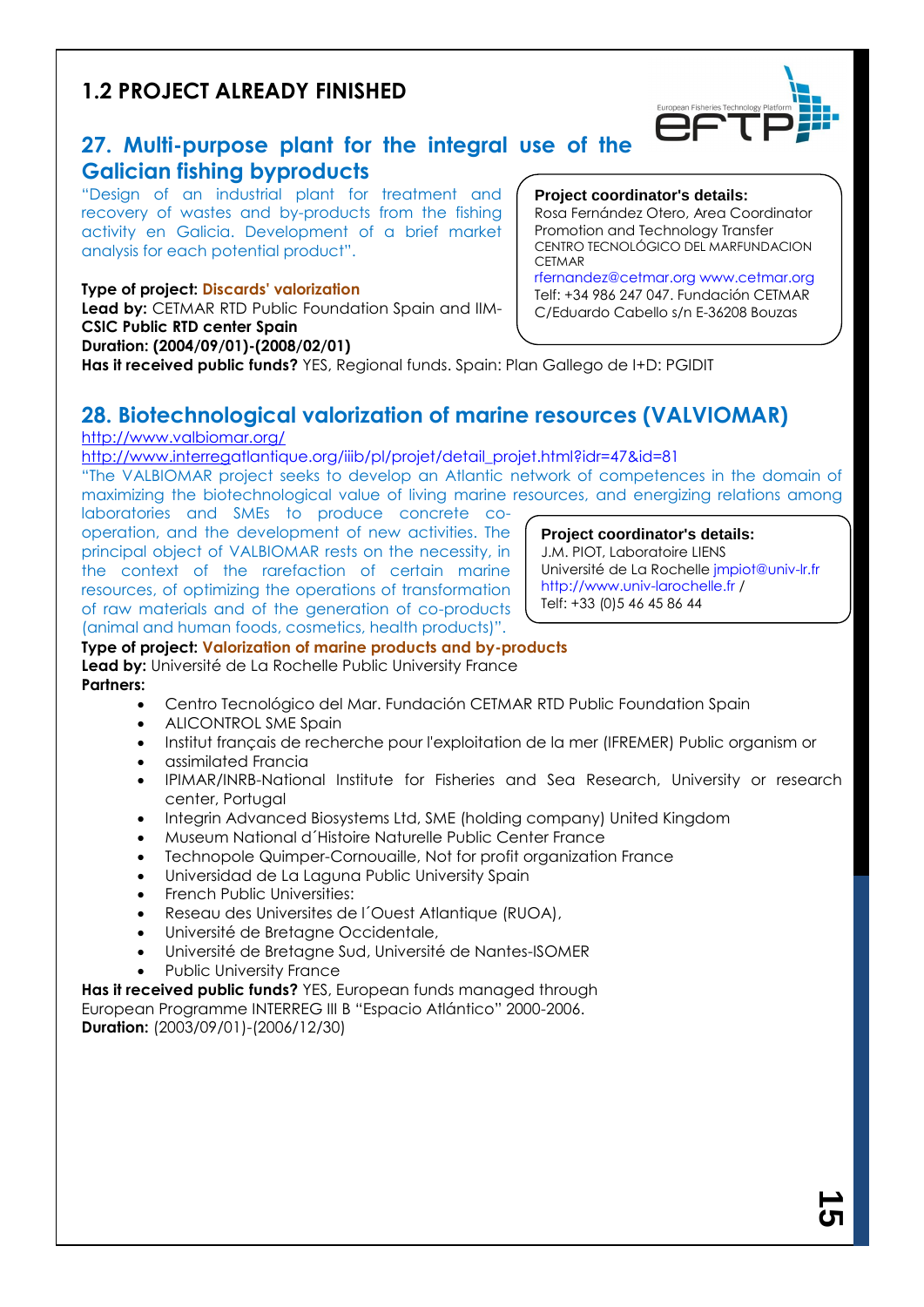### **1.2 PROJECT ALREADY FINISHED**



"Design of an industrial plant for treatment and recovery of wastes and by-products from the fishing activity en Galicia. Development of a brief market analysis for each potential product".

### **Type of project: Discards' valorization**

**Lead by:** CETMAR RTD Public Foundation Spain and IIM-**CSIC Public RTD center Spain Duration: (2004/09/01)-(2008/02/01)**

### **Project coordinator's details:**

Rosa Fernández Otero, Area Coordinator Promotion and Technology Transfer CENTRO TECNOLÓGICO DEL MARFUNDACION **CETMAR** 

European Fisheries Te

rfernandez@cetmar.org www.cetmar.org Telf: +34 986 247 047. Fundación CETMAR C/Eduardo Cabello s/n E-36208 Bouzas

**Has it received public funds?** YES, Regional funds. Spain: Plan Gallego de I+D: PGIDIT

### **28. Biotechnological valorization of marine resources (VALVIOMAR)**

### <http://www.valbiomar.org/>

[http://www.interrega](http://www.interreg/)tlantique.org/iiib/pl/projet/detail\_projet.html?idr=47&id=81

"The VALBIOMAR project seeks to develop an Atlantic network of competences in the domain of maximizing the biotechnological value of living marine resources, and energizing relations among

laboratories and SMEs to produce concrete cooperation, and the development of new activities. The principal object of VALBIOMAR rests on the necessity, in the context of the rarefaction of certain marine resources, of optimizing the operations of transformation of raw materials and of the generation of co-products (animal and human foods, cosmetics, health products)".

#### **Project coordinator's details:**

J.M. PIOT, Laboratoire LIENS Université de La Rochelle jmpiot@univ-lr.fr http://www.univ-larochelle.fr / Telf: +33 (0)5 46 45 86 44

**Type of project: Valorization of marine products and by-products** Lead by: Université de La Rochelle Public University France **Partners:**

- Centro Tecnológico del Mar. Fundación CETMAR RTD Public Foundation Spain
- ALICONTROL SME Spain
- Institut français de recherche pour l'exploitation de la mer (IFREMER) Public organism or
- assimilated Francia
- IPIMAR/INRB-National Institute for Fisheries and Sea Research, University or research center, Portugal
- Integrin Advanced Biosystems Ltd, SME (holding company) United Kingdom
- Museum National d´Histoire Naturelle Public Center France
- Technopole Quimper-Cornouaille, Not for profit organization France
- Universidad de La Laguna Public University Spain
- French Public Universities:
- Reseau des Universites de l´Ouest Atlantique (RUOA),
- Université de Bretagne Occidentale,
- Université de Bretagne Sud, Université de Nantes-ISOMER
- Public University France

**Has it received public funds?** YES, European funds managed through European Programme INTERREG III B "Espacio Atlántico" 2000-2006. **Duration:** (2003/09/01)-(2006/12/30)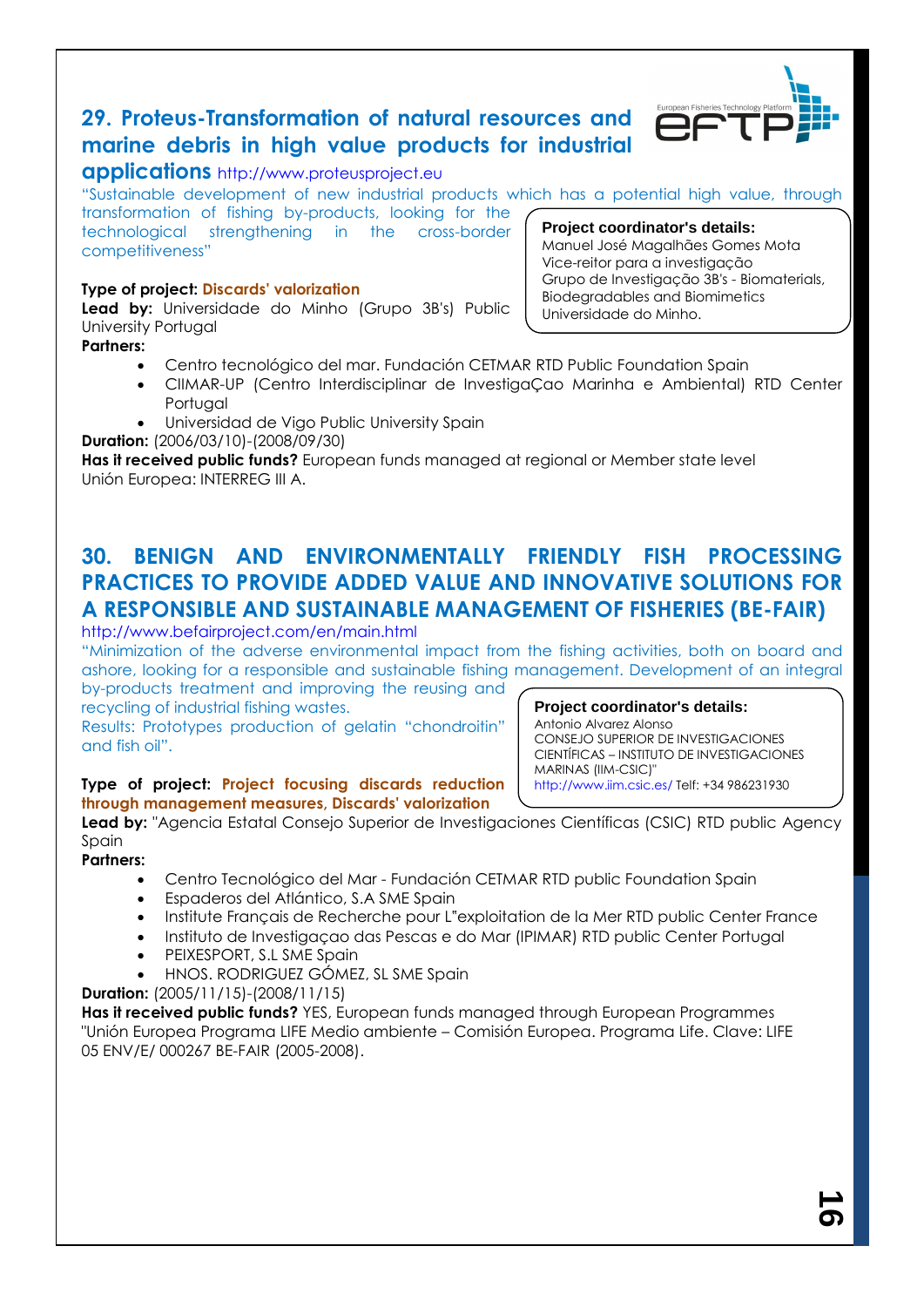### **29. Proteus-Transformation of natural resources and marine debris in high value products for industrial**



Manuel José Magalhães Gomes Mota Vice-reitor para a investigação

Biodegradables and Biomimetics

Universidade do Minho.

Grupo de Investigação 3B's - Biomaterials,

### **applications** http://www.proteusproject.eu

**Project coordinator's details:** "Sustainable development of new industrial products which has a potential high value, through transformation of fishing by-products, looking for the

technological strengthening in the cross-border competitiveness"

### **Type of project: Discards' valorization**

**Lead by:** Universidade do Minho (Grupo 3B's) Public University Portugal

**Partners:**

- Centro tecnológico del mar. Fundación CETMAR RTD Public Foundation Spain
- CIIMAR-UP (Centro Interdisciplinar de InvestigaÇao Marinha e Ambiental) RTD Center Portugal
- Universidad de Vigo Public University Spain

**Duration:** (2006/03/10)-(2008/09/30)

**Has it received public funds?** European funds managed at regional or Member state level Unión Europea: INTERREG III A.

### **30. BENIGN AND ENVIRONMENTALLY FRIENDLY FISH PROCESSING PRACTICES TO PROVIDE ADDED VALUE AND INNOVATIVE SOLUTIONS FOR A RESPONSIBLE AND SUSTAINABLE MANAGEMENT OF FISHERIES (BE-FAIR)**

http://www.befairproject.com/en/main.html

"Minimization of the adverse environmental impact from the fishing activities, both on board and ashore, looking for a responsible and sustainable fishing management. Development of an integral

by-products treatment and improving the reusing and recycling of industrial fishing wastes.

Results: Prototypes production of gelatin "chondroitin" and fish oil".

**Project coordinator's details:** Antonio Alvarez Alonso CONSEJO SUPERIOR DE INVESTIGACIONES CIENTÍFICAS – INSTITUTO DE INVESTIGACIONES MARINAS (IIM-CSIC)" http://www.iim.csic.es/ Telf: +34 986231930

### **Type of project: Project focusing discards reduction through management measures, Discards' valorization**

Lead by: "Agencia Estatal Consejo Superior de Investigaciones Científicas (CSIC) RTD public Agency Spain

### **Partners:**

- Centro Tecnológico del Mar Fundación CETMAR RTD public Foundation Spain
- Espaderos del Atlántico, S.A SME Spain
- Institute Français de Recherche pour L"exploitation de la Mer RTD public Center France
- Instituto de Investigaçao das Pescas e do Mar (IPIMAR) RTD public Center Portugal
- PEIXESPORT, S.L SME Spain
- HNOS. RODRIGUEZ GÓMEZ, SL SME Spain

**Duration:** (2005/11/15)-(2008/11/15)

**Has it received public funds?** YES, European funds managed through European Programmes "Unión Europea Programa LIFE Medio ambiente – Comisión Europea. Programa Life. Clave: LIFE 05 ENV/E/ 000267 BE-FAIR (2005-2008).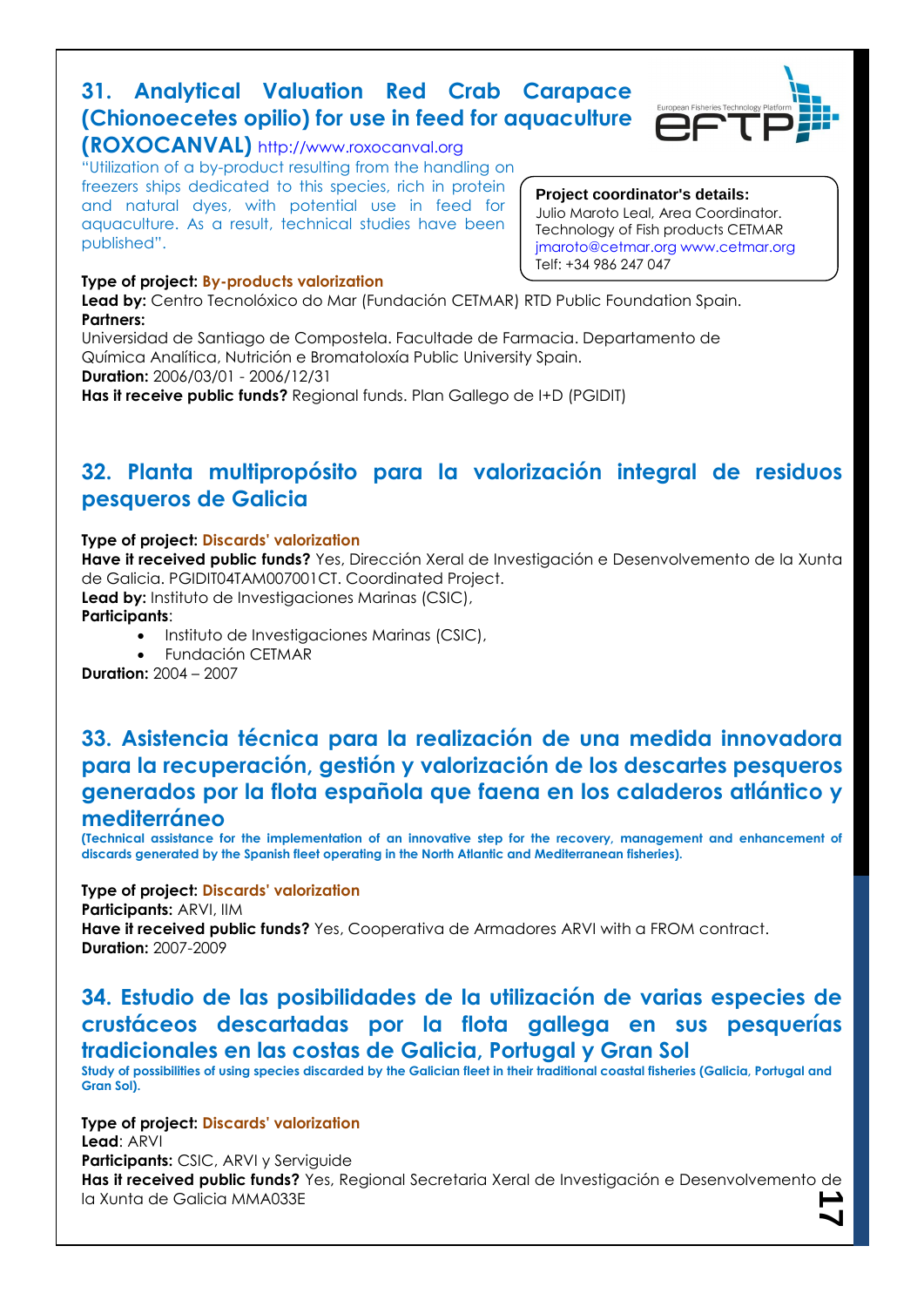### **31. Analytical Valuation Red Crab Carapace (Chionoecetes opilio) for use in feed for aquaculture**



### **(ROXOCANVAL)** http://www.roxocanval.org

"Utilization of a by-product resulting from the handling on freezers ships dedicated to this species, rich in protein and natural dyes, with potential use in feed for aquaculture. As a result, technical studies have been published".

### **Type of project: By-products valorization**

### **Project coordinator's details:**

Julio Maroto Leal, Area Coordinator. Technology of Fish products CETMAR jmaroto@cetmar.org www.cetmar.org Telf: +34 986 247 047

**Lead by:** Centro Tecnolóxico do Mar (Fundación CETMAR) RTD Public Foundation Spain. **Partners:**

Universidad de Santiago de Compostela. Facultade de Farmacia. Departamento de Química Analítica, Nutrición e Bromatoloxía Public University Spain. **Duration:** 2006/03/01 - 2006/12/31 **Has it receive public funds?** Regional funds. Plan Gallego de I+D (PGIDIT)

### **32. Planta multipropósito para la valorización integral de residuos pesqueros de Galicia**

### **Type of project: Discards' valorization**

**Have it received public funds?** Yes, Dirección Xeral de Investigación e Desenvolvemento de la Xunta de Galicia. PGIDIT04TAM007001CT. Coordinated Project.

**Lead by:** Instituto de Investigaciones Marinas (CSIC),

**Participants**:

- $\bullet$  Instituto de Investigaciones Marinas (CSIC),
- Fundación CETMAR

**Duration:** 2004 – 2007

### **33. Asistencia técnica para la realización de una medida innovadora para la recuperación, gestión y valorización de los descartes pesqueros generados por la flota española que faena en los caladeros atlántico y mediterráneo**

**(Technical assistance for the implementation of an innovative step for the recovery, management and enhancement of discards generated by the Spanish fleet operating in the North Atlantic and Mediterranean fisheries).**

**Type of project: Discards' valorization**

**Participants:** ARVI, IIM

**Have it received public funds?** Yes, Cooperativa de Armadores ARVI with a FROM contract. **Duration:** 2007-2009

### **34. Estudio de las posibilidades de la utilización de varias especies de crustáceos descartadas por la flota gallega en sus pesquerías tradicionales en las costas de Galicia, Portugal y Gran Sol**

**Study of possibilities of using species discarded by the Galician fleet in their traditional coastal fisheries (Galicia, Portugal and Gran Sol).**

**17 Type of project: Discards' valorization Lead**: ARVI **Participants:** CSIC, ARVI y Serviguide **Has it received public funds?** Yes, Regional Secretaria Xeral de Investigación e Desenvolvemento de la Xunta de Galicia MMA033E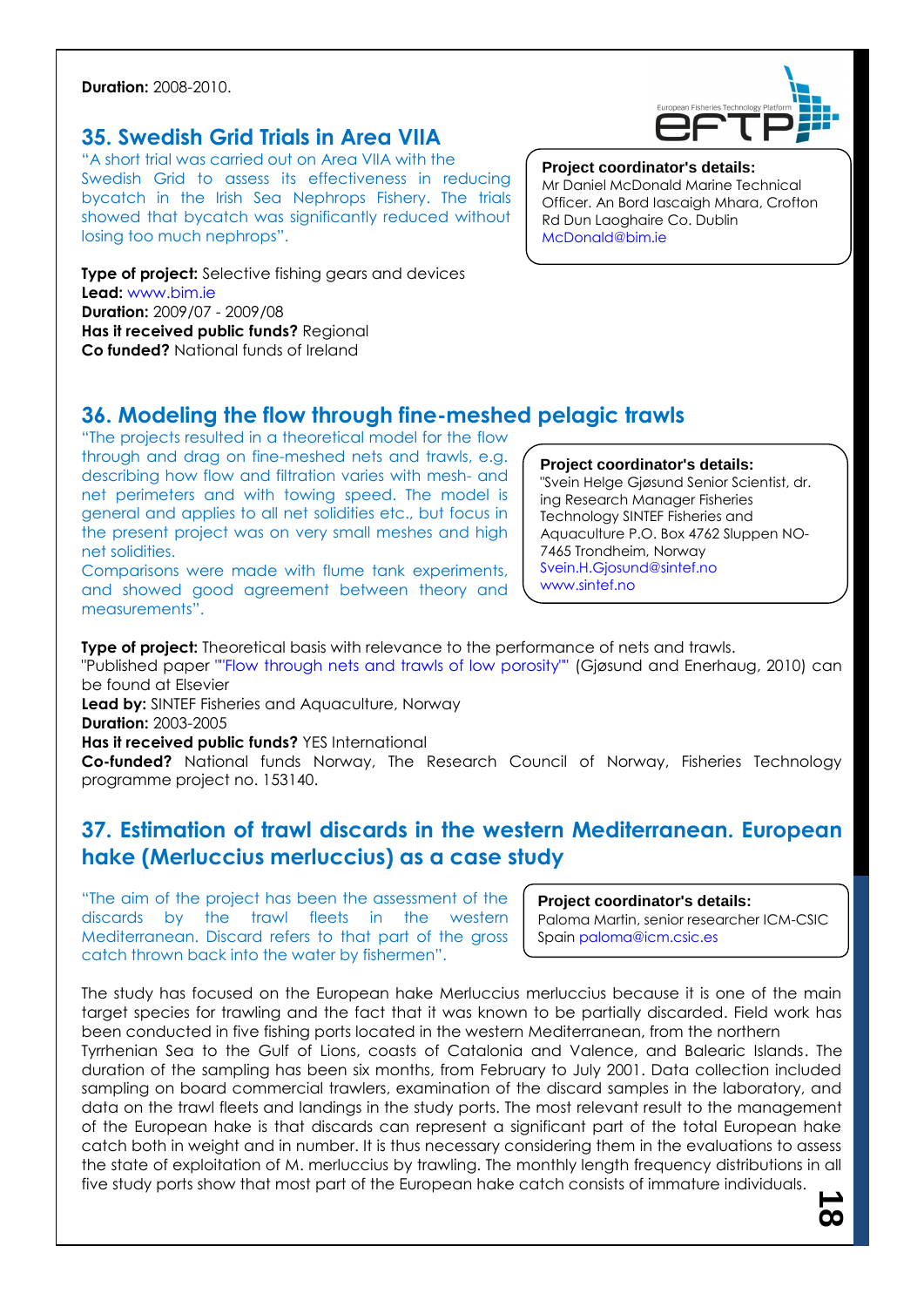**Duration:** 2008-2010.

### **35. Swedish Grid Trials in Area VIIA**

"A short trial was carried out on Area VIIA with the Swedish Grid to assess its effectiveness in reducing bycatch in the Irish Sea Nephrops Fishery. The trials showed that bycatch was significantly reduced without losing too much nephrops".

**Type of project:** Selective fishing gears and devices **Lead:** www.bim.ie **Duration:** 2009/07 - 2009/08 **Has it received public funds?** Regional **Co funded?** National funds of Ireland



#### **Project coordinator's details:**

Mr Daniel McDonald Marine Technical Officer. An Bord Iascaigh Mhara, Crofton Rd Dun Laoghaire Co. Dublin McDonald@bim.ie

### **36. Modeling the flow through fine-meshed pelagic trawls**

"The projects resulted in a theoretical model for the flow through and drag on fine-meshed nets and trawls, e.g. describing how flow and filtration varies with mesh- and net perimeters and with towing speed. The model is general and applies to all net solidities etc., but focus in the present project was on very small meshes and high net solidities.

Comparisons were made with flume tank experiments, and showed good agreement between theory and measurements".

**Project coordinator's details:** "Svein Helge Gjøsund Senior Scientist, dr. ing Research Manager Fisheries Technology SINTEF Fisheries and Aquaculture P.O. Box 4762 Sluppen NO-7465 Trondheim, Norway Svein.H.Gjosund@sintef.no www.sintef.no

**Type of project:** Theoretical basis with relevance to the performance of nets and trawls.

"Published paper ""Flow through nets and trawls of low porosity"" (Gjøsund and Enerhaug, 2010) can be found at Elsevier

**Lead by:** SINTEF Fisheries and Aquaculture, Norway

**Duration:** 2003-2005

**Has it received public funds?** YES International

**Co-funded?** National funds Norway, The Research Council of Norway, Fisheries Technology programme project no. 153140.

### **37. Estimation of trawl discards in the western Mediterranean. European hake (Merluccius merluccius) as a case study**

"The aim of the project has been the assessment of the discards by the trawl fleets in the western Mediterranean. Discard refers to that part of the gross catch thrown back into the water by fishermen".

**Project coordinator's details:** Paloma Martin, senior researcher ICM-CSIC Spain paloma@icm.csic.es

**00** 

The study has focused on the European hake Merluccius merluccius because it is one of the main target species for trawling and the fact that it was known to be partially discarded. Field work has been conducted in five fishing ports located in the western Mediterranean, from the northern

Tyrrhenian Sea to the Gulf of Lions, coasts of Catalonia and Valence, and Balearic Islands. The duration of the sampling has been six months, from February to July 2001. Data collection included sampling on board commercial trawlers, examination of the discard samples in the laboratory, and data on the trawl fleets and landings in the study ports. The most relevant result to the management of the European hake is that discards can represent a significant part of the total European hake catch both in weight and in number. It is thus necessary considering them in the evaluations to assess the state of exploitation of M. merluccius by trawling. The monthly length frequency distributions in all five study ports show that most part of the European hake catch consists of immature individuals.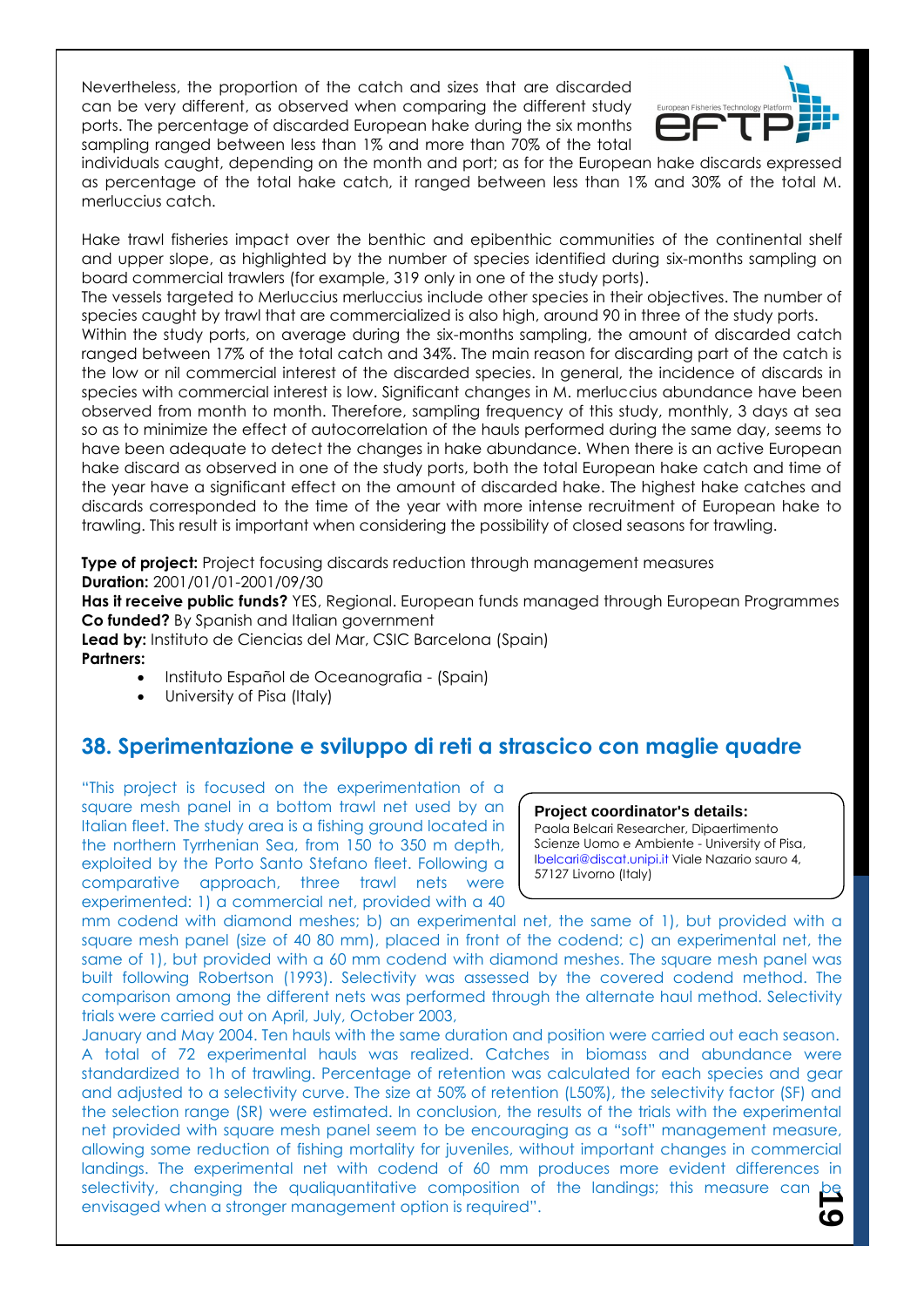Nevertheless, the proportion of the catch and sizes that are discarded can be very different, as observed when comparing the different study ports. The percentage of discarded European hake during the six months sampling ranged between less than 1% and more than 70% of the total



individuals caught, depending on the month and port; as for the European hake discards expressed as percentage of the total hake catch, it ranged between less than 1% and 30% of the total M. merluccius catch.

Hake trawl fisheries impact over the benthic and epibenthic communities of the continental shelf and upper slope, as highlighted by the number of species identified during six-months sampling on board commercial trawlers (for example, 319 only in one of the study ports).

The vessels targeted to Merluccius merluccius include other species in their objectives. The number of species caught by trawl that are commercialized is also high, around 90 in three of the study ports.

Within the study ports, on average during the six-months sampling, the amount of discarded catch ranged between 17% of the total catch and 34%. The main reason for discarding part of the catch is the low or nil commercial interest of the discarded species. In general, the incidence of discards in species with commercial interest is low. Significant changes in M. merluccius abundance have been observed from month to month. Therefore, sampling frequency of this study, monthly, 3 days at sea so as to minimize the effect of autocorrelation of the hauls performed during the same day, seems to have been adequate to detect the changes in hake abundance. When there is an active European hake discard as observed in one of the study ports, both the total European hake catch and time of the year have a significant effect on the amount of discarded hake. The highest hake catches and discards corresponded to the time of the year with more intense recruitment of European hake to trawling. This result is important when considering the possibility of closed seasons for trawling.

**Type of project:** Project focusing discards reduction through management measures **Duration:** 2001/01/01-2001/09/30

**Has it receive public funds?** YES, Regional. European funds managed through European Programmes **Co funded?** By Spanish and Italian government

**Lead by:** Instituto de Ciencias del Mar, CSIC Barcelona (Spain) **Partners:**

- Instituto Español de Oceanografia (Spain)
- University of Pisa (Italy)

### **38. Sperimentazione e sviluppo di reti a strascico con maglie quadre**

"This project is focused on the experimentation of a square mesh panel in a bottom trawl net used by an Italian fleet. The study area is a fishing ground located in the northern Tyrrhenian Sea, from 150 to 350 m depth, exploited by the Porto Santo Stefano fleet. Following a comparative approach, three trawl nets were experimented: 1) a commercial net, provided with a 40

#### **Project coordinator's details:**

Paola Belcari Researcher, Dipaertimento Scienze Uomo e Ambiente - University of Pisa, Ibelcari@discat.unipi.it Viale Nazario sauro 4, 57127 Livorno (Italy)

mm codend with diamond meshes; b) an experimental net, the same of 1), but provided with a square mesh panel (size of 40 80 mm), placed in front of the codend; c) an experimental net, the same of 1), but provided with a 60 mm codend with diamond meshes. The square mesh panel was built following Robertson (1993). Selectivity was assessed by the covered codend method. The comparison among the different nets was performed through the alternate haul method. Selectivity trials were carried out on April, July, October 2003,

**19** January and May 2004. Ten hauls with the same duration and position were carried out each season. A total of 72 experimental hauls was realized. Catches in biomass and abundance were standardized to 1h of trawling. Percentage of retention was calculated for each species and gear and adjusted to a selectivity curve. The size at 50% of retention (L50%), the selectivity factor (SF) and the selection range (SR) were estimated. In conclusion, the results of the trials with the experimental net provided with square mesh panel seem to be encouraging as a "soft" management measure, allowing some reduction of fishing mortality for juveniles, without important changes in commercial landings. The experimental net with codend of 60 mm produces more evident differences in selectivity, changing the qualiquantitative composition of the landings; this measure can be envisaged when a stronger management option is required".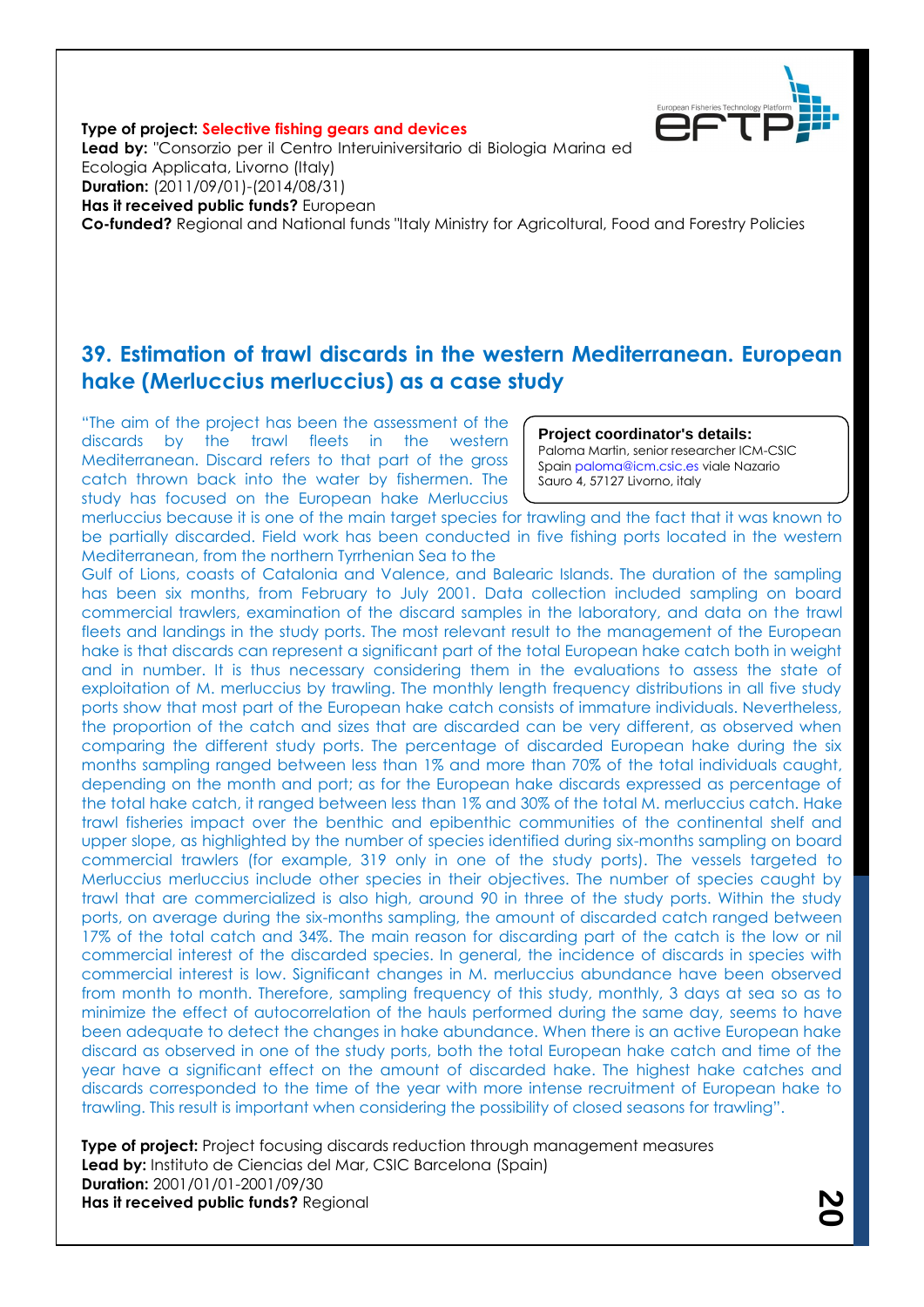

**Type of project: Selective fishing gears and devices Lead by:** "Consorzio per il Centro Interuiniversitario di Biologia Marina ed Ecologia Applicata, Livorno (Italy) **Duration:** (2011/09/01)-(2014/08/31) **Has it received public funds?** European **Co-funded?** Regional and National funds "Italy Ministry for Agricoltural, Food and Forestry Policies

### **39. Estimation of trawl discards in the western Mediterranean. European hake (Merluccius merluccius) as a case study**

"The aim of the project has been the assessment of the discards by the trawl fleets in the western Mediterranean. Discard refers to that part of the gross catch thrown back into the water by fishermen. The study has focused on the European hake Merluccius

**Project coordinator's details:**

Paloma Martin, senior researcher ICM-CSIC Spain paloma@icm.csic.es viale Nazario Sauro 4, 57127 Livorno, italy

merluccius because it is one of the main target species for trawling and the fact that it was known to be partially discarded. Field work has been conducted in five fishing ports located in the western Mediterranean, from the northern Tyrrhenian Sea to the

Gulf of Lions, coasts of Catalonia and Valence, and Balearic Islands. The duration of the sampling has been six months, from February to July 2001. Data collection included sampling on board commercial trawlers, examination of the discard samples in the laboratory, and data on the trawl fleets and landings in the study ports. The most relevant result to the management of the European hake is that discards can represent a significant part of the total European hake catch both in weight and in number. It is thus necessary considering them in the evaluations to assess the state of exploitation of M. merluccius by trawling. The monthly length frequency distributions in all five study ports show that most part of the European hake catch consists of immature individuals. Nevertheless, the proportion of the catch and sizes that are discarded can be very different, as observed when comparing the different study ports. The percentage of discarded European hake during the six months sampling ranged between less than 1% and more than 70% of the total individuals caught, depending on the month and port; as for the European hake discards expressed as percentage of the total hake catch, it ranged between less than 1% and 30% of the total M. merluccius catch. Hake trawl fisheries impact over the benthic and epibenthic communities of the continental shelf and upper slope, as highlighted by the number of species identified during six-months sampling on board commercial trawlers (for example, 319 only in one of the study ports). The vessels targeted to Merluccius merluccius include other species in their objectives. The number of species caught by trawl that are commercialized is also high, around 90 in three of the study ports. Within the study ports, on average during the six-months sampling, the amount of discarded catch ranged between 17% of the total catch and 34%. The main reason for discarding part of the catch is the low or nil commercial interest of the discarded species. In general, the incidence of discards in species with commercial interest is low. Significant changes in M. merluccius abundance have been observed from month to month. Therefore, sampling frequency of this study, monthly, 3 days at sea so as to minimize the effect of autocorrelation of the hauls performed during the same day, seems to have been adequate to detect the changes in hake abundance. When there is an active European hake discard as observed in one of the study ports, both the total European hake catch and time of the year have a significant effect on the amount of discarded hake. The highest hake catches and discards corresponded to the time of the year with more intense recruitment of European hake to trawling. This result is important when considering the possibility of closed seasons for trawling".

**Type of project:** Project focusing discards reduction through management measures **Lead by:** Instituto de Ciencias del Mar, CSIC Barcelona (Spain) **Duration:** 2001/01/01-2001/09/30 **Has it received public funds?** Regional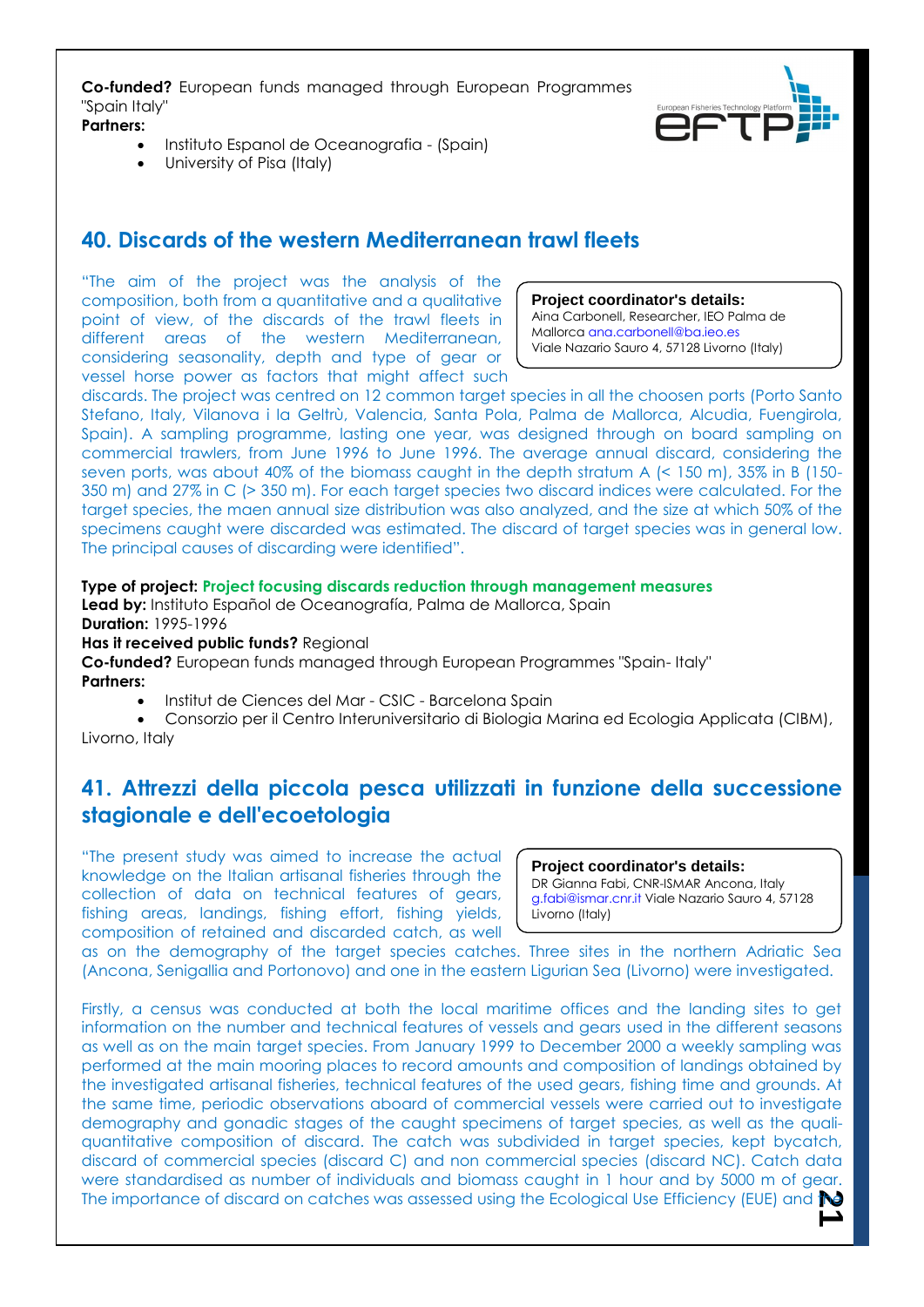**Co-funded?** European funds managed through European Programmes "Spain Italy"

**Partners:**

- $\bullet$  Instituto Espanol de Oceanografia (Spain)
- University of Pisa (Italy)

### **40. Discards of the western Mediterranean trawl fleets**

"The aim of the project was the analysis of the composition, both from a quantitative and a qualitative point of view, of the discards of the trawl fleets in different areas of the western Mediterranean, considering seasonality, depth and type of gear or vessel horse power as factors that might affect such



**Project coordinator's details:** Aina Carbonell, Researcher, IEO Palma de Mallorca ana.carbonell@ba.ieo.es Viale Nazario Sauro 4, 57128 Livorno (Italy)

discards. The project was centred on 12 common target species in all the choosen ports (Porto Santo Stefano, Italy, Vilanova i la Geltrù, Valencia, Santa Pola, Palma de Mallorca, Alcudia, Fuengirola, Spain). A sampling programme, lasting one year, was designed through on board sampling on commercial trawlers, from June 1996 to June 1996. The average annual discard, considering the seven ports, was about 40% of the biomass caught in the depth stratum A (< 150 m), 35% in B (150- 350 m) and 27% in C (> 350 m). For each target species two discard indices were calculated. For the target species, the maen annual size distribution was also analyzed, and the size at which 50% of the specimens caught were discarded was estimated. The discard of target species was in general low. The principal causes of discarding were identified".

### **Type of project: Project focusing discards reduction through management measures**

Lead by: Instituto Español de Oceanografía, Palma de Mallorca, Spain **Duration:** 1995-1996

**Has it received public funds?** Regional

**Co-funded?** European funds managed through European Programmes "Spain- Italy" **Partners:**

• Institut de Ciences del Mar - CSIC - Barcelona Spain

 Consorzio per il Centro Interuniversitario di Biologia Marina ed Ecologia Applicata (CIBM), Livorno, Italy

### **41. Attrezzi della piccola pesca utilizzati in funzione della successione stagionale e dell'ecoetologia**

"The present study was aimed to increase the actual knowledge on the Italian artisanal fisheries through the collection of data on technical features of gears, fishing areas, landings, fishing effort, fishing yields, composition of retained and discarded catch, as well

#### **Project coordinator's details:** DR Gianna Fabi, CNR-ISMAR Ancona, Italy g.fabi@ismar.cnr.it Viale Nazario Sauro 4, 57128 Livorno (Italy)

as on the demography of the target species catches. Three sites in the northern Adriatic Sea (Ancona, Senigallia and Portonovo) and one in the eastern Ligurian Sea (Livorno) were investigated.

The importance of discard on catches was assessed using the Ecological Use Efficiency (EUE) and **the** Firstly, a census was conducted at both the local maritime offices and the landing sites to get information on the number and technical features of vessels and gears used in the different seasons as well as on the main target species. From January 1999 to December 2000 a weekly sampling was performed at the main mooring places to record amounts and composition of landings obtained by the investigated artisanal fisheries, technical features of the used gears, fishing time and grounds. At the same time, periodic observations aboard of commercial vessels were carried out to investigate demography and gonadic stages of the caught specimens of target species, as well as the qualiquantitative composition of discard. The catch was subdivided in target species, kept bycatch, discard of commercial species (discard C) and non commercial species (discard NC). Catch data were standardised as number of individuals and biomass caught in 1 hour and by 5000 m of gear.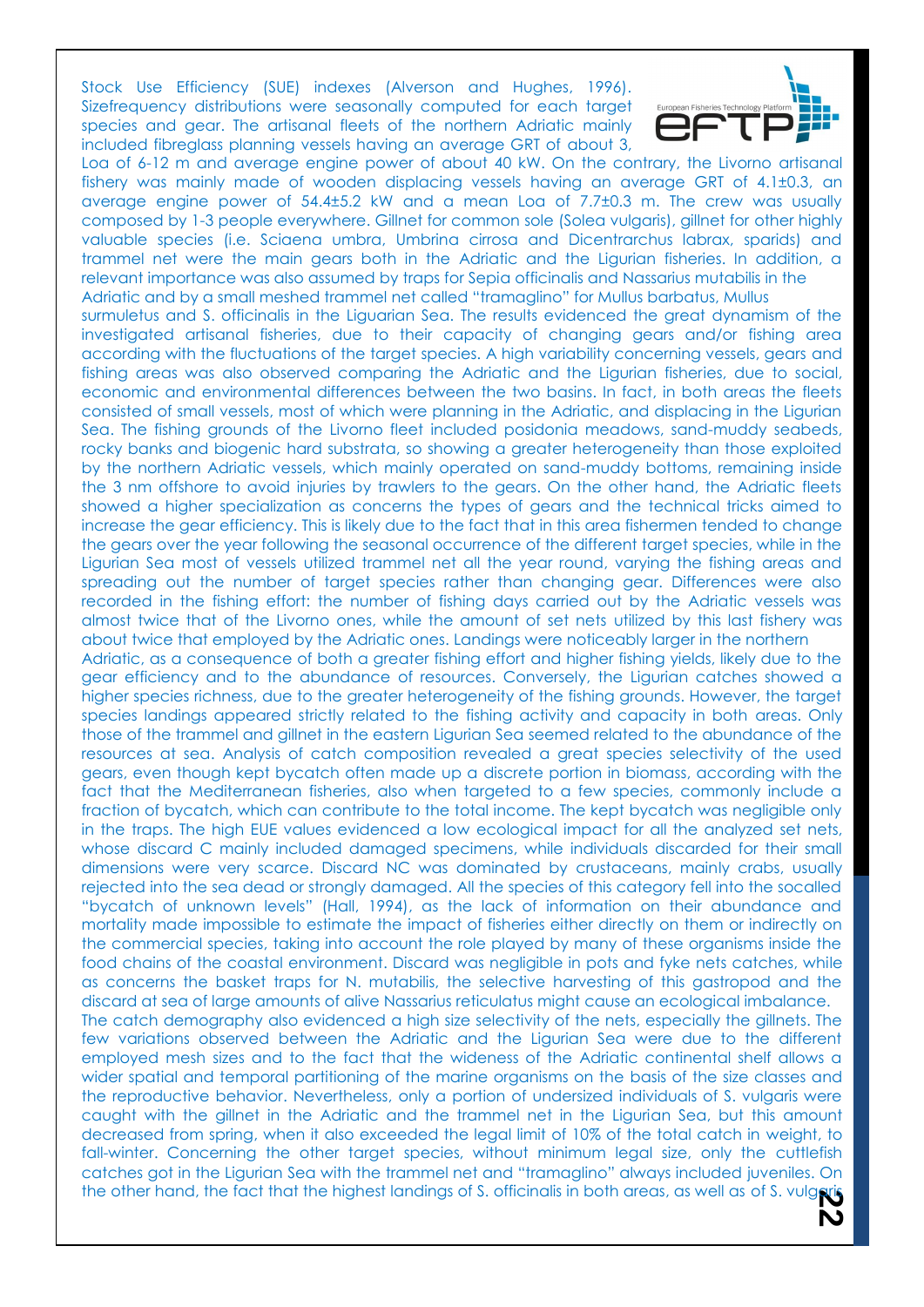Stock Use Efficiency (SUE) indexes (Alverson and Hughes, 1996). Sizefrequency distributions were seasonally computed for each target species and gear. The artisanal fleets of the northern Adriatic mainly included fibreglass planning vessels having an average GRT of about 3,



Loa of 6-12 m and average engine power of about 40 kW. On the contrary, the Livorno artisanal fishery was mainly made of wooden displacing vessels having an average GRT of 4.1±0.3, an average engine power of 54.4±5.2 kW and a mean Loa of 7.7±0.3 m. The crew was usually composed by 1-3 people everywhere. Gillnet for common sole (Solea vulgaris), gillnet for other highly valuable species (i.e. Sciaena umbra, Umbrina cirrosa and Dicentrarchus labrax, sparids) and trammel net were the main gears both in the Adriatic and the Ligurian fisheries. In addition, a relevant importance was also assumed by traps for Sepia officinalis and Nassarius mutabilis in the Adriatic and by a small meshed trammel net called "tramaglino" for Mullus barbatus, Mullus

surmuletus and S. officinalis in the Liguarian Sea. The results evidenced the great dynamism of the investigated artisanal fisheries, due to their capacity of changing gears and/or fishing area according with the fluctuations of the target species. A high variability concerning vessels, gears and fishing areas was also observed comparing the Adriatic and the Ligurian fisheries, due to social, economic and environmental differences between the two basins. In fact, in both areas the fleets consisted of small vessels, most of which were planning in the Adriatic, and displacing in the Ligurian Sea. The fishing grounds of the Livorno fleet included posidonia meadows, sand-muddy seabeds, rocky banks and biogenic hard substrata, so showing a greater heterogeneity than those exploited by the northern Adriatic vessels, which mainly operated on sand-muddy bottoms, remaining inside the 3 nm offshore to avoid injuries by trawlers to the gears. On the other hand, the Adriatic fleets showed a higher specialization as concerns the types of gears and the technical tricks aimed to increase the gear efficiency. This is likely due to the fact that in this area fishermen tended to change the gears over the year following the seasonal occurrence of the different target species, while in the Ligurian Sea most of vessels utilized trammel net all the year round, varying the fishing areas and spreading out the number of target species rather than changing gear. Differences were also recorded in the fishing effort: the number of fishing days carried out by the Adriatic vessels was almost twice that of the Livorno ones, while the amount of set nets utilized by this last fishery was about twice that employed by the Adriatic ones. Landings were noticeably larger in the northern

Adriatic, as a consequence of both a greater fishing effort and higher fishing yields, likely due to the gear efficiency and to the abundance of resources. Conversely, the Ligurian catches showed a higher species richness, due to the greater heterogeneity of the fishing grounds. However, the target species landings appeared strictly related to the fishing activity and capacity in both areas. Only those of the trammel and gillnet in the eastern Ligurian Sea seemed related to the abundance of the resources at sea. Analysis of catch composition revealed a great species selectivity of the used gears, even though kept bycatch often made up a discrete portion in biomass, according with the fact that the Mediterranean fisheries, also when targeted to a few species, commonly include a fraction of bycatch, which can contribute to the total income. The kept bycatch was negligible only in the traps. The high EUE values evidenced a low ecological impact for all the analyzed set nets, whose discard C mainly included damaged specimens, while individuals discarded for their small dimensions were very scarce. Discard NC was dominated by crustaceans, mainly crabs, usually rejected into the sea dead or strongly damaged. All the species of this category fell into the socalled "bycatch of unknown levels" (Hall, 1994), as the lack of information on their abundance and mortality made impossible to estimate the impact of fisheries either directly on them or indirectly on the commercial species, taking into account the role played by many of these organisms inside the food chains of the coastal environment. Discard was negligible in pots and fyke nets catches, while as concerns the basket traps for N. mutabilis, the selective harvesting of this gastropod and the discard at sea of large amounts of alive Nassarius reticulatus might cause an ecological imbalance.

The catch demography also evidenced a high size selectivity of the nets, especially the gillnets. The few variations observed between the Adriatic and the Ligurian Sea were due to the different employed mesh sizes and to the fact that the wideness of the Adriatic continental shelf allows a wider spatial and temporal partitioning of the marine organisms on the basis of the size classes and the reproductive behavior. Nevertheless, only a portion of undersized individuals of S. vulgaris were caught with the gillnet in the Adriatic and the trammel net in the Ligurian Sea, but this amount decreased from spring, when it also exceeded the legal limit of 10% of the total catch in weight, to fall-winter. Concerning the other target species, without minimum legal size, only the cuttlefish catches got in the Ligurian Sea with the trammel net and "tramaglino" always included juveniles. On the other hand, the fact that the highest landings of S. officinalis in both areas, as well as of S. vulgaris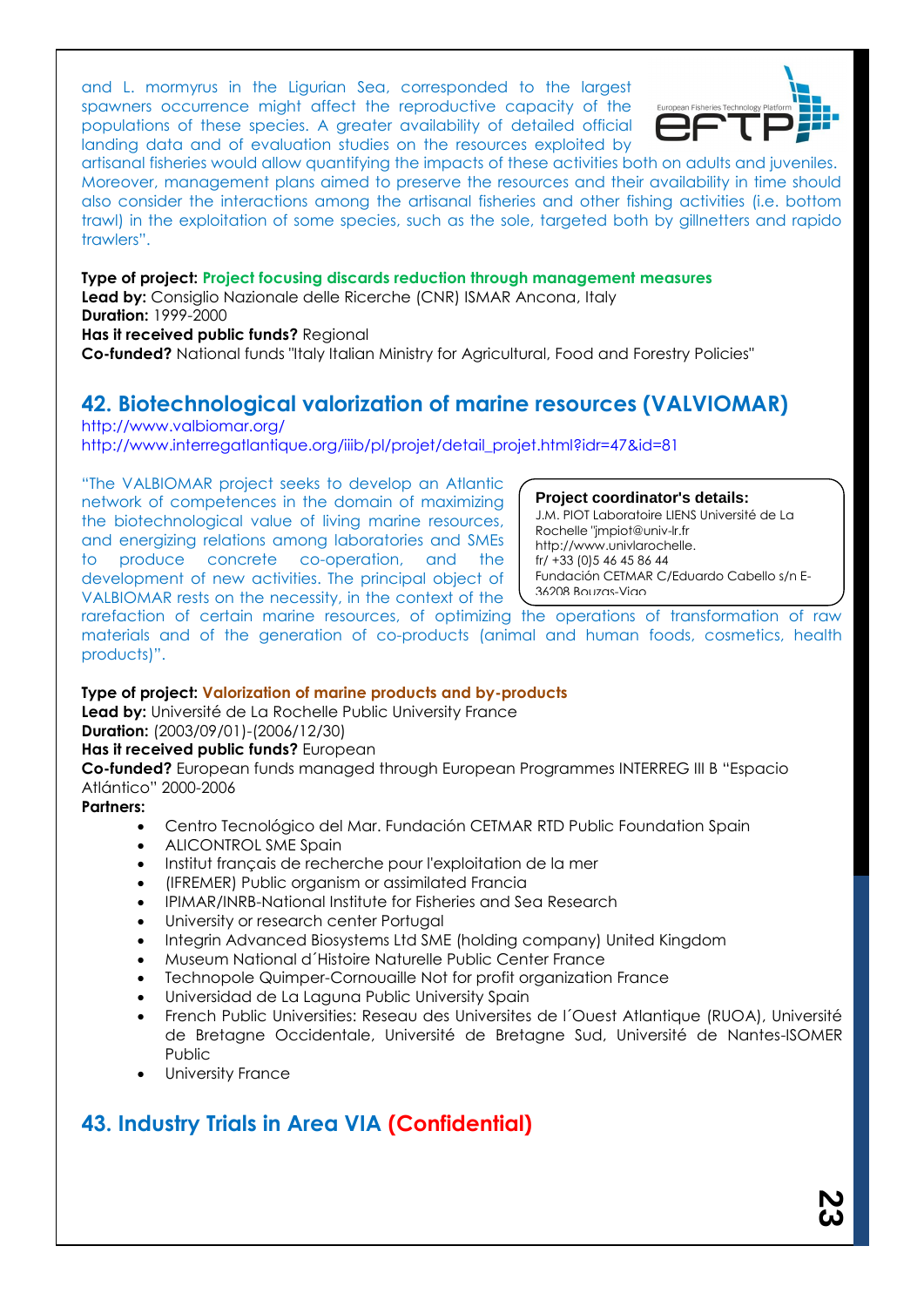and L. mormyrus in the Ligurian Sea, corresponded to the largest spawners occurrence might affect the reproductive capacity of the populations of these species. A greater availability of detailed official landing data and of evaluation studies on the resources exploited by



artisanal fisheries would allow quantifying the impacts of these activities both on adults and juveniles. Moreover, management plans aimed to preserve the resources and their availability in time should also consider the interactions among the artisanal fisheries and other fishing activities (i.e. bottom trawl) in the exploitation of some species, such as the sole, targeted both by gillnetters and rapido trawlers".

### **Type of project: Project focusing discards reduction through management measures**

**Lead by:** Consiglio Nazionale delle Ricerche (CNR) ISMAR Ancona, Italy **Duration:** 1999-2000

**Has it received public funds?** Regional

**Co-funded?** National funds "Italy Italian Ministry for Agricultural, Food and Forestry Policies"

### **42. Biotechnological valorization of marine resources (VALVIOMAR)**

http://www.valbiomar.org/

http://www.interregatlantique.org/iiib/pl/projet/detail\_projet.html?idr=47&id=81

"The VALBIOMAR project seeks to develop an Atlantic network of competences in the domain of maximizing the biotechnological value of living marine resources, and energizing relations among laboratories and SMEs to produce concrete co-operation, and the development of new activities. The principal object of VALBIOMAR rests on the necessity, in the context of the

**Project coordinator's details:**

J.M. PIOT Laboratoire LIENS Université de La Rochelle "jmpiot@univ-lr.fr http://www.univlarochelle. fr/ +33 (0)5 46 45 86 44 Fundación CETMAR C/Eduardo Cabello s/n E-36208 Bouzas-Vigo

rarefaction of certain marine resources, of optimizing the operations of transformation of raw materials and of the generation of co-products (animal and human foods, cosmetics, health products)".

### **Type of project: Valorization of marine products and by-products**

**Lead by:** Université de La Rochelle Public University France **Duration:** (2003/09/01)-(2006/12/30)

### **Has it received public funds?** European

**Co-funded?** European funds managed through European Programmes INTERREG III B "Espacio Atlántico" 2000-2006

### **Partners:**

- Centro Tecnológico del Mar. Fundación CETMAR RTD Public Foundation Spain
- ALICONTROL SME Spain
- Institut français de recherche pour l'exploitation de la mer
- (IFREMER) Public organism or assimilated Francia
- IPIMAR/INRB-National Institute for Fisheries and Sea Research
- University or research center Portugal
- Integrin Advanced Biosystems Ltd SME (holding company) United Kingdom
- Museum National d´Histoire Naturelle Public Center France
- Technopole Quimper-Cornouaille Not for profit organization France
- Universidad de La Laguna Public University Spain
- French Public Universities: Reseau des Universites de l´Ouest Atlantique (RUOA), Université de Bretagne Occidentale, Université de Bretagne Sud, Université de Nantes-ISOMER Public
- University France

## **43. Industry Trials in Area VIA (Confidential)**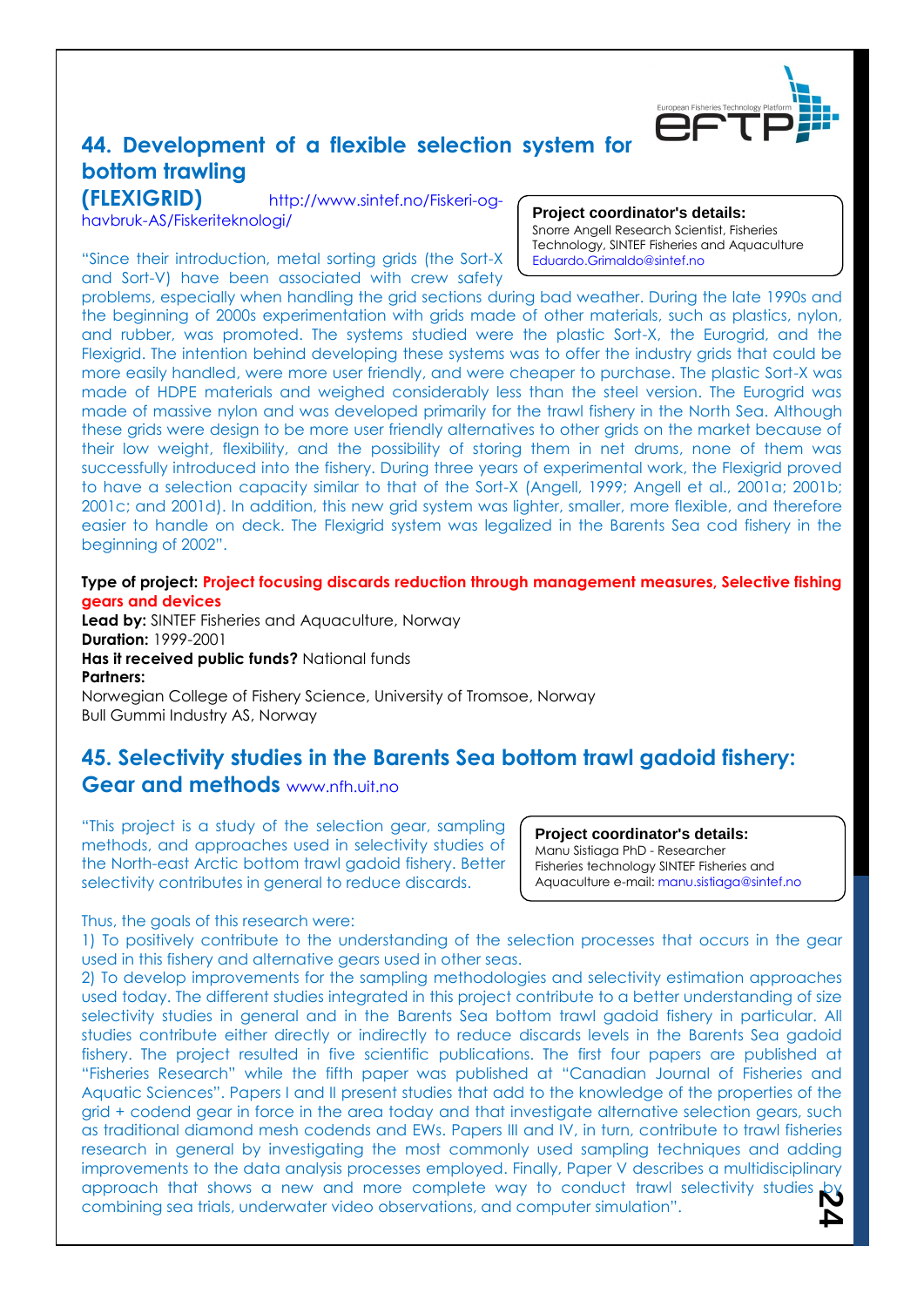

## **44. Development of a flexible selection system for bottom trawling**

**(FLEXIGRID)** http://www.sintef.no/Fiskeri-oghavbruk-AS/Fiskeriteknologi/

"Since their introduction, metal sorting grids (the Sort-X and Sort-V) have been associated with crew safety

**Project coordinator's details:**

Snorre Angell Research Scientist, Fisheries Technology, SINTEF Fisheries and Aquaculture Eduardo.Grimaldo@sintef.no

problems, especially when handling the grid sections during bad weather. During the late 1990s and the beginning of 2000s experimentation with grids made of other materials, such as plastics, nylon, and rubber, was promoted. The systems studied were the plastic Sort-X, the Eurogrid, and the Flexigrid. The intention behind developing these systems was to offer the industry grids that could be more easily handled, were more user friendly, and were cheaper to purchase. The plastic Sort-X was made of HDPE materials and weighed considerably less than the steel version. The Eurogrid was made of massive nylon and was developed primarily for the trawl fishery in the North Sea. Although these grids were design to be more user friendly alternatives to other grids on the market because of their low weight, flexibility, and the possibility of storing them in net drums, none of them was successfully introduced into the fishery. During three years of experimental work, the Flexigrid proved to have a selection capacity similar to that of the Sort-X (Angell, 1999; Angell et al., 2001a; 2001b; 2001c; and 2001d). In addition, this new grid system was lighter, smaller, more flexible, and therefore easier to handle on deck. The Flexigrid system was legalized in the Barents Sea cod fishery in the beginning of 2002".

**Type of project: Project focusing discards reduction through management measures, Selective fishing gears and devices**

**Lead by:** SINTEF Fisheries and Aquaculture, Norway **Duration:** 1999-2001 **Has it received public funds?** National funds **Partners:** Norwegian College of Fishery Science, University of Tromsoe, Norway

Bull Gummi Industry AS, Norway

### **45. Selectivity studies in the Barents Sea bottom trawl gadoid fishery: Gear and methods** www.nfh.uit.no

"This project is a study of the selection gear, sampling methods, and approaches used in selectivity studies of the North-east Arctic bottom trawl gadoid fishery. Better selectivity contributes in general to reduce discards.

#### **Project coordinator's details:**

Manu Sistiaga PhD - Researcher Fisheries technology SINTEF Fisheries and Aquaculture e-mail: manu.sistiaga@sintef.no

Thus, the goals of this research were:

1) To positively contribute to the understanding of the selection processes that occurs in the gear used in this fishery and alternative gears used in other seas.

approach that shows a new and more complete way to conduct trawl selectivity studies by<br>combining sea trials, underwater video observations, and computer simulation". 2) To develop improvements for the sampling methodologies and selectivity estimation approaches used today. The different studies integrated in this project contribute to a better understanding of size selectivity studies in general and in the Barents Sea bottom trawl gadoid fishery in particular. All studies contribute either directly or indirectly to reduce discards levels in the Barents Sea gadoid fishery. The project resulted in five scientific publications. The first four papers are published at "Fisheries Research" while the fifth paper was published at "Canadian Journal of Fisheries and Aquatic Sciences". Papers I and II present studies that add to the knowledge of the properties of the grid + codend gear in force in the area today and that investigate alternative selection gears, such as traditional diamond mesh codends and EWs. Papers III and IV, in turn, contribute to trawl fisheries research in general by investigating the most commonly used sampling techniques and adding improvements to the data analysis processes employed. Finally, Paper V describes a multidisciplinary combining sea trials, underwater video observations, and computer simulation".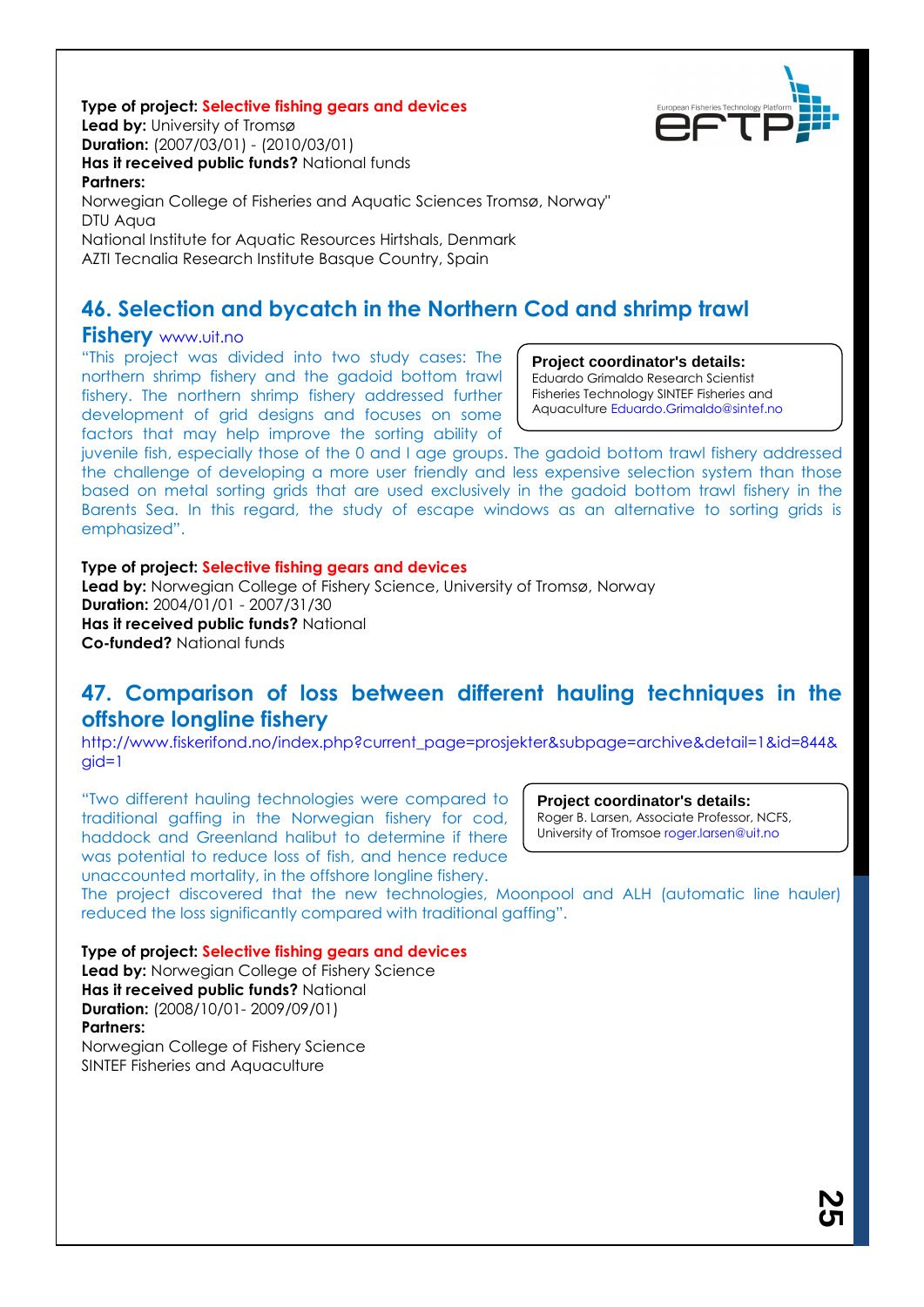#### **Type of project: Selective fishing gears and devices**

**Lead by:** University of Tromsø **Duration:** (2007/03/01) - (2010/03/01) **Has it received public funds?** National funds

### **Partners:** Norwegian College of Fisheries and Aquatic Sciences Tromsø, Norway" DTU Aqua

National Institute for Aquatic Resources Hirtshals, Denmark AZTI Tecnalia Research Institute Basque Country, Spain

### **46. Selection and bycatch in the Northern Cod and shrimp trawl**

### **Fishery** www.uit.no

"This project was divided into two study cases: The northern shrimp fishery and the gadoid bottom trawl fishery. The northern shrimp fishery addressed further development of grid designs and focuses on some factors that may help improve the sorting ability of

### **Project coordinator's details:**

Eduardo Grimaldo Research Scientist Fisheries Technology SINTEF Fisheries and Aquaculture Eduardo.Grimaldo@sintef.no

juvenile fish, especially those of the 0 and I age groups. The gadoid bottom trawl fishery addressed the challenge of developing a more user friendly and less expensive selection system than those based on metal sorting grids that are used exclusively in the gadoid bottom trawl fishery in the Barents Sea. In this regard, the study of escape windows as an alternative to sorting grids is emphasized".

### **Type of project: Selective fishing gears and devices**

**Lead by:** Norwegian College of Fishery Science, University of Tromsø, Norway **Duration:** 2004/01/01 - 2007/31/30 **Has it received public funds?** National **Co-funded?** National funds

### **47. Comparison of loss between different hauling techniques in the offshore longline fishery**

http://www.fiskerifond.no/index.php?current\_page=prosjekter&subpage=archive&detail=1&id=844& gid=1

"Two different hauling technologies were compared to traditional gaffing in the Norwegian fishery for cod, haddock and Greenland halibut to determine if there was potential to reduce loss of fish, and hence reduce unaccounted mortality, in the offshore longline fishery.

#### **Project coordinator's details:**

Roger B. Larsen, Associate Professor, NCFS, University of Tromsoe roger.larsen@uit.no

The project discovered that the new technologies, Moonpool and ALH (automatic line hauler) reduced the loss significantly compared with traditional gaffing".

**Type of project: Selective fishing gears and devices**

**Lead by:** Norwegian College of Fishery Science **Has it received public funds?** National **Duration:** (2008/10/01- 2009/09/01) **Partners:** Norwegian College of Fishery Science

SINTEF Fisheries and Aquaculture

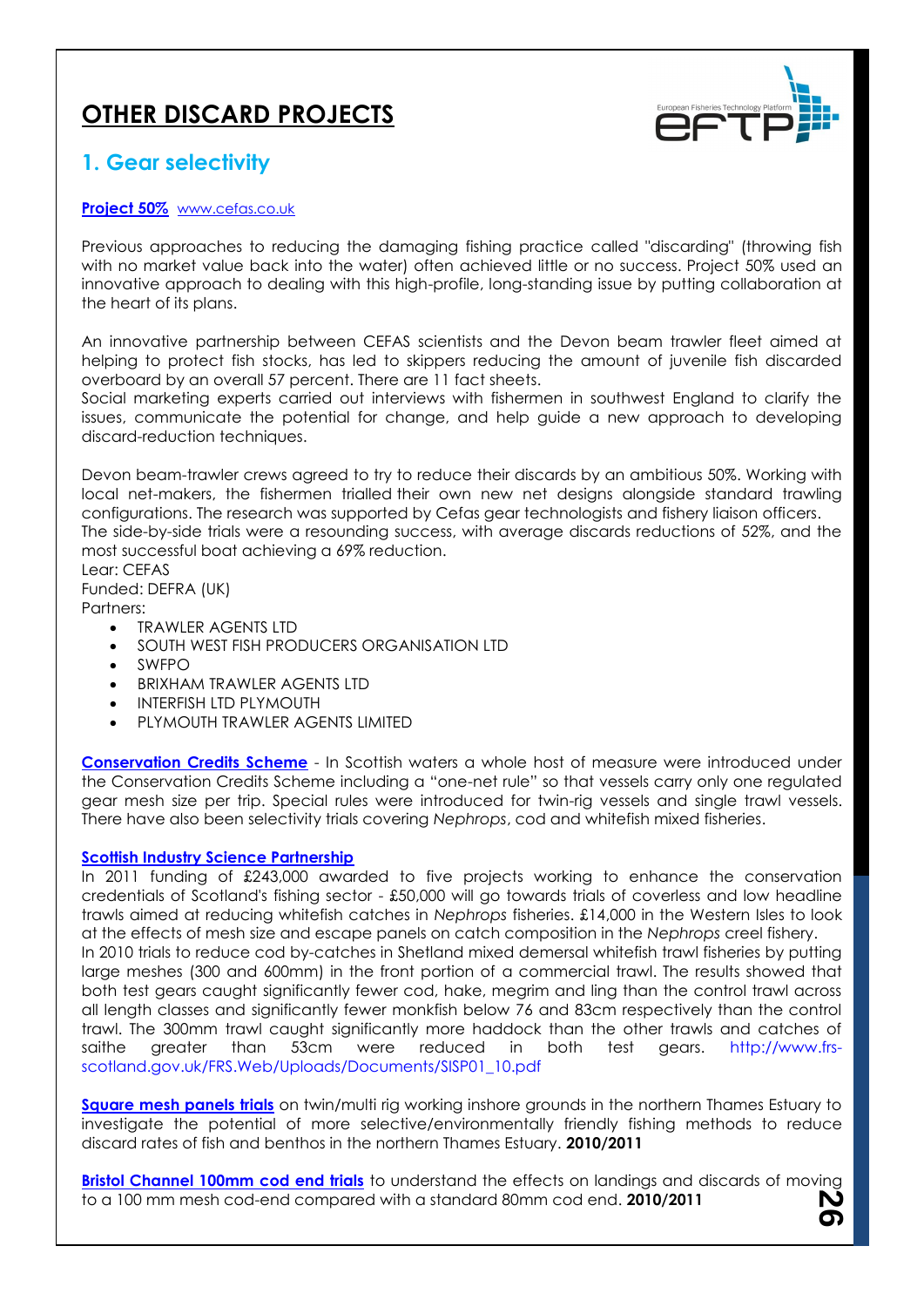## **OTHER DISCARD PROJECTS**



**26**

### **1. Gear selectivity**

### **[Project 50%](http://www.cefas.co.uk/our-science/fisheries-information/marine-fisheries/fishing-gear-technology/project-50.aspx)** [www.cefas.co.uk](http://www.cefas.co.uk/)

Previous approaches to reducing the damaging fishing practice called "discarding" (throwing fish with no market value back into the water) often achieved little or no success. Project 50% used an innovative approach to dealing with this high-profile, long-standing issue by putting collaboration at the heart of its plans.

An innovative partnership between CEFAS scientists and the Devon beam trawler fleet aimed at helping to protect fish stocks, has led to skippers reducing the amount of juvenile fish discarded overboard by an overall 57 percent. There are 11 fact sheets.

Social marketing experts carried out interviews with fishermen in southwest England to clarify the issues, communicate the potential for change, and help guide a new approach to developing discard-reduction techniques.

Devon beam-trawler crews agreed to try to reduce their discards by an ambitious 50%. Working with local net-makers, the fishermen trialled their own new net designs alongside standard trawling configurations. The research was supported by Cefas gear technologists and fishery liaison officers. The side-by-side trials were a resounding success, with average discards reductions of 52%, and the most successful boat achieving a 69% reduction.

Lear: CEFAS Funded: DEFRA (UK)

Partners:

- TRAWLER AGENTS LTD
- SOUTH WEST FISH PRODUCERS ORGANISATION LTD
- SWFPO
- BRIXHAM TRAWLER AGENTS LTD
- INTERFISH LTD PLYMOUTH
- PLYMOUTH TRAWLER AGENTS LIMITED

**[Conservation Credits Scheme](http://assets.wwf.org.uk/downloads/scottish_conservation_credits_scheme.pdf)** - In Scottish waters a whole host of measure were introduced under the Conservation Credits Scheme including a "one-net rule" so that vessels carry only one regulated gear mesh size per trip. Special rules were introduced for twin-rig vessels and single trawl vessels. There have also been selectivity trials covering *Nephrops*, cod and whitefish mixed fisheries.

#### **[Scottish Industry Science Partnership](http://www.scotland.gov.uk/News/Releases/2010/05/20101527)**

In 2011 funding of £243,000 awarded to five projects working to enhance the conservation credentials of Scotland's fishing sector - £50,000 will go towards trials of coverless and low headline trawls aimed at reducing whitefish catches in *Nephrops* fisheries. £14,000 in the Western Isles to look at the effects of mesh size and escape panels on catch composition in the *Nephrops* creel fishery. In 2010 trials to reduce cod by-catches in Shetland mixed demersal whitefish trawl fisheries by putting large meshes (300 and 600mm) in the front portion of a commercial trawl. The results showed that both test gears caught significantly fewer cod, hake, megrim and ling than the control trawl across all length classes and significantly fewer monkfish below 76 and 83cm respectively than the control trawl. The 300mm trawl caught significantly more haddock than the other trawls and catches of saithe greater than 53cm were reduced in both test gears. http://www.frsscotland.gov.uk/FRS.Web/Uploads/Documents/SISP01\_10.pdf

**[Square mesh panels trials](http://www.cefas.co.uk/media/138454/smp-on-twin-or-multi-rig-itt.pdf)** on twin/multi rig working inshore grounds in the northern Thames Estuary to investigate the potential of more selective/environmentally friendly fishing methods to reduce discard rates of fish and benthos in the northern Thames Estuary. **2010/2011**

**[Bristol Channel 100mm cod end trials](http://www.cefas.co.uk/media/138514/bristol-channel-100m-cod-end-trials-itt.pdf)** to understand the effects on landings and discards of moving to a 100 mm mesh cod-end compared with a standard 80mm cod end. **2010/2011**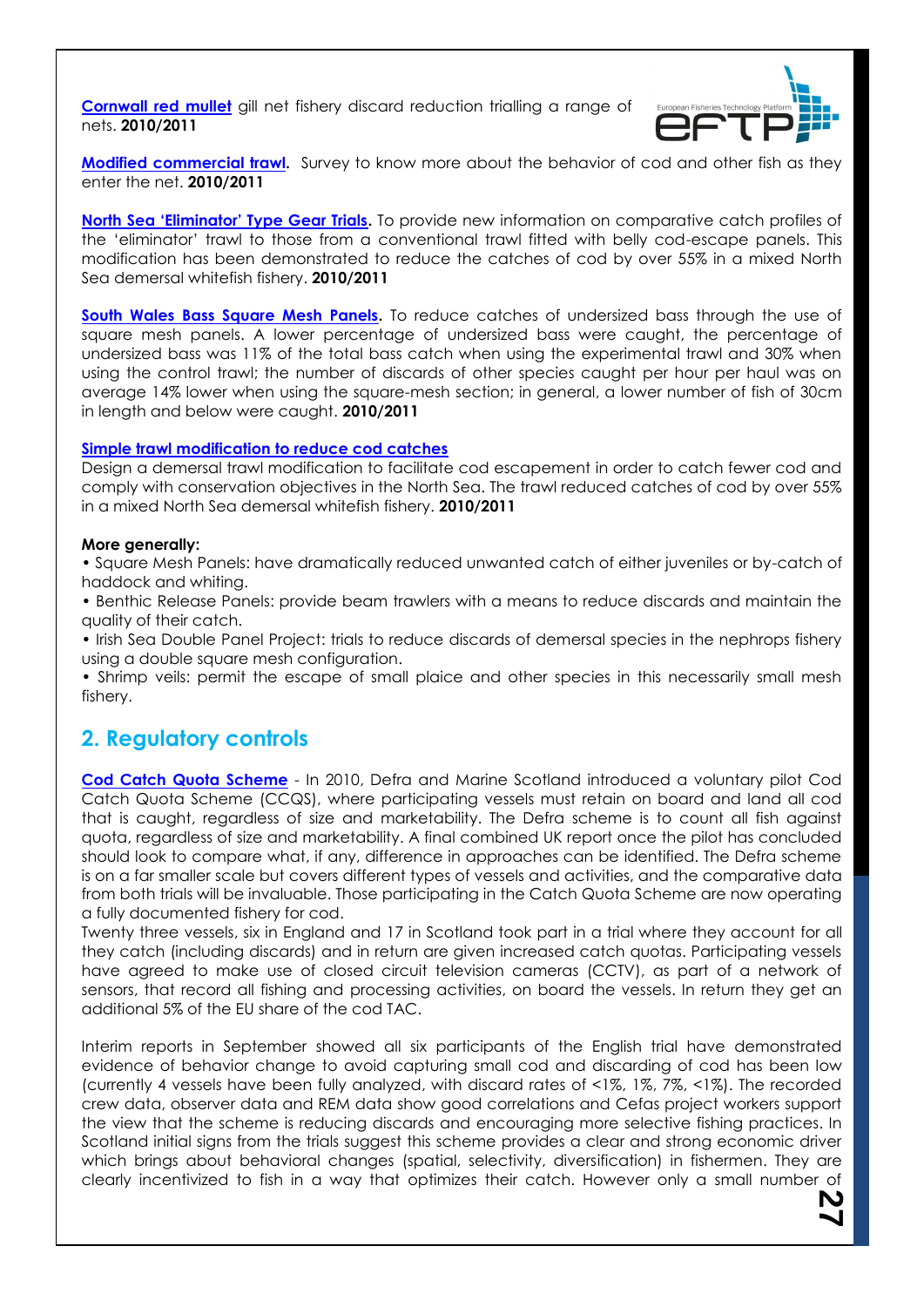**[Cornwall red mullet](http://www.cefas.co.uk/media/138544/red-mullet-gill-net-fishery-discard-reduction-itt.pdf)** gill net fishery discard reduction trialling a range of nets. **2010/2011**



**[Modified commercial trawl.](http://www.cefas.co.uk/media/138574/modified-commercial-trawl-survey-itt.pdf)** Survey to know more about the behavior of cod and other fish as they enter the net. **2010/2011**

**[North Sea 'Eliminator' Type Gear Trials](http://www.cefas.co.uk/media/135592/mf032finalreportversionforwebsite.pdf).** To provide new information on comparative catch profiles of the 'eliminator' trawl to those from a conventional trawl fitted with belly cod-escape panels. This modification has been demonstrated to reduce the catches of cod by over 55% in a mixed North Sea demersal whitefish fishery. **2010/2011**

**[South Wales Bass Square Mesh Panels.](http://www.cefas.co.uk/media/137283/fsp_bass_09_report.final.pdf)** To reduce catches of undersized bass through the use of square mesh panels. A lower percentage of undersized bass were caught, the percentage of undersized bass was 11% of the total bass catch when using the experimental trawl and 30% when using the control trawl; the number of discards of other species caught per hour per haul was on average 14% lower when using the square-mesh section; in general, a lower number of fish of 30cm in length and below were caught. **2010/2011**

#### **[Simple trawl modification to reduce cod catches](http://www.cefas.co.uk/media/135592/mf032finalreportversionforwebsite.pdf)**

Design a demersal trawl modification to facilitate cod escapement in order to catch fewer cod and comply with conservation objectives in the North Sea. The trawl reduced catches of cod by over 55% in a mixed North Sea demersal whitefish fishery. **2010/2011**

#### **More generally:**

• Square Mesh Panels: have dramatically reduced unwanted catch of either juveniles or by-catch of haddock and whiting.

• Benthic Release Panels: provide beam trawlers with a means to reduce discards and maintain the quality of their catch.

• Irish Sea Double Panel Project: trials to reduce discards of demersal species in the nephrops fishery using a double square mesh configuration.

• Shrimp veils: permit the escape of small plaice and other species in this necessarily small mesh fishery.

### **2. Regulatory controls**

**[Cod Catch Quota Scheme](http://www.scotland.gov.uk/Topics/marine/Sea-Fisheries/17681/catchquota)** - In 2010, Defra and Marine Scotland introduced a voluntary pilot Cod Catch Quota Scheme (CCQS), where participating vessels must retain on board and land all cod that is caught, regardless of size and marketability. The Defra scheme is to count all fish against quota, regardless of size and marketability. A final combined UK report once the pilot has concluded should look to compare what, if any, difference in approaches can be identified. The Defra scheme is on a far smaller scale but covers different types of vessels and activities, and the comparative data from both trials will be invaluable. Those participating in the Catch Quota Scheme are now operating a fully documented fishery for cod.

Twenty three vessels, six in England and 17 in Scotland took part in a trial where they account for all they catch (including discards) and in return are given increased catch quotas. Participating vessels have agreed to make use of closed circuit television cameras (CCTV), as part of a network of sensors, that record all fishing and processing activities, on board the vessels. In return they get an additional 5% of the EU share of the cod TAC.

Interim reports in September showed all six participants of the English trial have demonstrated evidence of behavior change to avoid capturing small cod and discarding of cod has been low (currently 4 vessels have been fully analyzed, with discard rates of <1%, 1%, 7%, <1%). The recorded crew data, observer data and REM data show good correlations and Cefas project workers support the view that the scheme is reducing discards and encouraging more selective fishing practices. In Scotland initial signs from the trials suggest this scheme provides a clear and strong economic driver which brings about behavioral changes (spatial, selectivity, diversification) in fishermen. They are clearly incentivized to fish in a way that optimizes their catch. However only a small number of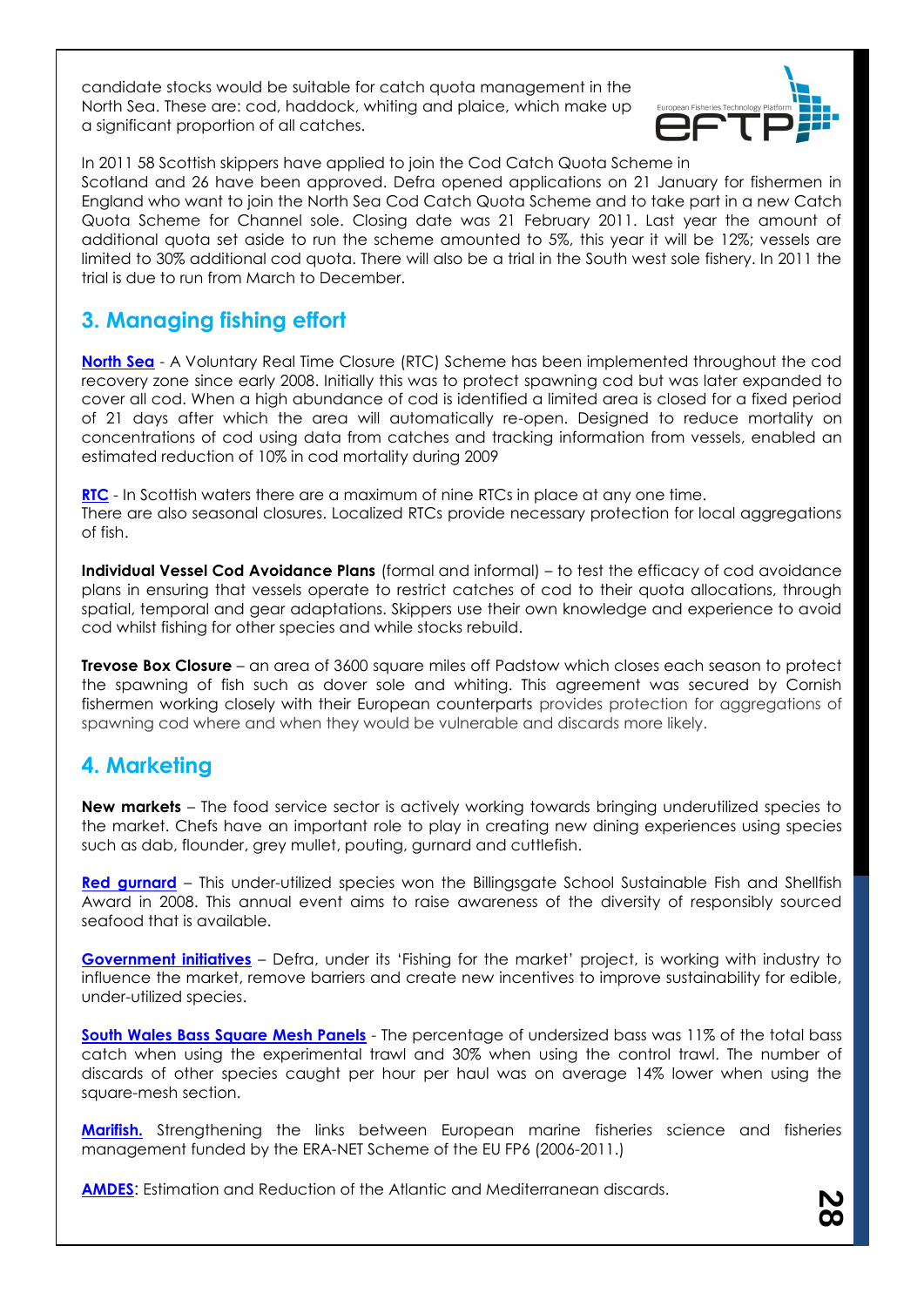candidate stocks would be suitable for catch quota management in the North Sea. These are: cod, haddock, whiting and plaice, which make up a significant proportion of all catches.



In 2011 58 Scottish skippers have applied to join the Cod Catch Quota Scheme in Scotland and 26 have been approved. Defra opened applications on 21 January for fishermen in England who want to join the North Sea Cod Catch Quota Scheme and to take part in a new Catch Quota Scheme for Channel sole. Closing date was 21 February 2011. Last year the amount of additional quota set aside to run the scheme amounted to 5%, this year it will be 12%; vessels are limited to 30% additional cod quota. There will also be a trial in the South west sole fishery. In 2011 the trial is due to run from March to December.

## **3. Managing fishing effort**

**[North Sea](http://www.defra.gov.uk/foodfarm/fisheries/documents/fisheries/ukrespcodrec.pdf)** - A Voluntary Real Time Closure (RTC) Scheme has been implemented throughout the cod recovery zone since early 2008. Initially this was to protect spawning cod but was later expanded to cover all cod. When a high abundance of cod is identified a limited area is closed for a fixed period of 21 days after which the area will automatically re-open. Designed to reduce mortality on concentrations of cod using data from catches and tracking information from vessels, enabled an estimated reduction of 10% in cod mortality during 2009

**[RTC](http://www.scotland.gov.uk/Topics/marine/Sea-Fisheries/Regulation)** - In Scottish waters there are a maximum of nine RTCs in place at any one time. There are also seasonal closures. Localized RTCs provide necessary protection for local aggregations of fish.

**Individual Vessel Cod Avoidance Plans** (formal and informal) – to test the efficacy of cod avoidance plans in ensuring that vessels operate to restrict catches of cod to their quota allocations, through spatial, temporal and gear adaptations. Skippers use their own knowledge and experience to avoid cod whilst fishing for other species and while stocks rebuild.

**Trevose Box Closure** – an area of 3600 square miles off Padstow which closes each season to protect the spawning of fish such as dover sole and whiting. This agreement was secured by Cornish fishermen working closely with their European counterparts provides protection for aggregations of spawning cod where and when they would be vulnerable and discards more likely.

### **4. Marketing**

**New markets** – The food service sector is actively working towards bringing underutilized species to the market. Chefs have an important role to play in creating new dining experiences using species such as dab, flounder, grey mullet, pouting, gurnard and cuttlefish.

**[Red gurnard](http://www.seafoodtraining.org/celebrating_sustainable_seafood_at_billingsgate_school.htm)** – This under-utilized species won the Billingsgate School Sustainable Fish and Shellfish Award in 2008. This annual event aims to raise awareness of the diversity of responsibly sourced seafood that is available.

**[Government initiatives](http://www.seafish.org/media/393246/defra_fishingforthemarket_201010.pdf)** – Defra, under its 'Fishing for the market' project, is working with industry to influence the market, remove barriers and create new incentives to improve sustainability for edible, under-utilized species.

**[South Wales Bass Square Mesh Panels](http://www.cefas.co.uk/media/137283/fsp_bass_09_report.final.pdf)** - The percentage of undersized bass was 11% of the total bass catch when using the experimental trawl and 30% when using the control trawl. The number of discards of other species caught per hour per haul was on average 14% lower when using the square-mesh section.

**Marifish.** Strengthening the links between European marine fisheries science and fisheries management funded by the ERA-NET Scheme of the EU FP6 (2006-2011.)

**[AMDES](http://www.ba.ieo.es/es/investigacion/grupos-de-investigacion/ibdes/proyectos/441-amdes)**: Estimation and Reduction of the Atlantic and Mediterranean discards.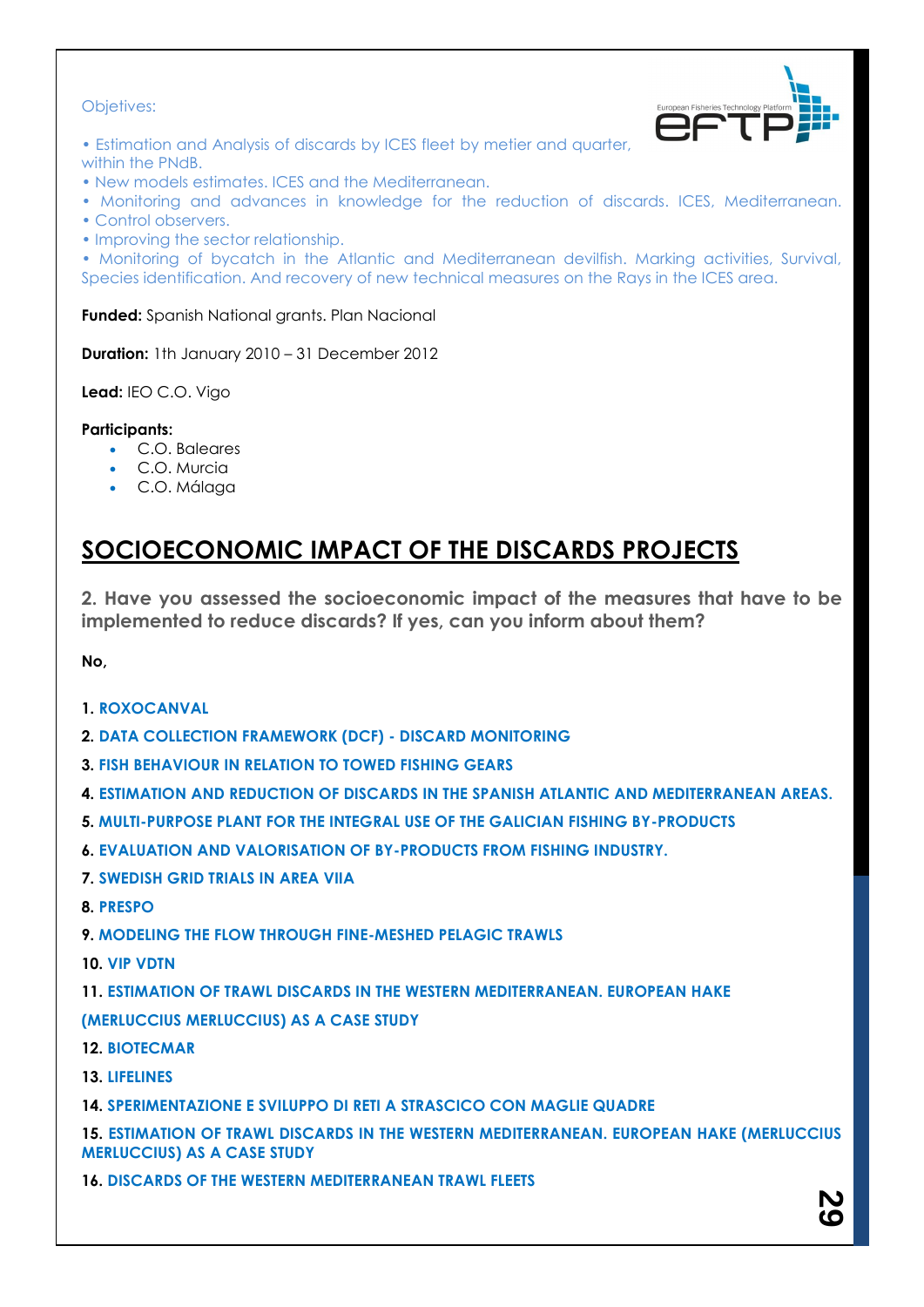### Objetives:



- Estimation and Analysis of discards by ICES fleet by metier and quarter, within the PNdB.
- New models estimates. ICES and the Mediterranean.
- Monitoring and advances in knowledge for the reduction of discards. ICES, Mediterranean.
- Control observers.
- Improving the sector relationship.

• Monitoring of bycatch in the Atlantic and Mediterranean devilfish. Marking activities, Survival, Species identification. And recovery of new technical measures on the Rays in the ICES area.

**Funded:** Spanish National grants. Plan Nacional

**Duration:** 1th January 2010 – 31 December 2012

**Lead:** IEO C.O. Vigo

### **Participants:**

- C.O. Baleares
- C.O. Murcia
- C.O. Málaga

## **SOCIOECONOMIC IMPACT OF THE DISCARDS PROJECTS**

**2. Have you assessed the socioeconomic impact of the measures that have to be implemented to reduce discards? If yes, can you inform about them?**

**No,**

- **1. ROXOCANVAL**
- **2. DATA COLLECTION FRAMEWORK (DCF) - DISCARD MONITORING**
- **3. FISH BEHAVIOUR IN RELATION TO TOWED FISHING GEARS**
- **4. ESTIMATION AND REDUCTION OF DISCARDS IN THE SPANISH ATLANTIC AND MEDITERRANEAN AREAS.**
- **5. MULTI-PURPOSE PLANT FOR THE INTEGRAL USE OF THE GALICIAN FISHING BY-PRODUCTS**
- **6. EVALUATION AND VALORISATION OF BY-PRODUCTS FROM FISHING INDUSTRY.**
- **7. SWEDISH GRID TRIALS IN AREA VIIA**
- **8. PRESPO**

**9. MODELING THE FLOW THROUGH FINE-MESHED PELAGIC TRAWLS**

**10. VIP VDTN**

**11. ESTIMATION OF TRAWL DISCARDS IN THE WESTERN MEDITERRANEAN. EUROPEAN HAKE (MERLUCCIUS MERLUCCIUS) AS A CASE STUDY**

- **12. BIOTECMAR**
- **13. LIFELINES**
- **14. SPERIMENTAZIONE E SVILUPPO DI RETI A STRASCICO CON MAGLIE QUADRE**

**15. ESTIMATION OF TRAWL DISCARDS IN THE WESTERN MEDITERRANEAN. EUROPEAN HAKE (MERLUCCIUS MERLUCCIUS) AS A CASE STUDY**

**16. DISCARDS OF THE WESTERN MEDITERRANEAN TRAWL FLEETS**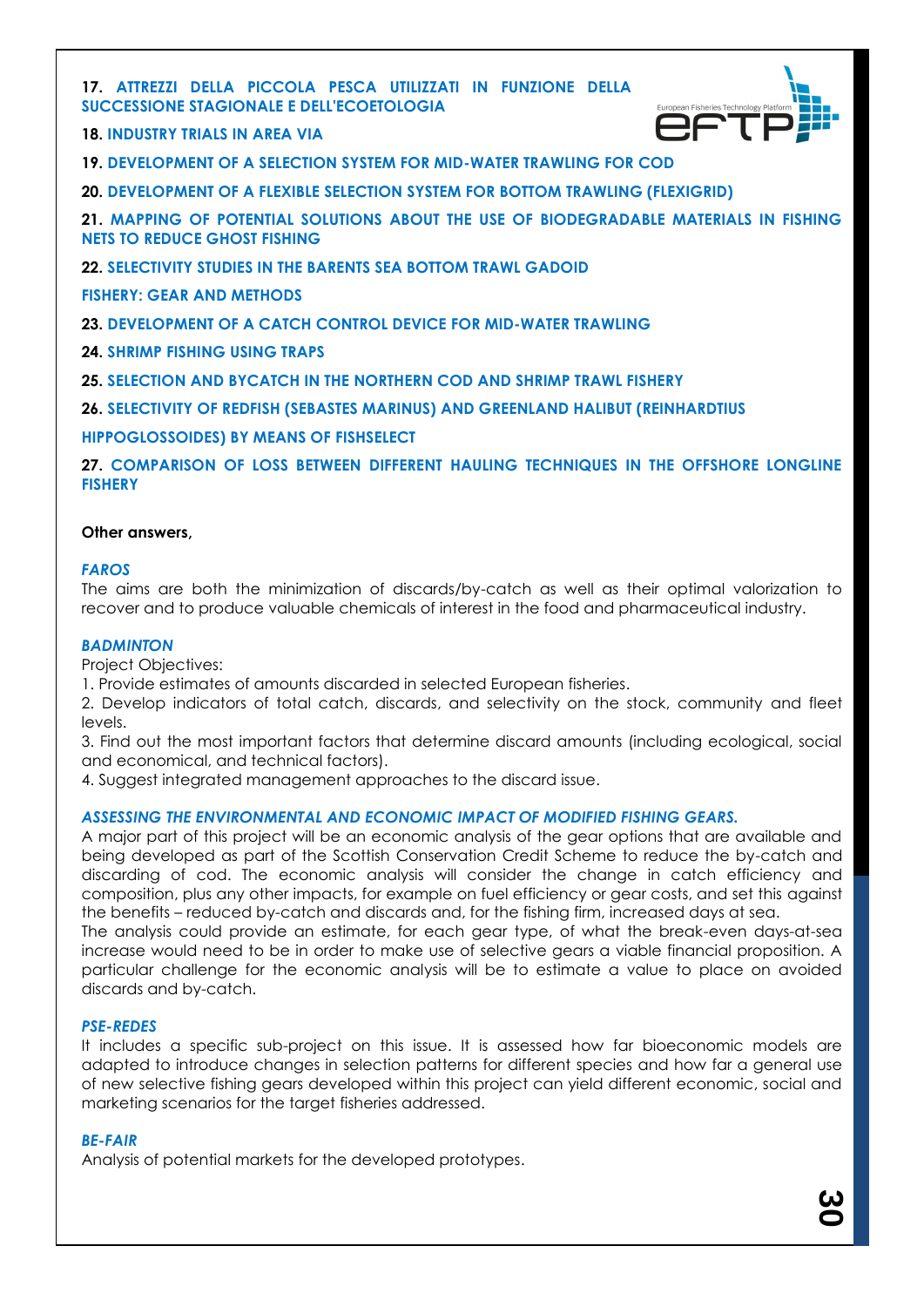### **17. ATTREZZI DELLA PICCOLA PESCA UTILIZZATI IN FUNZIONE DELLA SUCCESSIONE STAGIONALE E DELL'ECOETOLOGIA**



**18. INDUSTRY TRIALS IN AREA VIA**

**19. DEVELOPMENT OF A SELECTION SYSTEM FOR MID-WATER TRAWLING FOR COD**

**20. DEVELOPMENT OF A FLEXIBLE SELECTION SYSTEM FOR BOTTOM TRAWLING (FLEXIGRID)**

**21. MAPPING OF POTENTIAL SOLUTIONS ABOUT THE USE OF BIODEGRADABLE MATERIALS IN FISHING NETS TO REDUCE GHOST FISHING**

**22. SELECTIVITY STUDIES IN THE BARENTS SEA BOTTOM TRAWL GADOID**

**FISHERY: GEAR AND METHODS**

**23. DEVELOPMENT OF A CATCH CONTROL DEVICE FOR MID-WATER TRAWLING**

**24. SHRIMP FISHING USING TRAPS**

**25. SELECTION AND BYCATCH IN THE NORTHERN COD AND SHRIMP TRAWL FISHERY**

**26. SELECTIVITY OF REDFISH (SEBASTES MARINUS) AND GREENLAND HALIBUT (REINHARDTIUS**

**HIPPOGLOSSOIDES) BY MEANS OF FISHSELECT**

**27. COMPARISON OF LOSS BETWEEN DIFFERENT HAULING TECHNIQUES IN THE OFFSHORE LONGLINE FISHERY**

#### **Other answers,**

#### *FAROS*

The aims are both the minimization of discards/by-catch as well as their optimal valorization to recover and to produce valuable chemicals of interest in the food and pharmaceutical industry.

#### *BADMINTON*

Project Objectives:

1. Provide estimates of amounts discarded in selected European fisheries.

2. Develop indicators of total catch, discards, and selectivity on the stock, community and fleet levels.

3. Find out the most important factors that determine discard amounts (including ecological, social and economical, and technical factors).

4. Suggest integrated management approaches to the discard issue.

#### *ASSESSING THE ENVIRONMENTAL AND ECONOMIC IMPACT OF MODIFIED FISHING GEARS.*

A major part of this project will be an economic analysis of the gear options that are available and being developed as part of the Scottish Conservation Credit Scheme to reduce the by-catch and discarding of cod. The economic analysis will consider the change in catch efficiency and composition, plus any other impacts, for example on fuel efficiency or gear costs, and set this against the benefits – reduced by-catch and discards and, for the fishing firm, increased days at sea.

The analysis could provide an estimate, for each gear type, of what the break-even days-at-sea increase would need to be in order to make use of selective gears a viable financial proposition. A particular challenge for the economic analysis will be to estimate a value to place on avoided discards and by-catch.

#### *PSE-REDES*

It includes a specific sub-project on this issue. It is assessed how far bioeconomic models are adapted to introduce changes in selection patterns for different species and how far a general use of new selective fishing gears developed within this project can yield different economic, social and marketing scenarios for the target fisheries addressed.

#### *BE-FAIR*

Analysis of potential markets for the developed prototypes.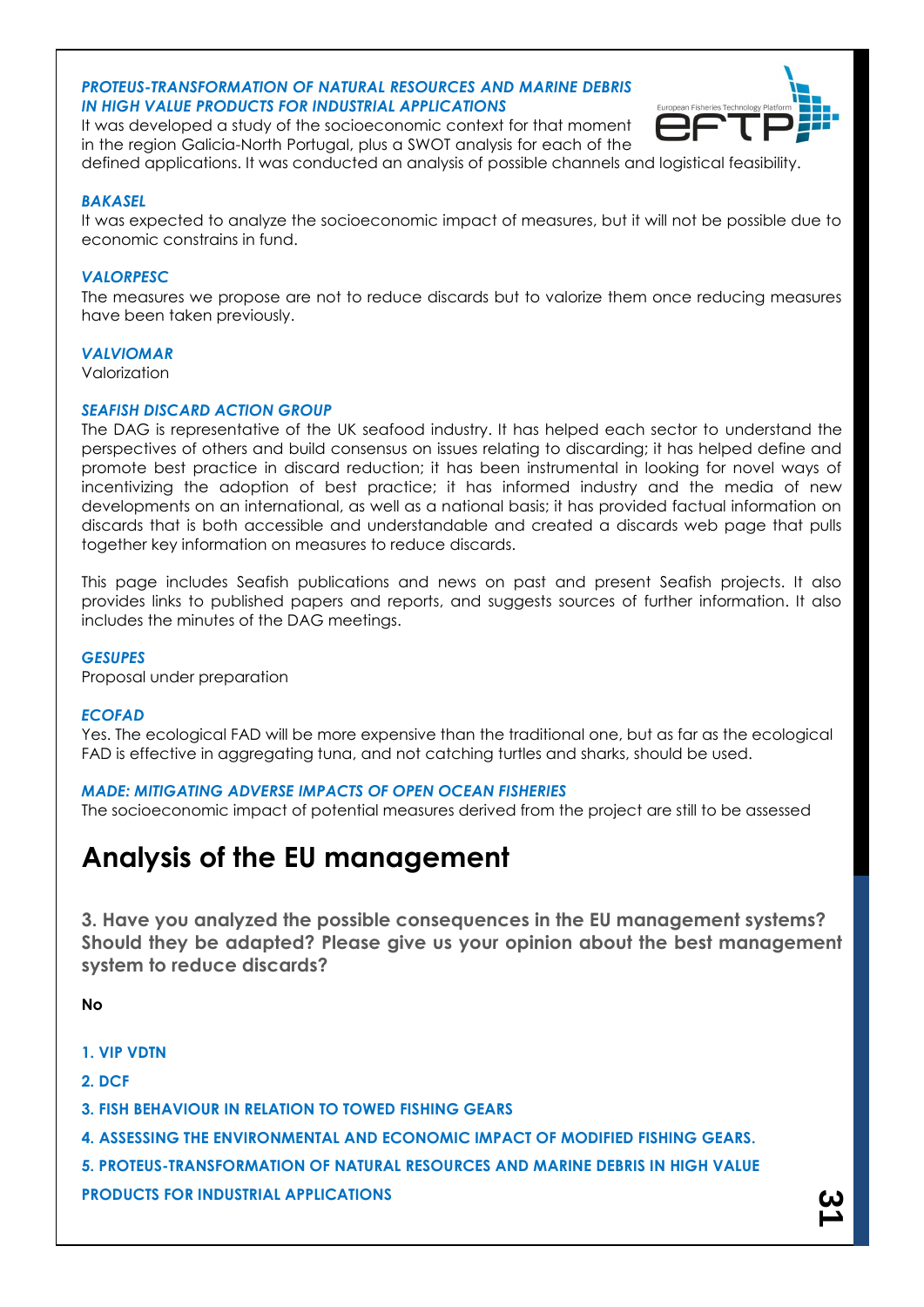#### *PROTEUS-TRANSFORMATION OF NATURAL RESOURCES AND MARINE DEBRIS IN HIGH VALUE PRODUCTS FOR INDUSTRIAL APPLICATIONS*



It was developed a study of the socioeconomic context for that moment in the region Galicia-North Portugal, plus a SWOT analysis for each of the

### defined applications. It was conducted an analysis of possible channels and logistical feasibility.

### *BAKASEL*

It was expected to analyze the socioeconomic impact of measures, but it will not be possible due to economic constrains in fund.

### *VALORPESC*

The measures we propose are not to reduce discards but to valorize them once reducing measures have been taken previously.

#### *VALVIOMAR*

Valorization

### *SEAFISH DISCARD ACTION GROUP*

The DAG is representative of the UK seafood industry. It has helped each sector to understand the perspectives of others and build consensus on issues relating to discarding; it has helped define and promote best practice in discard reduction; it has been instrumental in looking for novel ways of incentivizing the adoption of best practice; it has informed industry and the media of new developments on an international, as well as a national basis; it has provided factual information on discards that is both accessible and understandable and created a discards web page that pulls together key information on measures to reduce discards.

This page includes Seafish publications and news on past and present Seafish projects. It also provides links to published papers and reports, and suggests sources of further information. It also includes the minutes of the DAG meetings.

#### *GESUPES*

Proposal under preparation

#### *ECOFAD*

Yes. The ecological FAD will be more expensive than the traditional one, but as far as the ecological FAD is effective in aggregating tuna, and not catching turtles and sharks, should be used.

### *MADE: MITIGATING ADVERSE IMPACTS OF OPEN OCEAN FISHERIES*

The socioeconomic impact of potential measures derived from the project are still to be assessed

## **Analysis of the EU management**

**3. Have you analyzed the possible consequences in the EU management systems? Should they be adapted? Please give us your opinion about the best management system to reduce discards?**

**No**

**1. VIP VDTN**

**2. DCF**

**3. FISH BEHAVIOUR IN RELATION TO TOWED FISHING GEARS**

**4. ASSESSING THE ENVIRONMENTAL AND ECONOMIC IMPACT OF MODIFIED FISHING GEARS.**

**5. PROTEUS-TRANSFORMATION OF NATURAL RESOURCES AND MARINE DEBRIS IN HIGH VALUE PRODUCTS FOR INDUSTRIAL APPLICATIONS**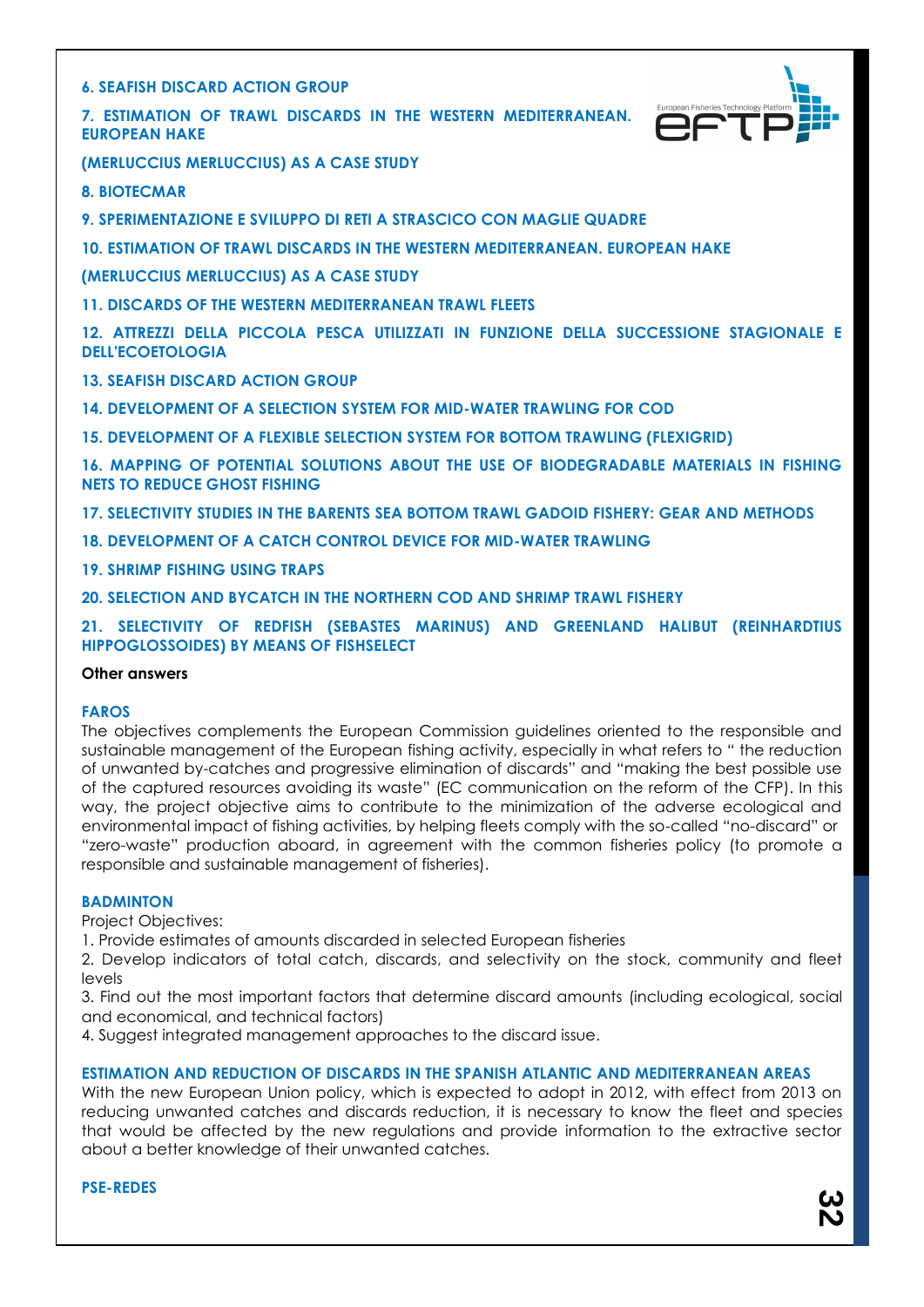**6. SEAFISH DISCARD ACTION GROUP**

**7. ESTIMATION OF TRAWL DISCARDS IN THE WESTERN MEDITERRANEAN. EUROPEAN HAKE**



**(MERLUCCIUS MERLUCCIUS) AS A CASE STUDY**

**8. BIOTECMAR**

**9. SPERIMENTAZIONE E SVILUPPO DI RETI A STRASCICO CON MAGLIE QUADRE**

**10. ESTIMATION OF TRAWL DISCARDS IN THE WESTERN MEDITERRANEAN. EUROPEAN HAKE**

**(MERLUCCIUS MERLUCCIUS) AS A CASE STUDY**

**11. DISCARDS OF THE WESTERN MEDITERRANEAN TRAWL FLEETS**

**12. ATTREZZI DELLA PICCOLA PESCA UTILIZZATI IN FUNZIONE DELLA SUCCESSIONE STAGIONALE E DELL'ECOETOLOGIA**

**13. SEAFISH DISCARD ACTION GROUP**

**14. DEVELOPMENT OF A SELECTION SYSTEM FOR MID-WATER TRAWLING FOR COD**

**15. DEVELOPMENT OF A FLEXIBLE SELECTION SYSTEM FOR BOTTOM TRAWLING (FLEXIGRID)**

**16. MAPPING OF POTENTIAL SOLUTIONS ABOUT THE USE OF BIODEGRADABLE MATERIALS IN FISHING NETS TO REDUCE GHOST FISHING**

**17. SELECTIVITY STUDIES IN THE BARENTS SEA BOTTOM TRAWL GADOID FISHERY: GEAR AND METHODS**

**18. DEVELOPMENT OF A CATCH CONTROL DEVICE FOR MID-WATER TRAWLING**

**19. SHRIMP FISHING USING TRAPS**

**20. SELECTION AND BYCATCH IN THE NORTHERN COD AND SHRIMP TRAWL FISHERY**

**21. SELECTIVITY OF REDFISH (SEBASTES MARINUS) AND GREENLAND HALIBUT (REINHARDTIUS HIPPOGLOSSOIDES) BY MEANS OF FISHSELECT**

#### **Other answers**

#### **FAROS**

The objectives complements the European Commission guidelines oriented to the responsible and sustainable management of the European fishing activity, especially in what refers to " the reduction of unwanted by-catches and progressive elimination of discards" and "making the best possible use of the captured resources avoiding its waste" (EC communication on the reform of the CFP). In this way, the project objective aims to contribute to the minimization of the adverse ecological and environmental impact of fishing activities, by helping fleets comply with the so-called "no-discard" or "zero-waste" production aboard, in agreement with the common fisheries policy (to promote a responsible and sustainable management of fisheries).

#### **BADMINTON**

Project Objectives:

1. Provide estimates of amounts discarded in selected European fisheries

2. Develop indicators of total catch, discards, and selectivity on the stock, community and fleet levels

3. Find out the most important factors that determine discard amounts (including ecological, social and economical, and technical factors)

4. Suggest integrated management approaches to the discard issue.

#### **ESTIMATION AND REDUCTION OF DISCARDS IN THE SPANISH ATLANTIC AND MEDITERRANEAN AREAS**

With the new European Union policy, which is expected to adopt in 2012, with effect from 2013 on reducing unwanted catches and discards reduction, it is necessary to know the fleet and species that would be affected by the new regulations and provide information to the extractive sector about a better knowledge of their unwanted catches.

**PSE-REDES**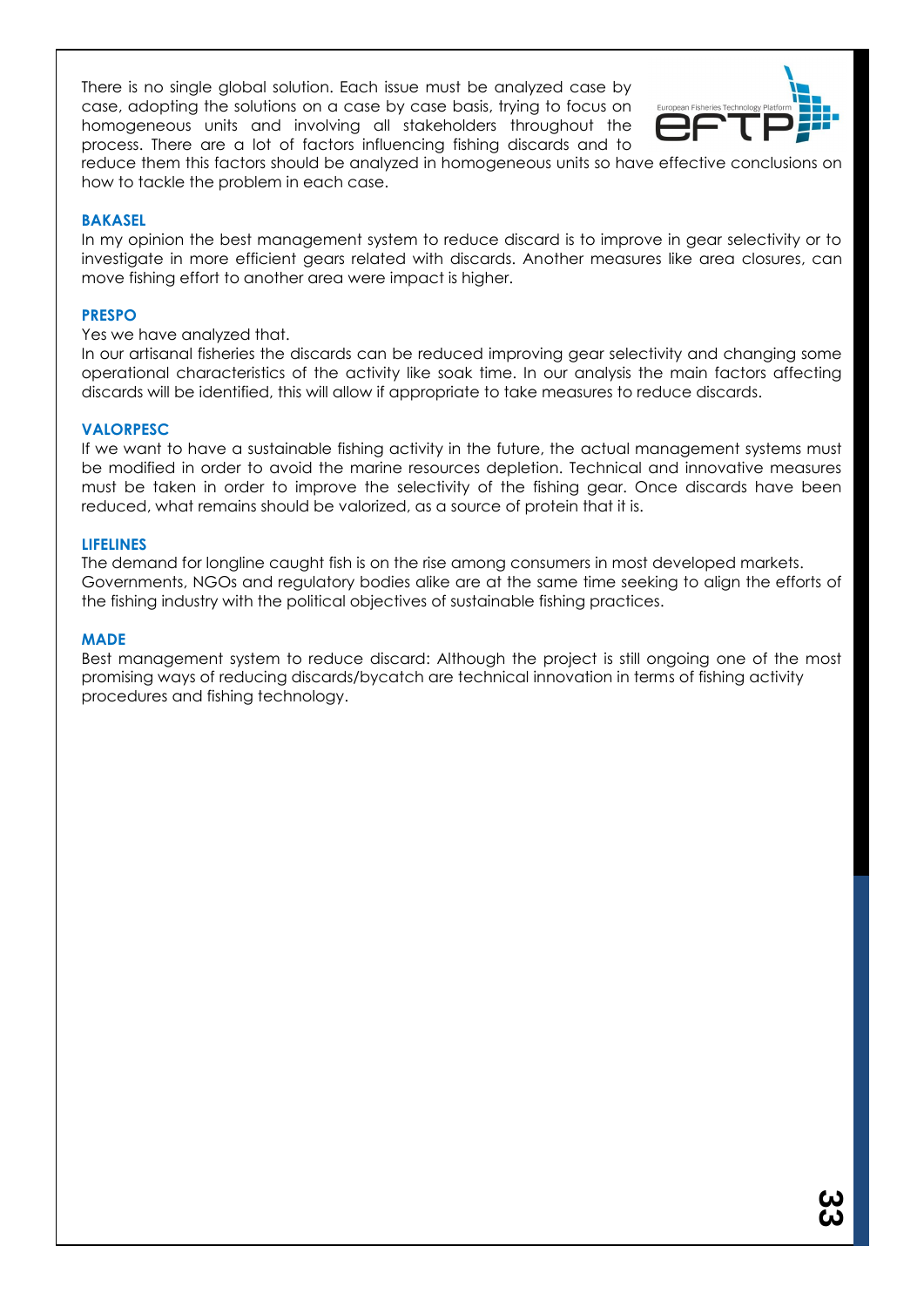There is no single global solution. Each issue must be analyzed case by case, adopting the solutions on a case by case basis, trying to focus on homogeneous units and involving all stakeholders throughout the process. There are a lot of factors influencing fishing discards and to



reduce them this factors should be analyzed in homogeneous units so have effective conclusions on how to tackle the problem in each case.

#### **BAKASEL**

In my opinion the best management system to reduce discard is to improve in gear selectivity or to investigate in more efficient gears related with discards. Another measures like area closures, can move fishing effort to another area were impact is higher.

#### **PRESPO**

#### Yes we have analyzed that.

In our artisanal fisheries the discards can be reduced improving gear selectivity and changing some operational characteristics of the activity like soak time. In our analysis the main factors affecting discards will be identified, this will allow if appropriate to take measures to reduce discards.

### **VALORPESC**

If we want to have a sustainable fishing activity in the future, the actual management systems must be modified in order to avoid the marine resources depletion. Technical and innovative measures must be taken in order to improve the selectivity of the fishing gear. Once discards have been reduced, what remains should be valorized, as a source of protein that it is.

#### **LIFELINES**

The demand for longline caught fish is on the rise among consumers in most developed markets. Governments, NGOs and regulatory bodies alike are at the same time seeking to align the efforts of the fishing industry with the political objectives of sustainable fishing practices.

#### **MADE**

Best management system to reduce discard: Although the project is still ongoing one of the most promising ways of reducing discards/bycatch are technical innovation in terms of fishing activity procedures and fishing technology.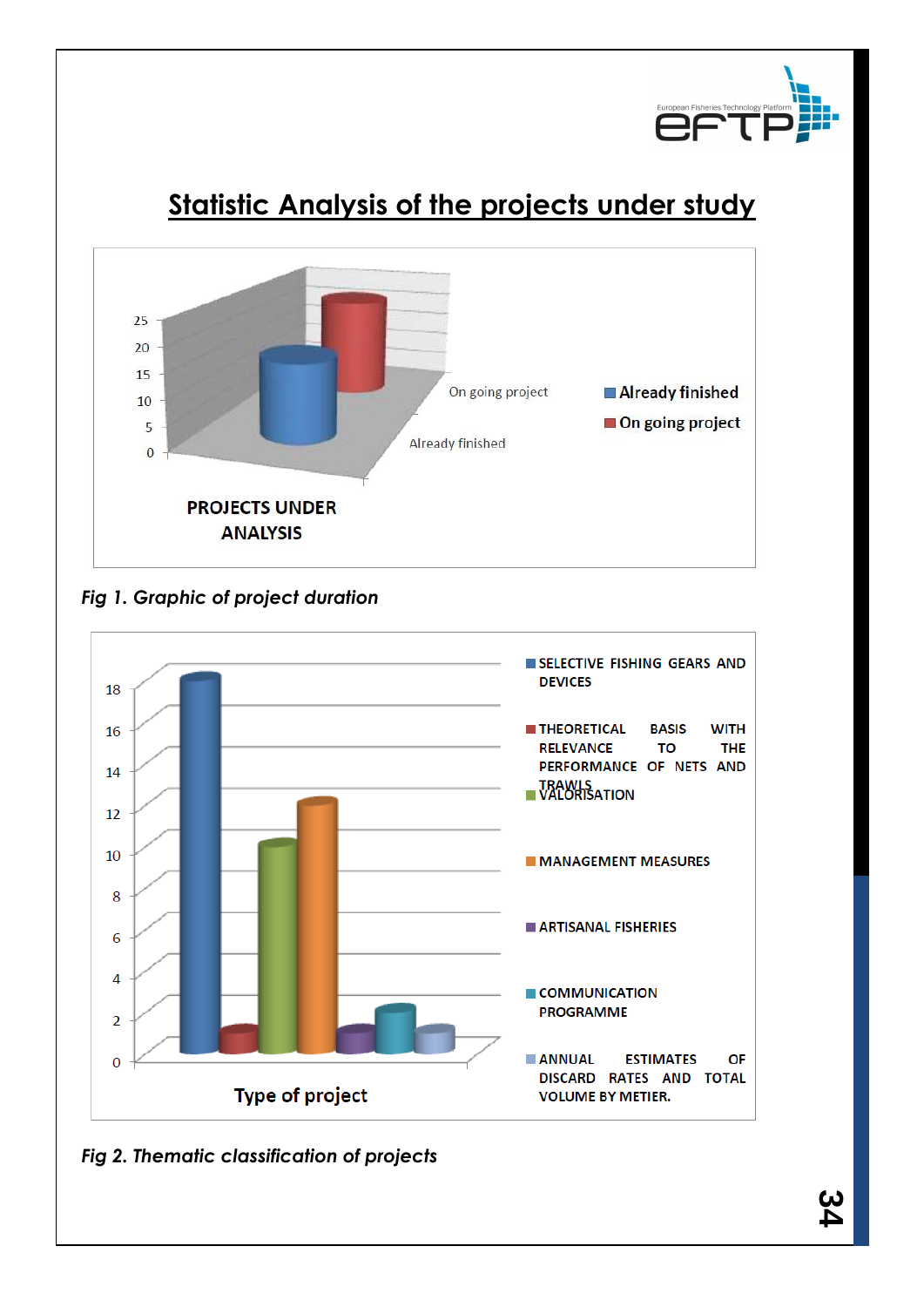

# **Statistic Analysis of the projects under study**



*Fig 1. Graphic of project duration*



*Fig 2. Thematic classification of projects*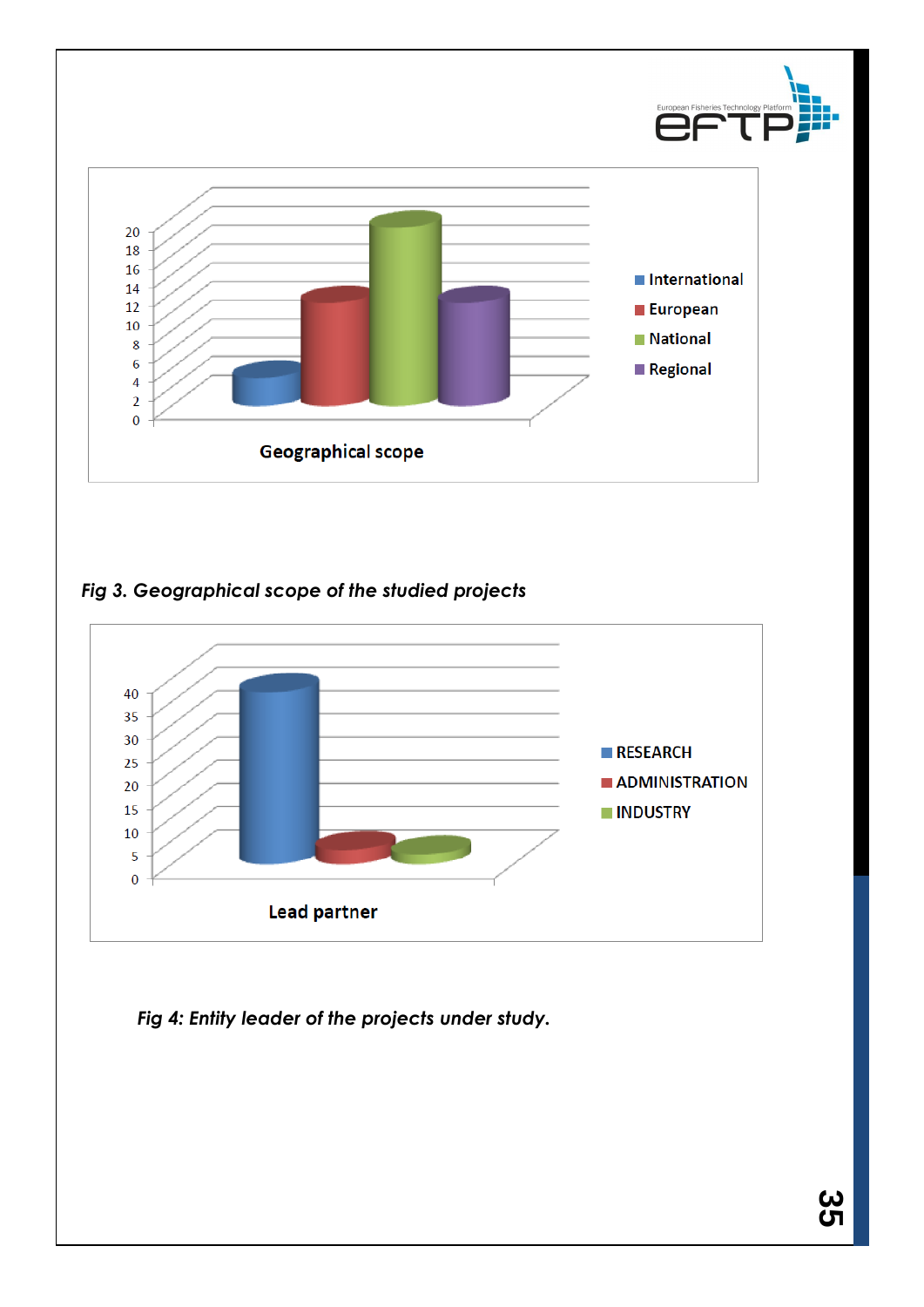

### *Fig 3. Geographical scope of the studied projects*



*Fig 4: Entity leader of the projects under study.*